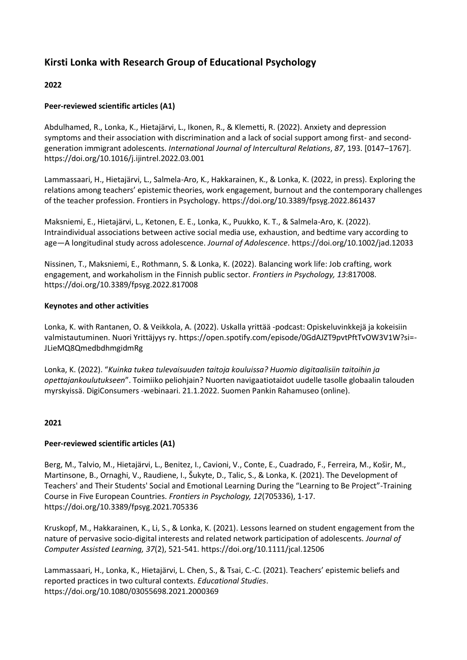# **Kirsti Lonka with Research Group of Educational Psychology**

# **2022**

# **Peer-reviewed scientific articles (A1)**

Abdulhamed, R., Lonka, K., Hietajärvi, L., Ikonen, R., & Klemetti, R. (2022). Anxiety and depression symptoms and their association with discrimination and a lack of social support among first- and secondgeneration immigrant adolescents. *International Journal of Intercultural Relations*, *87*, 193. [0147–1767]. https://doi.org/10.1016/j.ijintrel.2022.03.001

Lammassaari, H., Hietajärvi, L., Salmela-Aro, K., Hakkarainen, K., & Lonka, K. (2022, in press). Exploring the relations among teachers' epistemic theories, work engagement, burnout and the contemporary challenges of the teacher profession. Frontiers in Psychology. https://doi.org/10.3389/fpsyg.2022.861437

Maksniemi, E., Hietajärvi, L., Ketonen, E. E., Lonka, K., Puukko, K. T., & Salmela-Aro, K. (2022). Intraindividual associations between active social media use, exhaustion, and bedtime vary according to age—A longitudinal study across adolescence. *Journal of Adolescence*. https://doi.org/10.1002/jad.12033

Nissinen, T., Maksniemi, E., Rothmann, S. & Lonka, K. (2022). Balancing work life: Job crafting, work engagement, and workaholism in the Finnish public sector. *Frontiers in Psychology, 13*:817008. https://doi.org/10.3389/fpsyg.2022.817008

### **Keynotes and other activities**

Lonka, K. with Rantanen, O. & Veikkola, A. (2022). Uskalla yrittää -podcast: Opiskeluvinkkejä ja kokeisiin valmistautuminen. Nuori Yrittäjyys ry. https://open.spotify.com/episode/0GdAJZT9pvtPftTvOW3V1W?si=- JLieMQ8QmedbdhmgidmRg

Lonka, K. (2022). "*Kuinka tukea tulevaisuuden taitoja kouluissa? Huomio digitaalisiin taitoihin ja opettajankoulutukseen*". Toimiiko peliohjain? Nuorten navigaatiotaidot uudelle tasolle globaalin talouden myrskyissä. DigiConsumers -webinaari. 21.1.2022. Suomen Pankin Rahamuseo (online).

# **2021**

# **Peer-reviewed scientific articles (A1)**

Berg, M., Talvio, M., Hietajärvi, L., Benitez, I., Cavioni, V., Conte, E., Cuadrado, F., Ferreira, M., Košir, M., Martinsone, B., Ornaghi, V., Raudiene, I., Šukyte, D., Talic, S., & Lonka, K. (2021). The Development of Teachers' and Their Students' Social and Emotional Learning During the "Learning to Be Project"-Training Course in Five European Countries. *Frontiers in Psychology, 12*(705336), 1-17. https://doi.org/10.3389/fpsyg.2021.705336

Kruskopf, M., Hakkarainen, K., Li, S., & Lonka, K. (2021). Lessons learned on student engagement from the nature of pervasive socio-digital interests and related network participation of adolescents. *Journal of Computer Assisted Learning, 37*(2), 521-541. https://doi.org/10.1111/jcal.12506

Lammassaari, H., Lonka, K., Hietajärvi, L. Chen, S., & Tsai, C.-C. (2021). Teachers' epistemic beliefs and reported practices in two cultural contexts. *Educational Studies*. https://doi.org/10.1080/03055698.2021.2000369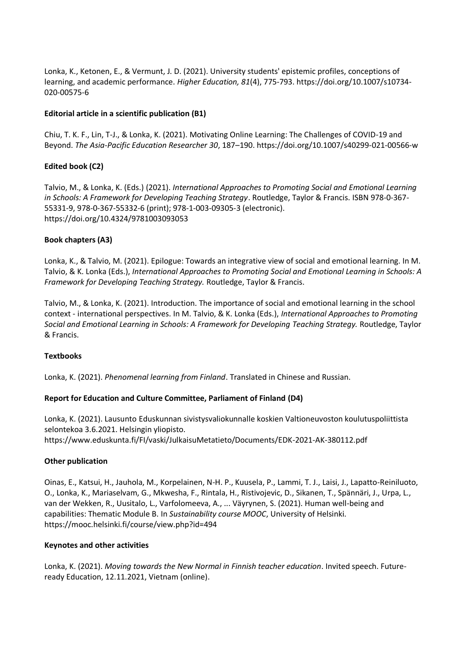Lonka, K., Ketonen, E., & Vermunt, J. D. (2021). University students' epistemic profiles, conceptions of learning, and academic performance. *Higher Education, 81*(4), 775-793. https://doi.org/10.1007/s10734- 020-00575-6

### **Editorial article in a scientific publication (B1)**

Chiu, T. K. F., Lin, T-J., & Lonka, K. (2021). Motivating Online Learning: The Challenges of COVID-19 and Beyond. *The Asia-Pacific Education Researcher 30*, 187–190. https://doi.org/10.1007/s40299-021-00566-w

# **Edited book (C2)**

Talvio, M., & Lonka, K. (Eds.) (2021). *International Approaches to Promoting Social and Emotional Learning in Schools: A Framework for Developing Teaching Strategy*. Routledge, Taylor & Francis. ISBN 978-0-367- 55331-9, 978-0-367-55332-6 (print); 978-1-003-09305-3 (electronic). <https://doi.org/10.4324/9781003093053>

### **Book chapters (A3)**

Lonka, K., & Talvio, M. (2021). Epilogue: Towards an integrative view of social and emotional learning. In M. Talvio, & K. Lonka (Eds.), *International Approaches to Promoting Social and Emotional Learning in Schools: A Framework for Developing Teaching Strategy.* Routledge, Taylor & Francis.

Talvio, M., & Lonka, K. (2021). Introduction. The importance of social and emotional learning in the school context - international perspectives. In M. Talvio, & K. Lonka (Eds.), *International Approaches to Promoting Social and Emotional Learning in Schools: A Framework for Developing Teaching Strategy.* Routledge, Taylor & Francis.

### **Textbooks**

Lonka, K. (2021). *Phenomenal learning from Finland*. Translated in Chinese and Russian.

# **Report for Education and Culture Committee, Parliament of Finland (D4)**

Lonka, K. (2021). Lausunto Eduskunnan sivistysvaliokunnalle koskien Valtioneuvoston koulutuspoliittista selontekoa 3.6.2021. Helsingin yliopisto. https://www.eduskunta.fi/FI/vaski/JulkaisuMetatieto/Documents/EDK-2021-AK-380112.pdf

### **Other publication**

Oinas, E., Katsui, H., Jauhola, M., Korpelainen, N-H. P., Kuusela, P., Lammi, T. J., Laisi, J., Lapatto-Reiniluoto, O., Lonka, K., Mariaselvam, G., Mkwesha, F., Rintala, H., Ristivojevic, D., Sikanen, T., Spännäri, J., Urpa, L., van der Wekken, R., Uusitalo, L., Varfolomeeva, A., ... Väyrynen, S. (2021). Human well-being and capabilities: Thematic Module B. In *Sustainability course MOOC*, University of Helsinki. https://mooc.helsinki.fi/course/view.php?id=494

### **Keynotes and other activities**

Lonka, K. (2021). *Moving towards the New Normal in Finnish teacher education*. Invited speech. Futureready Education, 12.11.2021, Vietnam (online).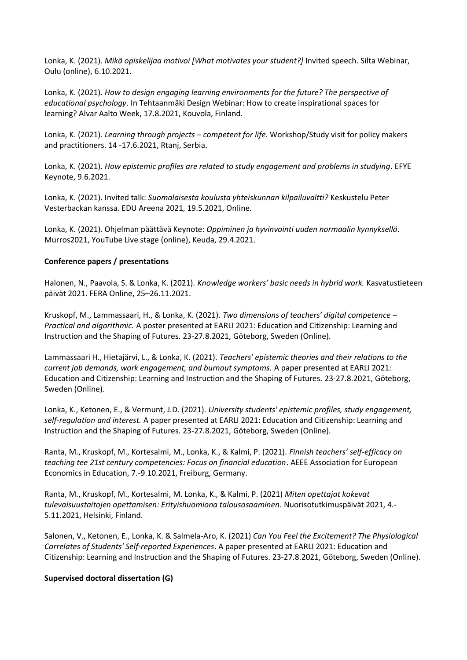Lonka, K. (2021). *Mikä opiskelijaa motivoi [What motivates your student?]* Invited speech. Silta Webinar, Oulu (online), 6.10.2021.

Lonka, K. (2021). *How to design engaging learning environments for the future? The perspective of educational psychology*. In Tehtaanmäki Design Webinar: How to create inspirational spaces for learning? Alvar Aalto Week, 17.8.2021, Kouvola, Finland.

Lonka, K. (2021). *Learning through projects – competent for life.* Workshop/Study visit for policy makers and practitioners. 14 -17.6.2021, Rtanj, Serbia.

Lonka, K. (2021). *How epistemic profiles are related to study engagement and problems in studying*. EFYE Keynote, 9.6.2021.

Lonka, K. (2021). Invited talk: *Suomalaisesta koulusta yhteiskunnan kilpailuvaltti?* Keskustelu Peter Vesterbackan kanssa. EDU Areena 2021, 19.5.2021, Online.

Lonka, K. (2021). Ohjelman päättävä Keynote: *Oppiminen ja hyvinvointi uuden normaalin kynnyksellä*. Murros2021, YouTube Live stage (online), Keuda, 29.4.2021.

### **Conference papers / presentations**

Halonen, N., Paavola, S. & Lonka, K. (2021). *Knowledge workers' basic needs in hybrid work.* Kasvatustieteen päivät 2021. FERA Online, 25–26.11.2021.

Kruskopf, M., Lammassaari, H., & Lonka, K. (2021). *Two dimensions of teachers' digital competence – Practical and algorithmic.* A poster presented at EARLI 2021: Education and Citizenship: Learning and Instruction and the Shaping of Futures. 23-27.8.2021, Göteborg, Sweden (Online).

Lammassaari H., Hietajärvi, L., & Lonka, K. (2021). *Teachers' epistemic theories and their relations to the current job demands, work engagement, and burnout symptoms.* A paper presented at EARLI 2021: Education and Citizenship: Learning and Instruction and the Shaping of Futures. 23-27.8.2021, Göteborg, Sweden (Online).

Lonka, K., Ketonen, E., & Vermunt, J.D. (2021). *University students' epistemic profiles, study engagement, self-regulation and interest.* A paper presented at EARLI 2021: Education and Citizenship: Learning and Instruction and the Shaping of Futures. 23-27.8.2021, Göteborg, Sweden (Online).

Ranta, M., Kruskopf, M., Kortesalmi, M., Lonka, K., & Kalmi, P. (2021). *Finnish teachers' self-efficacy on teaching tee 21st century competencies: Focus on financial education*. AEEE Association for European Economics in Education, 7.-9.10.2021, Freiburg, Germany.

Ranta, M., Kruskopf, M., Kortesalmi, M. Lonka, K., & Kalmi, P. (2021) *Miten opettajat kokevat tulevaisuustaitojen opettamisen: Erityishuomiona talousosaaminen*. Nuorisotutkimuspäivät 2021, 4.- 5.11.2021, Helsinki, Finland.

Salonen, V., Ketonen, E., Lonka, K. & Salmela-Aro, K. (2021) *Can You Feel the Excitement? The Physiological Correlates of Students' Self-reported Experiences*. A paper presented at EARLI 2021: Education and Citizenship: Learning and Instruction and the Shaping of Futures. 23-27.8.2021, Göteborg, Sweden (Online).

### **Supervised doctoral dissertation (G)**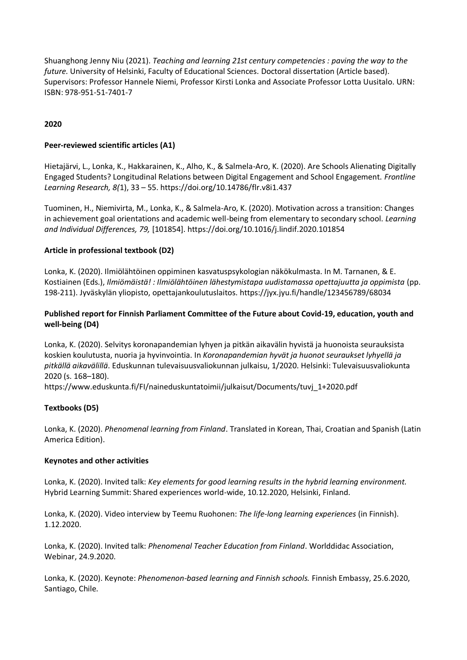Shuanghong Jenny Niu (2021). *Teaching and learning 21st century competencies : paving the way to the future.* University of Helsinki, Faculty of Educational Sciences. Doctoral dissertation (Article based). Supervisors: Professor Hannele Niemi, Professor Kirsti Lonka and Associate Professor Lotta Uusitalo. URN: ISBN: 978-951-51-7401-7

# **2020**

### **Peer-reviewed scientific articles (A1)**

Hietajärvi, L., Lonka, K., Hakkarainen, K., Alho, K., & Salmela-Aro, K. (2020). Are Schools Alienating Digitally Engaged Students? Longitudinal Relations between Digital Engagement and School Engagement. *Frontline Learning Research, 8(*1), 33 – 55. https://doi.org/10.14786/flr.v8i1.437

Tuominen, H., Niemivirta, M., Lonka, K., & Salmela-Aro, K. (2020). Motivation across a transition: Changes in achievement goal orientations and academic well-being from elementary to secondary school. *Learning and Individual Differences, 79,* [101854]. https://doi.org/10.1016/j.lindif.2020.101854

### **Article in professional textbook (D2)**

Lonka, K. (2020). Ilmiölähtöinen oppiminen kasvatuspsykologian näkökulmasta. In M. Tarnanen, & E. Kostiainen (Eds.), *Ilmiömäistä! : Ilmiölähtöinen lähestymistapa uudistamassa opettajuutta ja oppimista* (pp. 198-211). Jyväskylän yliopisto, opettajankoulutuslaitos. https://jyx.jyu.fi/handle/123456789/68034

# **Published report for Finnish Parliament Committee of the Future about Covid-19, education, youth and well-being (D4)**

Lonka, K. (2020). Selvitys koronapandemian lyhyen ja pitkän aikavälin hyvistä ja huonoista seurauksista koskien koulutusta, nuoria ja hyvinvointia. In *Koronapandemian hyvät ja huonot seuraukset lyhyellä ja pitkällä aikavälillä*. Eduskunnan tulevaisuusvaliokunnan julkaisu, 1/2020. Helsinki: Tulevaisuusvaliokunta 2020 (s. 168–180).

https://www.eduskunta.fi/FI/naineduskuntatoimii/julkaisut/Documents/tuvj\_1+2020.pdf

# **Textbooks (D5)**

Lonka, K. (2020). *Phenomenal learning from Finland*. Translated in Korean, Thai, Croatian and Spanish (Latin America Edition).

### **Keynotes and other activities**

Lonka, K. (2020). Invited talk: *Key elements for good learning results in the hybrid learning environment.* Hybrid Learning Summit: Shared experiences world-wide, 10.12.2020, Helsinki, Finland.

Lonka, K. (2020). Video interview by Teemu Ruohonen: *The life-long learning experiences* (in Finnish). 1.12.2020.

Lonka, K. (2020). Invited talk: *Phenomenal Teacher Education from Finland*. Worlddidac Association, Webinar, 24.9.2020.

Lonka, K. (2020). Keynote: *Phenomenon-based learning and Finnish schools.* Finnish Embassy, 25.6.2020, Santiago, Chile.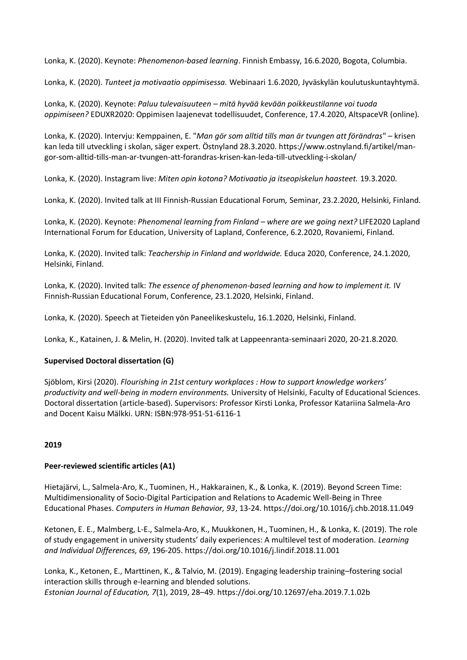Lonka, K. (2020). Keynote: *Phenomenon-based learning*. Finnish Embassy, 16.6.2020, Bogota, Columbia.

Lonka, K. (2020). *Tunteet ja motivaatio oppimisessa.* Webinaari 1.6.2020, Jyväskylän koulutuskuntayhtymä.

Lonka, K. (2020). Keynote: *Paluu tulevaisuuteen – mitä hyvää kevään poikkeustilanne voi tuoda oppimiseen?* EDUXR2020: Oppimisen laajenevat todellisuudet, Conference, 17.4.2020, AltspaceVR (online).

Lonka, K. (2020). Intervju: Kemppainen, E. "*Man gör som alltid tills man är tvungen att förändras*" – krisen kan leda till utveckling i skolan, säger expert. Östnyland 28.3.2020. https://www.ostnyland.fi/artikel/mangor-som-alltid-tills-man-ar-tvungen-att-forandras-krisen-kan-leda-till-utveckling-i-skolan/

Lonka, K. (2020). Instagram live: *Miten opin kotona? Motivaatio ja itseopiskelun haasteet.* 19.3.2020.

Lonka, K. (2020). Invited talk at III Finnish-Russian Educational Forum*,* Seminar, 23.2.2020, Helsinki, Finland.

Lonka, K. (2020). Keynote: *Phenomenal learning from Finland – where are we going next?* LIFE2020 Lapland International Forum for Education, University of Lapland, Conference, 6.2.2020, Rovaniemi, Finland.

Lonka, K. (2020). Invited talk: *Teachership in Finland and worldwide.* Educa 2020, Conference, 24.1.2020, Helsinki, Finland.

Lonka, K. (2020). Invited talk: *The essence of phenomenon-based learning and how to implement it.* IV Finnish-Russian Educational Forum, Conference, 23.1.2020, Helsinki, Finland.

Lonka, K. (2020). Speech at Tieteiden yön Paneelikeskustelu, 16.1.2020, Helsinki, Finland.

Lonka, K., Katainen, J. & Melin, H. (2020). Invited talk at Lappeenranta-seminaari 2020, 20-21.8.2020.

### **Supervised Doctoral dissertation (G)**

Sjöblom, Kirsi (2020). *Flourishing in 21st century workplaces : How to support knowledge workers' productivity and well-being in modern environments.* University of Helsinki, Faculty of Educational Sciences. Doctoral dissertation (article-based). Supervisors: Professor Kirsti Lonka, Professor Katariina Salmela-Aro and Docent Kaisu Mälkki. URN: ISBN:978-951-51-6116-1

# **2019**

### **Peer-reviewed scientific articles (A1)**

Hietajärvi, L., Salmela-Aro, K., Tuominen, H., Hakkarainen, K., & Lonka, K. (2019). Beyond Screen Time: Multidimensionality of Socio-Digital Participation and Relations to Academic Well-Being in Three Educational Phases. *Computers in Human Behavior, 93*, 13-24. https://doi.org/10.1016/j.chb.2018.11.049

Ketonen, E. E., Malmberg, L-E., Salmela-Aro, K., Muukkonen, H., Tuominen, H., & Lonka, K. (2019). The role of study engagement in university students' daily experiences: A multilevel test of moderation. *Learning and Individual Differences, 69*, 196-205. https://doi.org/10.1016/j.lindif.2018.11.001

Lonka, K., Ketonen, E., Marttinen, K., & Talvio, M. (2019). Engaging leadership training–fostering social interaction skills through e-learning and blended solutions. *Estonian Journal of Education, 7*(1), 2019, 28–49. https://doi.org/10.12697/eha.2019.7.1.02b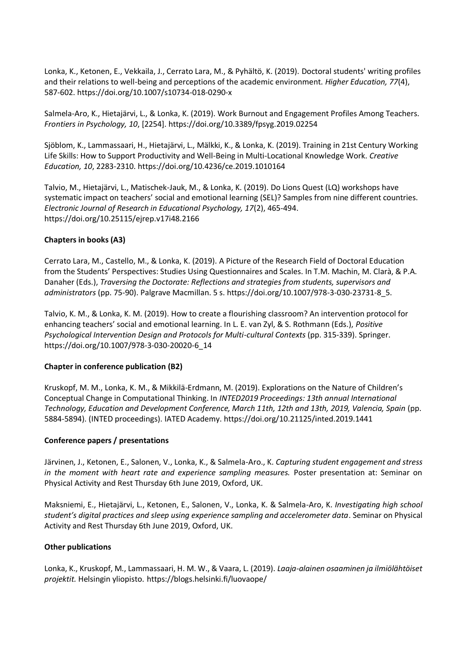Lonka, K., Ketonen, E., Vekkaila, J., Cerrato Lara, M., & Pyhältö, K. (2019). Doctoral students' writing profiles and their relations to well-being and perceptions of the academic environment. *Higher Education, 77*(4), 587-602. https://doi.org/10.1007/s10734-018-0290-x

Salmela-Aro, K., Hietajärvi, L., & Lonka, K. (2019). Work Burnout and Engagement Profiles Among Teachers. *Frontiers in Psychology, 10*, [2254]. https://doi.org/10.3389/fpsyg.2019.02254

Sjöblom, K., Lammassaari, H., Hietajärvi, L., Mälkki, K., & Lonka, K. (2019). Training in 21st Century Working Life Skills: How to Support Productivity and Well-Being in Multi-Locational Knowledge Work. *Creative Education, 10*, 2283-2310. https://doi.org/10.4236/ce.2019.1010164

Talvio, M., Hietajärvi, L., Matischek-Jauk, M., & Lonka, K. (2019). Do Lions Quest (LQ) workshops have systematic impact on teachers' social and emotional learning (SEL)? Samples from nine different countries. *Electronic Journal of Research in Educational Psychology, 17*(2), 465-494. https://doi.org/10.25115/ejrep.v17i48.2166

### **Chapters in books (A3)**

Cerrato Lara, M., Castello, M., & Lonka, K. (2019). A Picture of the Research Field of Doctoral Education from the Students' Perspectives: Studies Using Questionnaires and Scales. In T.M. Machin, M. Clarà, & P.A. Danaher (Eds.), *Traversing the Doctorate: Reflections and strategies from students, supervisors and administrators* (pp. 75-90). Palgrave Macmillan. 5 s. https://doi.org/10.1007/978-3-030-23731-8\_5.

Talvio, K. M., & Lonka, K. M. (2019). How to create a flourishing classroom? An intervention protocol for enhancing teachers' social and emotional learning. In L. E. van Zyl, & S. Rothmann (Eds.), *Positive Psychological Intervention Design and Protocols for Multi-cultural Contexts* (pp. 315-339). Springer. https://doi.org/10.1007/978-3-030-20020-6\_14

### **Chapter in conference publication (B2)**

Kruskopf, M. M., Lonka, K. M., & Mikkilä-Erdmann, M. (2019). Explorations on the Nature of Children's Conceptual Change in Computational Thinking. In *INTED2019 Proceedings: 13th annual International Technology, Education and Development Conference, March 11th, 12th and 13th, 2019, Valencia, Spain* (pp. 5884-5894). (INTED proceedings). IATED Academy. https://doi.org/10.21125/inted.2019.1441

### **Conference papers / presentations**

Järvinen, J., Ketonen, E., Salonen, V., Lonka, K., & Salmela-Aro., K. *Capturing student engagement and stress in the moment with heart rate and experience sampling measures.* Poster presentation at: Seminar on Physical Activity and Rest Thursday 6th June 2019, Oxford, UK.

Maksniemi, E., Hietajärvi, L., Ketonen, E., Salonen, V., Lonka, K. & Salmela-Aro, K. *Investigating high school student's digital practices and sleep using experience sampling and accelerometer data*. Seminar on Physical Activity and Rest Thursday 6th June 2019, Oxford, UK.

### **Other publications**

Lonka, K., Kruskopf, M., Lammassaari, H. M. W., & Vaara, L. (2019). *Laaja-alainen osaaminen ja ilmiölähtöiset projektit.* Helsingin yliopisto. https://blogs.helsinki.fi/luovaope/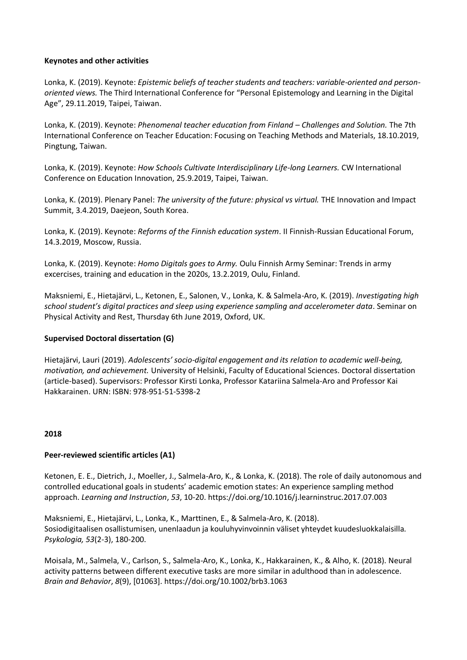### **Keynotes and other activities**

Lonka, K. (2019). Keynote: *Epistemic beliefs of teacher students and teachers: variable-oriented and personoriented views.* The Third International Conference for "Personal Epistemology and Learning in the Digital Age", 29.11.2019, Taipei, Taiwan.

Lonka, K. (2019). Keynote: *Phenomenal teacher education from Finland – Challenges and Solution.* The 7th International Conference on Teacher Education: Focusing on Teaching Methods and Materials, 18.10.2019, Pingtung, Taiwan.

Lonka, K. (2019). Keynote: *How Schools Cultivate Interdisciplinary Life-long Learners.* CW International Conference on Education Innovation, 25.9.2019, Taipei, Taiwan.

Lonka, K. (2019). Plenary Panel: *The university of the future: physical vs virtual.* THE Innovation and Impact Summit, 3.4.2019, Daejeon, South Korea.

Lonka, K. (2019). Keynote: *Reforms of the Finnish education system*. II Finnish-Russian Educational Forum, 14.3.2019, Moscow, Russia.

Lonka, K. (2019). Keynote: *Homo Digitals goes to Army.* Oulu Finnish Army Seminar: Trends in army excercises, training and education in the 2020s, 13.2.2019, Oulu, Finland.

Maksniemi, E., Hietajärvi, L., Ketonen, E., Salonen, V., Lonka, K. & Salmela-Aro, K. (2019). *Investigating high school student's digital practices and sleep using experience sampling and accelerometer data*. Seminar on Physical Activity and Rest, Thursday 6th June 2019, Oxford, UK.

### **Supervised Doctoral dissertation (G)**

Hietajärvi, Lauri (2019). *Adolescents' socio-digital engagement and its relation to academic well-being, motivation, and achievement.* University of Helsinki, Faculty of Educational Sciences. Doctoral dissertation (article-based). Supervisors: Professor Kirsti Lonka, Professor Katariina Salmela-Aro and Professor Kai Hakkarainen. URN: ISBN: 978-951-51-5398-2

#### **2018**

### **Peer-reviewed scientific articles (A1)**

Ketonen, E. E., Dietrich, J., Moeller, J., Salmela-Aro, K., & Lonka, K. (2018). The role of daily autonomous and controlled educational goals in students' academic emotion states: An experience sampling method approach. *Learning and Instruction*, *53*, 10-20. https://doi.org/10.1016/j.learninstruc.2017.07.003

Maksniemi, E., Hietajärvi, L., Lonka, K., Marttinen, E., & Salmela-Aro, K. (2018). Sosiodigitaalisen osallistumisen, unenlaadun ja kouluhyvinvoinnin väliset yhteydet kuudesluokkalaisilla. *Psykologia, 53*(2-3), 180-200.

Moisala, M., Salmela, V., Carlson, S., Salmela-Aro, K., Lonka, K., Hakkarainen, K., & Alho, K. (2018). Neural activity patterns between different executive tasks are more similar in adulthood than in adolescence. *Brain and Behavior*, *8*(9), [01063]. https://doi.org/10.1002/brb3.1063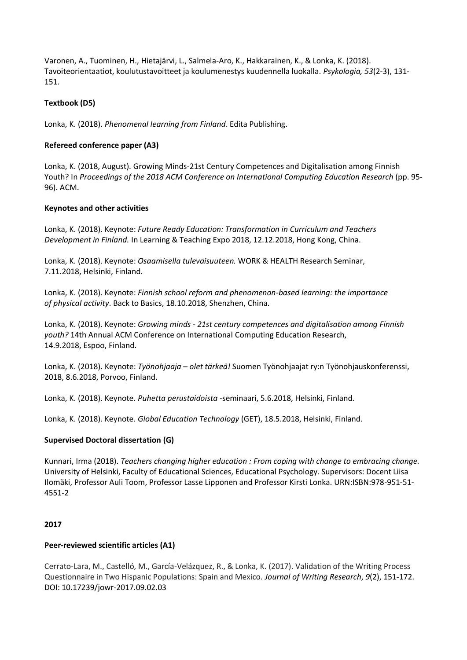Varonen, A., Tuominen, H., Hietajärvi, L., Salmela-Aro, K., Hakkarainen, K., & Lonka, K. (2018). Tavoiteorientaatiot, koulutustavoitteet ja koulumenestys kuudennella luokalla. *Psykologia, 53*(2-3), 131- 151.

### **Textbook (D5)**

Lonka, K. (2018). *Phenomenal learning from Finland*. Edita Publishing.

### **Refereed conference paper (A3)**

Lonka, K. (2018, August). Growing Minds-21st Century Competences and Digitalisation among Finnish Youth? In *Proceedings of the 2018 ACM Conference on International Computing Education Research* (pp. 95- 96). ACM.

### **Keynotes and other activities**

Lonka, K. (2018). Keynote: *Future Ready Education: Transformation in Curriculum and Teachers Development in Finland.* In Learning & Teaching Expo 2018, 12.12.2018, Hong Kong, China.

Lonka, K. (2018). Keynote: *Osaamisella tulevaisuuteen.* WORK & HEALTH Research Seminar, 7.11.2018, Helsinki, Finland.

Lonka, K. (2018). Keynote: *Finnish school reform and phenomenon-based learning: the importance of physical activity*. Back to Basics, 18.10.2018, Shenzhen, China.

Lonka, K. (2018). Keynote: *Growing minds - 21st century competences and digitalisation among Finnish youth?* 14th Annual ACM Conference on International Computing Education Research, 14.9.2018, Espoo, Finland.

Lonka, K. (2018). Keynote: *Työnohjaaja – olet tärkeä!* Suomen Työnohjaajat ry:n Työnohjauskonferenssi, 2018, 8.6.2018, Porvoo, Finland.

Lonka, K. (2018). Keynote. *Puhetta perustaidoista* -seminaari, 5.6.2018, Helsinki, Finland.

Lonka, K. (2018). Keynote. *Global Education Technology* (GET), 18.5.2018, Helsinki, Finland.

### **Supervised Doctoral dissertation (G)**

Kunnari, Irma (2018). *Teachers changing higher education : From coping with change to embracing change.* University of Helsinki, Faculty of Educational Sciences, Educational Psychology. Supervisors: Docent Liisa Ilomäki, Professor Auli Toom, Professor Lasse Lipponen and Professor Kirsti Lonka. URN:ISBN:978-951-51- 4551-2

### **2017**

### **Peer-reviewed scientific articles (A1)**

Cerrato-Lara, M., Castelló, M., García-Velázquez, R., & Lonka, K. (2017). Validation of the Writing Process Questionnaire in Two Hispanic Populations: Spain and Mexico. *Journal of Writing Research*, *9*(2), 151-172. DOI: 10.17239/jowr-2017.09.02.03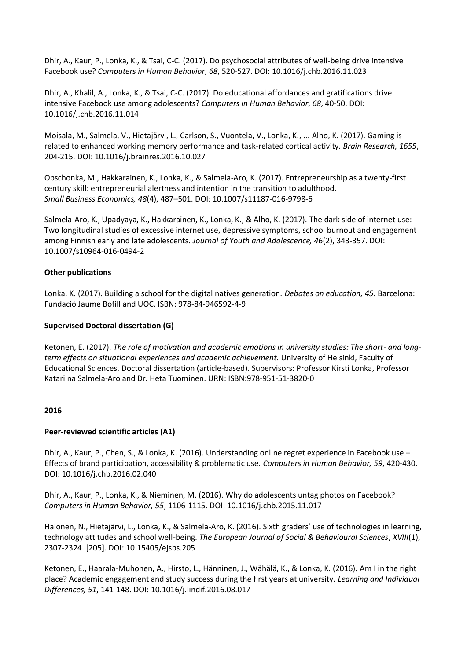Dhir, A., Kaur, P., Lonka, K., & Tsai, C-C. (2017). Do psychosocial attributes of well-being drive intensive Facebook use? *Computers in Human Behavior*, *68*, 520-527. DOI: 10.1016/j.chb.2016.11.023

Dhir, A., Khalil, A., Lonka, K., & Tsai, C-C. (2017). Do educational affordances and gratifications drive intensive Facebook use among adolescents? *Computers in Human Behavior*, *68*, 40-50. DOI: 10.1016/j.chb.2016.11.014

Moisala, M., Salmela, V., Hietajärvi, L., Carlson, S., Vuontela, V., Lonka, K., ... Alho, K. (2017). Gaming is related to enhanced working memory performance and task-related cortical activity. *Brain Research, 1655*, 204-215. DOI: 10.1016/j.brainres.2016.10.027

Obschonka, M., Hakkarainen, K., Lonka, K., & Salmela-Aro, K. (2017). Entrepreneurship as a twenty-first century skill: entrepreneurial alertness and intention in the transition to adulthood. *Small Business Economics, 48*(4), 487–501. DOI: 10.1007/s11187-016-9798-6

Salmela-Aro, K., Upadyaya, K., Hakkarainen, K., Lonka, K., & Alho, K. (2017). The dark side of internet use: Two longitudinal studies of excessive internet use, depressive symptoms, school burnout and engagement among Finnish early and late adolescents. *Journal of Youth and Adolescence, 46*(2), 343-357. DOI: 10.1007/s10964-016-0494-2

### **Other publications**

Lonka, K. (2017). Building a school for the digital natives generation. *Debates on education, 45*. Barcelona: Fundació Jaume Bofill and UOC. ISBN: 978-84-946592-4-9

### **Supervised Doctoral dissertation (G)**

Ketonen, E. (2017). *The role of motivation and academic emotions in university studies: The short- and longterm effects on situational experiences and academic achievement.* University of Helsinki, Faculty of Educational Sciences. Doctoral dissertation (article-based). Supervisors: Professor Kirsti Lonka, Professor Katariina Salmela-Aro and Dr. Heta Tuominen. URN: ISBN:978-951-51-3820-0

### **2016**

### **Peer-reviewed scientific articles (A1)**

Dhir, A., Kaur, P., Chen, S., & Lonka, K. (2016). Understanding online regret experience in Facebook use – Effects of brand participation, accessibility & problematic use. *Computers in Human Behavior, 59*, 420-430. DOI: 10.1016/j.chb.2016.02.040

Dhir, A., Kaur, P., Lonka, K., & Nieminen, M. (2016). Why do adolescents untag photos on Facebook? *Computers in Human Behavior, 55*, 1106-1115. DOI: 10.1016/j.chb.2015.11.017

Halonen, N., Hietajärvi, L., Lonka, K., & Salmela-Aro, K. (2016). Sixth graders' use of technologies in learning, technology attitudes and school well-being. *The European Journal of Social & Behavioural Sciences*, *XVIII*(1), 2307-2324. [205]. DOI: 10.15405/ejsbs.205

Ketonen, E., Haarala-Muhonen, A., Hirsto, L., Hänninen, J., Wähälä, K., & Lonka, K. (2016). Am I in the right place? Academic engagement and study success during the first years at university. *Learning and Individual Differences, 51*, 141-148. DOI: 10.1016/j.lindif.2016.08.017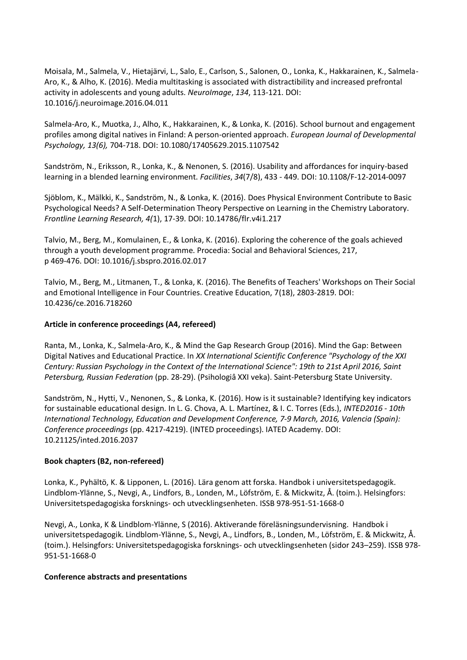Moisala, M., Salmela, V., Hietajärvi, L., Salo, E., Carlson, S., Salonen, O., Lonka, K., Hakkarainen, K., Salmela-Aro, K., & Alho, K. (2016). Media multitasking is associated with distractibility and increased prefrontal activity in adolescents and young adults. *NeuroImage*, *134*, 113-121. DOI: 10.1016/j.neuroimage.2016.04.011

Salmela-Aro, K., Muotka, J., Alho, K., Hakkarainen, K., & Lonka, K. (2016). School burnout and engagement profiles among digital natives in Finland: A person-oriented approach. *European Journal of Developmental Psychology, 13(6),* 704-718. DOI: 10.1080/17405629.2015.1107542

Sandström, N., Eriksson, R., Lonka, K., & Nenonen, S. (2016). Usability and affordances for inquiry-based learning in a blended learning environment. *Facilities*, *34*(7/8), 433 - 449. DOI: 10.1108/F-12-2014-0097

Sjöblom, K., Mälkki, K., Sandström, N., & Lonka, K. (2016). Does Physical Environment Contribute to Basic Psychological Needs? A Self-Determination Theory Perspective on Learning in the Chemistry Laboratory. *Frontline Learning Research, 4(*1), 17-39. DOI: 10.14786/flr.v4i1.217

Talvio, M., Berg, M., Komulainen, E., & Lonka, K. (2016). Exploring the coherence of the goals achieved through a youth development programme. Procedia: Social and Behavioral Sciences, 217, p 469-476. DOI: 10.1016/j.sbspro.2016.02.017

Talvio, M., Berg, M., Litmanen, T., & Lonka, K. (2016). The Benefits of Teachers' Workshops on Their Social and Emotional Intelligence in Four Countries. Creative Education, 7(18), 2803-2819. DOI: 10.4236/ce.2016.718260

### **Article in conference proceedings (A4, refereed)**

Ranta, M., Lonka, K., Salmela-Aro, K., & Mind the Gap Research Group (2016). Mind the Gap: Between Digital Natives and Educational Practice. In *XX International Scientific Conference "Psychology of the XXI Century: Russian Psychology in the Context of the International Science": 19th to 21st April 2016, Saint Petersburg, Russian Federation* (pp. 28-29). (Psihologiâ XXI veka). Saint-Petersburg State University.

Sandström, N., Hytti, V., Nenonen, S., & Lonka, K. (2016). How is it sustainable? Identifying key indicators for sustainable educational design. In L. G. Chova, A. L. Martínez, & I. C. Torres (Eds.), *INTED2016 - 10th International Technology, Education and Development Conference, 7-9 March, 2016, Valencia (Spain): Conference proceedings* (pp. 4217-4219). (INTED proceedings). IATED Academy. DOI: 10.21125/inted.2016.2037

### **Book chapters (B2, non-refereed)**

Lonka, K., Pyhältö, K. & Lipponen, L. (2016). Lära genom att forska. Handbok i universitetspedagogik. Lindblom-Ylänne, S., Nevgi, A., Lindfors, B., Londen, M., Löfström, E. & Mickwitz, Å. (toim.). Helsingfors: Universitetspedagogiska forsknings- och utvecklingsenheten. ISSB 978-951-51-1668-0

Nevgi, A., Lonka, K & Lindblom-Ylänne, S (2016). Aktiverande föreläsningsundervisning. Handbok i universitetspedagogik. Lindblom-Ylänne, S., Nevgi, A., Lindfors, B., Londen, M., Löfström, E. & Mickwitz, Å. (toim.). Helsingfors: Universitetspedagogiska forsknings- och utvecklingsenheten (sidor 243–259). ISSB 978- 951-51-1668-0

### **Conference abstracts and presentations**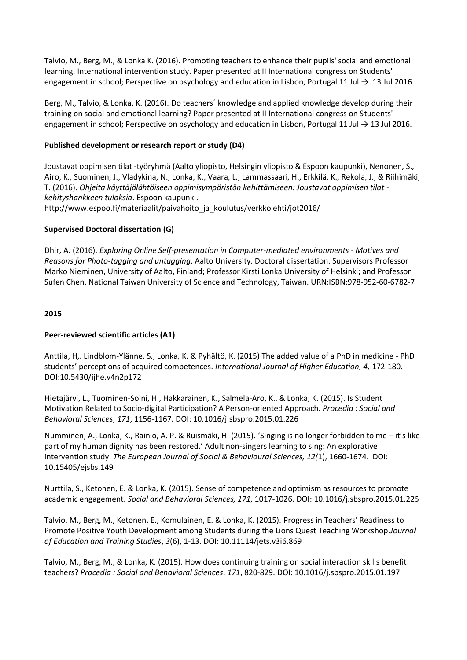Talvio, M., Berg, M., & Lonka K. (2016). Promoting teachers to enhance their pupils' social and emotional learning. International intervention study. Paper presented at II International congress on Students' engagement in school; Perspective on psychology and education in Lisbon, Portugal 11 Jul  $\rightarrow$  13 Jul 2016.

Berg, M., Talvio, & Lonka, K. (2016). Do teachers´ knowledge and applied knowledge develop during their training on social and emotional learning? Paper presented at II International congress on Students' engagement in school; Perspective on psychology and education in Lisbon, Portugal 11 Jul → 13 Jul 2016.

### **Published development or research report or study (D4)**

Joustavat oppimisen tilat -työryhmä (Aalto yliopisto, Helsingin yliopisto & Espoon kaupunki), Nenonen, S., Airo, K., Suominen, J., Vladykina, N., Lonka, K., Vaara, L., Lammassaari, H., Erkkilä, K., Rekola, J., & Riihimäki, T. (2016). *Ohjeita käyttäjälähtöiseen oppimisympäristön kehittämiseen: Joustavat oppimisen tilat kehityshankkeen tuloksia*. Espoon kaupunki. http://www.espoo.fi/materiaalit/paivahoito ja koulutus/verkkolehti/jot2016/

### **Supervised Doctoral dissertation (G)**

Dhir, A. (2016). *Exploring Online Self-presentation in Computer-mediated environments - Motives and Reasons for Photo-tagging and untagging*. Aalto University. Doctoral dissertation. Supervisors Professor Marko Nieminen, University of Aalto, Finland; Professor Kirsti Lonka University of Helsinki; and Professor Sufen Chen, National Taiwan University of Science and Technology, Taiwan. URN:ISBN:978-952-60-6782-7

### **2015**

### **Peer-reviewed scientific articles (A1)**

Anttila, H,. Lindblom-Ylänne, S., Lonka, K. & Pyhältö, K. (2015) The added value of a PhD in medicine - PhD students' perceptions of acquired competences. *International Journal of Higher Education, 4,* 172-180. DOI:10.5430/ijhe.v4n2p172

Hietajärvi, L., Tuominen-Soini, H., Hakkarainen, K., Salmela-Aro, K., & Lonka, K. (2015). Is Student Motivation Related to Socio-digital Participation? A Person-oriented Approach. *Procedia : Social and Behavioral Sciences*, *171*, 1156-1167. DOI: 10.1016/j.sbspro.2015.01.226

Numminen, A., Lonka, K., Rainio, A. P. & Ruismäki, H. (2015). 'Singing is no longer forbidden to me – it's like part of my human dignity has been restored.' Adult non-singers learning to sing: An explorative intervention study. *The European Journal of Social & Behavioural Sciences, 12(*1), 1660-1674. DOI: 10.15405/ejsbs.149

Nurttila, S., Ketonen, E. & Lonka, K. (2015). Sense of competence and optimism as resources to promote academic engagement. *Social and Behavioral Sciences, 171*, 1017-1026. DOI: 10.1016/j.sbspro.2015.01.225

Talvio, M., Berg, M., Ketonen, E., Komulainen, E. & Lonka, K. (2015). Progress in Teachers' Readiness to Promote Positive Youth Development among Students during the Lions Quest Teaching Workshop.*Journal of Education and Training Studies*, *3*(6), 1-13. DOI: 10.11114/jets.v3i6.869

Talvio, M., Berg, M., & Lonka, K. (2015). How does continuing training on social interaction skills benefit teachers? *Procedia : Social and Behavioral Sciences*, *171*, 820-829. DOI: 10.1016/j.sbspro.2015.01.197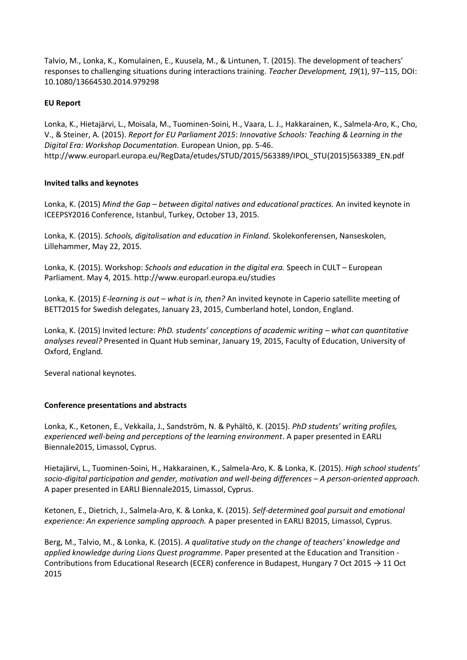Talvio, M., Lonka, K., Komulainen, E., Kuusela, M., & Lintunen, T. (2015). The development of teachers' responses to challenging situations during interactions training. *Teacher Development, 19*(1), 97–115, DOI: 10.1080/13664530.2014.979298

### **EU Report**

Lonka, K., Hietajärvi, L., Moisala, M., Tuominen-Soini, H., Vaara, L. J., Hakkarainen, K., Salmela-Aro, K., Cho, V., & Steiner, A. (2015). *Report for EU Parliament 2015*: *Innovative Schools: Teaching & Learning in the Digital Era: Workshop Documentation.* European Union, pp. 5-46. http://www.europarl.europa.eu/RegData/etudes/STUD/2015/563389/IPOL\_STU(2015)563389\_EN.pdf

### **Invited talks and keynotes**

Lonka, K. (2015) *Mind the Gap – between digital natives and educational practices.* An invited keynote in ICEEPSY2016 Conference, Istanbul, Turkey, October 13, 2015.

Lonka, K. (2015). *Schools, digitalisation and education in Finland.* Skolekonferensen, Nanseskolen, Lillehammer, May 22, 2015.

Lonka, K. (2015). Workshop: *Schools and education in the digital era.* Speech in CULT – European Parliament. May 4, 2015. http://www.europarl.europa.eu/studies

Lonka, K. (2015) *E-learning is out – what is in, then?* An invited keynote in Caperio satellite meeting of BETT2015 for Swedish delegates, January 23, 2015, Cumberland hotel, London, England.

Lonka, K. (2015) Invited lecture: *PhD. students' conceptions of academic writing – what can quantitative analyses reveal?* Presented in Quant Hub seminar, January 19, 2015, Faculty of Education, University of Oxford, England.

Several national keynotes.

# **Conference presentations and abstracts**

Lonka, K., Ketonen, E., Vekkaila, J., Sandström, N. & Pyhältö, K. (2015). *PhD students' writing profiles, experienced well-being and perceptions of the learning environment*. A paper presented in EARLI Biennale2015, Limassol, Cyprus.

Hietajärvi, L., Tuominen-Soini, H., Hakkarainen, K., Salmela-Aro, K. & Lonka, K. (2015). *High school students' socio-digital participation and gender, motivation and well-being differences – A person-oriented approach.* A paper presented in EARLI Biennale2015, Limassol, Cyprus.

Ketonen, E., Dietrich, J., Salmela-Aro, K. & Lonka, K. (2015). *Self-determined goal pursuit and emotional experience: An experience sampling approach.* A paper presented in EARLI B2015, Limassol, Cyprus.

Berg, M., Talvio, M., & Lonka, K. (2015). *A qualitative study on the change of teachers' knowledge and applied knowledge during Lions Quest programme*. Paper presented at the Education and Transition - Contributions from Educational Research (ECER) conference in Budapest, Hungary 7 Oct 2015 → 11 Oct 2015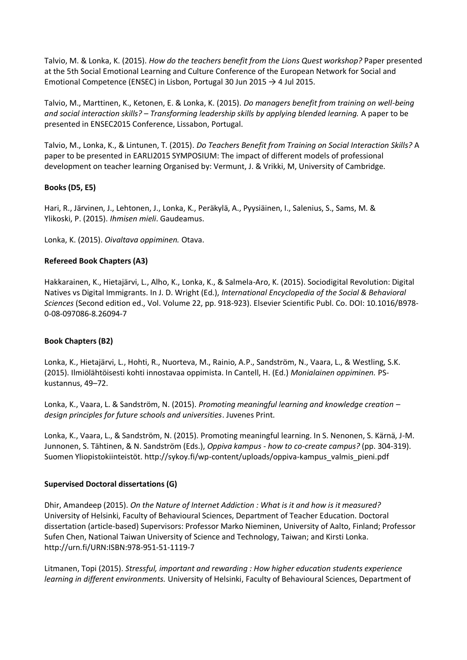Talvio, M. & Lonka, K. (2015). *How do the teachers benefit from the Lions Quest workshop?* Paper presented at the 5th Social Emotional Learning and Culture Conference of the European Network for Social and Emotional Competence (ENSEC) in Lisbon, Portugal 30 Jun 2015  $\rightarrow$  4 Jul 2015.

Talvio, M., Marttinen, K., Ketonen, E. & Lonka, K. (2015). *Do managers benefit from training on well-being and social interaction skills? – Transforming leadership skills by applying blended learning.* A paper to be presented in ENSEC2015 Conference, Lissabon, Portugal.

Talvio, M., Lonka, K., & Lintunen, T. (2015). *Do Teachers Benefit from Training on Social Interaction Skills?* A paper to be presented in EARLI2015 SYMPOSIUM: The impact of different models of professional development on teacher learning Organised by: Vermunt, J. & Vrikki, M, University of Cambridge.

# **Books (D5, E5)**

Hari, R., Järvinen, J., Lehtonen, J., Lonka, K., Peräkylä, A., Pyysiäinen, I., Salenius, S., Sams, M. & Ylikoski, P. (2015). *Ihmisen mieli*. Gaudeamus.

Lonka, K. (2015). *Oivaltava oppiminen.* Otava.

### **Refereed Book Chapters (A3)**

Hakkarainen, K., Hietajärvi, L., Alho, K., Lonka, K., & Salmela-Aro, K. (2015). Sociodigital Revolution: Digital Natives vs Digital Immigrants. In J. D. Wright (Ed.), *International Encyclopedia of the Social & Behavioral Sciences* (Second edition ed., Vol. Volume 22, pp. 918-923). Elsevier Scientific Publ. Co. DOI: 10.1016/B978- 0-08-097086-8.26094-7

### **Book Chapters (B2)**

Lonka, K., Hietajärvi, L., Hohti, R., Nuorteva, M., Rainio, A.P., Sandström, N., Vaara, L., & Westling, S.K. (2015). Ilmiölähtöisesti kohti innostavaa oppimista. In Cantell, H. (Ed.) *Monialainen oppiminen.* PSkustannus, 49–72.

Lonka, K., Vaara, L. & Sandström, N. (2015). *Promoting meaningful learning and knowledge creation – design principles for future schools and universities*. Juvenes Print.

Lonka, K., Vaara, L., & Sandström, N. (2015). Promoting meaningful learning. In S. Nenonen, S. Kärnä, J-M. Junnonen, S. Tähtinen, & N. Sandström (Eds.), *Oppiva kampus - how to co-create campus?* (pp. 304-319). Suomen Yliopistokiinteistöt. http://sykoy.fi/wp-content/uploads/oppiva-kampus\_valmis\_pieni.pdf

### **Supervised Doctoral dissertations (G)**

Dhir, Amandeep (2015). *On the Nature of Internet Addiction : What is it and how is it measured?* University of Helsinki, Faculty of Behavioural Sciences, Department of Teacher Education. Doctoral dissertation (article-based) Supervisors: Professor Marko Nieminen, University of Aalto, Finland; Professor Sufen Chen, National Taiwan University of Science and Technology, Taiwan; and Kirsti Lonka. http://urn.fi/URN:ISBN:978-951-51-1119-7

Litmanen, Topi (2015). *Stressful, important and rewarding : How higher education students experience learning in different environments.* University of Helsinki, Faculty of Behavioural Sciences, Department of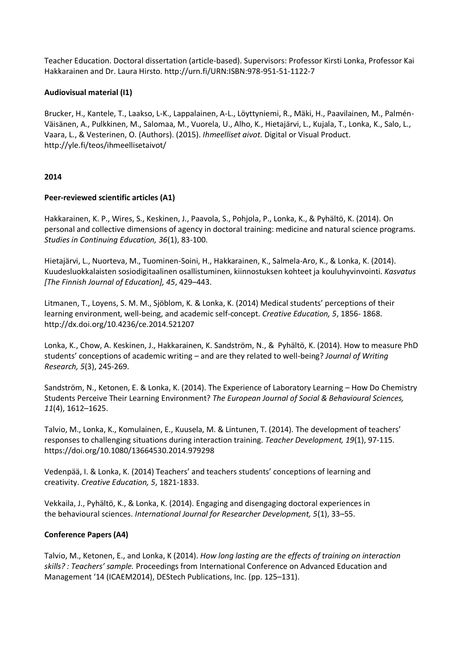Teacher Education. Doctoral dissertation (article-based). Supervisors: Professor Kirsti Lonka, Professor Kai Hakkarainen and Dr. Laura Hirsto. http://urn.fi/URN:ISBN:978-951-51-1122-7

### **Audiovisual material (I1)**

Brucker, H., Kantele, T., Laakso, L-K., Lappalainen, A-L., Löyttyniemi, R., Mäki, H., Paavilainen, M., Palmén-Väisänen, A., Pulkkinen, M., Salomaa, M., Vuorela, U., Alho, K., Hietajärvi, L., Kujala, T., Lonka, K., Salo, L., Vaara, L., & Vesterinen, O. (Authors). (2015). *Ihmeelliset aivot.* Digital or Visual Product. http://yle.fi/teos/ihmeellisetaivot/

### **2014**

### **Peer-reviewed scientific articles (A1)**

Hakkarainen, K. P., Wires, S., Keskinen, J., Paavola, S., Pohjola, P., Lonka, K., & Pyhältö, K. (2014). On personal and collective dimensions of agency in doctoral training: medicine and natural science programs. *Studies in Continuing Education, 36*(1), 83-100.

Hietajärvi, L., Nuorteva, M., Tuominen-Soini, H., Hakkarainen, K., Salmela-Aro, K., & Lonka, K. (2014). Kuudesluokkalaisten sosiodigitaalinen osallistuminen, kiinnostuksen kohteet ja kouluhyvinvointi. *Kasvatus [The Finnish Journal of Education], 45*, 429–443.

Litmanen, T., Loyens, S. M. M., Sjöblom, K. & Lonka, K. (2014) Medical students' perceptions of their learning environment, well-being, and academic self-concept. *Creative Education, 5*, 1856- 1868. http://dx.doi.org/10.4236/ce.2014.521207

Lonka, K., Chow, A. Keskinen, J., Hakkarainen, K. Sandström, N., & Pyhältö, K. (2014). How to measure PhD students' conceptions of academic writing – and are they related to well-being? *Journal of Writing Research, 5*(3), 245-269.

Sandström, N., Ketonen, E. & Lonka, K. (2014). The Experience of Laboratory Learning – How Do Chemistry Students Perceive Their Learning Environment? *The European Journal of Social & Behavioural Sciences, 11*(4), 1612–1625.

Talvio, M., Lonka, K., Komulainen, E., Kuusela, M. & Lintunen, T. (2014). The development of teachers' responses to challenging situations during interaction training. *Teacher Development, 19*(1), 97-115. https://doi.org/10.1080/13664530.2014.979298

Vedenpää, I. & Lonka, K. (2014) Teachers' and teachers students' conceptions of learning and creativity. *Creative Education, 5*, 1821-1833.

Vekkaila, J., Pyhältö, K., & Lonka, K. (2014). Engaging and disengaging doctoral experiences in the behavioural sciences. *International Journal for Researcher Development, 5*(1), 33–55.

### **Conference Papers (A4)**

Talvio, M., Ketonen, E., and Lonka, K (2014). *How long lasting are the effects of training on interaction skills? : Teachers' sample.* Proceedings from International Conference on Advanced Education and Management '14 (ICAEM2014), DEStech Publications, Inc. (pp. 125–131).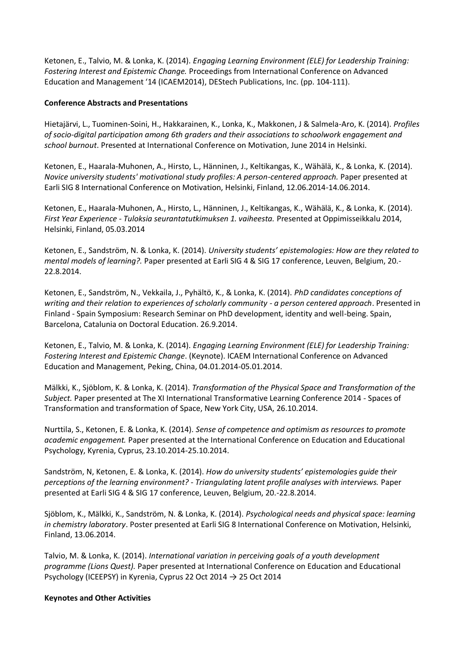Ketonen, E., Talvio, M. & Lonka, K. (2014). *Engaging Learning Environment (ELE) for Leadership Training: Fostering Interest and Epistemic Change.* Proceedings from International Conference on Advanced Education and Management '14 (ICAEM2014), DEStech Publications, Inc. (pp. 104-111).

### **Conference Abstracts and Presentations**

Hietajärvi, L., Tuominen-Soini, H., Hakkarainen, K., Lonka, K., Makkonen, J & Salmela-Aro, K. (2014). *Profiles of socio-digital participation among 6th graders and their associations to schoolwork engagement and school burnout*. Presented at International Conference on Motivation, June 2014 in Helsinki.

Ketonen, E., Haarala-Muhonen, A., Hirsto, L., Hänninen, J., Keltikangas, K., Wähälä, K., & Lonka, K. (2014). *Novice university students' motivational study profiles: A person-centered approach.* Paper presented at Earli SIG 8 International Conference on Motivation, Helsinki, Finland, 12.06.2014-14.06.2014.

Ketonen, E., Haarala-Muhonen, A., Hirsto, L., Hänninen, J., Keltikangas, K., Wähälä, K., & Lonka, K. (2014). *First Year Experience - Tuloksia seurantatutkimuksen 1. vaiheesta.* Presented at Oppimisseikkalu 2014, Helsinki, Finland, 05.03.2014

Ketonen, E., Sandström, N. & Lonka, K. (2014). *University students' epistemologies: How are they related to mental models of learning?.* Paper presented at Earli SIG 4 & SIG 17 conference, Leuven, Belgium, 20.- 22.8.2014.

Ketonen, E., Sandström, N., Vekkaila, J., Pyhältö, K., & Lonka, K. (2014). *PhD candidates conceptions of writing and their relation to experiences of scholarly community - a person centered approach*. Presented in Finland - Spain Symposium: Research Seminar on PhD development, identity and well-being. Spain, Barcelona, Catalunia on Doctoral Education. 26.9.2014.

Ketonen, E., Talvio, M. & Lonka, K. (2014). *Engaging Learning Environment (ELE) for Leadership Training: Fostering Interest and Epistemic Change*. (Keynote). ICAEM International Conference on Advanced Education and Management, Peking, China, 04.01.2014-05.01.2014.

Mälkki, K., Sjöblom, K. & Lonka, K. (2014). *Transformation of the Physical Space and Transformation of the Subject.* Paper presented at The XI International Transformative Learning Conference 2014 - Spaces of Transformation and transformation of Space, New York City, USA, 26.10.2014.

Nurttila, S., Ketonen, E. & Lonka, K. (2014). *Sense of competence and optimism as resources to promote academic engagement.* Paper presented at the International Conference on Education and Educational Psychology, Kyrenia, Cyprus, 23.10.2014-25.10.2014.

Sandström, N, Ketonen, E. & Lonka, K. (2014). *How do university students' epistemologies guide their perceptions of the learning environment? - Triangulating latent profile analyses with interviews.* Paper presented at Earli SIG 4 & SIG 17 conference, Leuven, Belgium, 20.-22.8.2014.

Sjöblom, K., Mälkki, K., Sandström, N. & Lonka, K. (2014). *Psychological needs and physical space: learning in chemistry laboratory*. Poster presented at Earli SIG 8 International Conference on Motivation, Helsinki, Finland, 13.06.2014.

Talvio, M. & Lonka, K. (2014). *International variation in perceiving goals of a youth development programme (Lions Quest).* Paper presented at International Conference on Education and Educational Psychology (ICEEPSY) in Kyrenia, Cyprus 22 Oct 2014  $\rightarrow$  25 Oct 2014

### **Keynotes and Other Activities**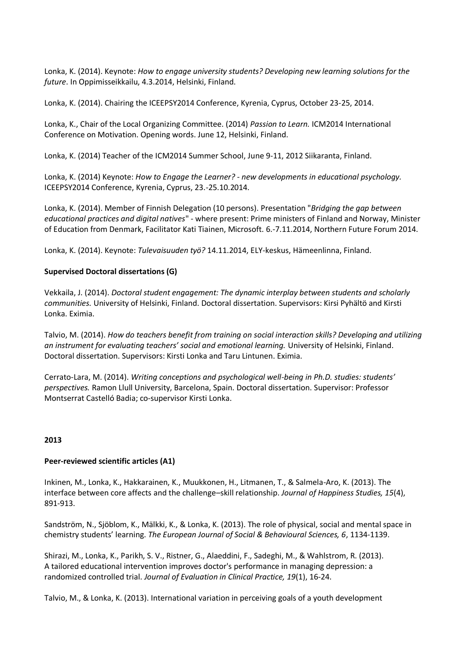Lonka, K. (2014). Keynote: *How to engage university students? Developing new learning solutions for the future*. In Oppimisseikkailu, 4.3.2014, Helsinki, Finland.

Lonka, K. (2014). Chairing the ICEEPSY2014 Conference, Kyrenia, Cyprus, October 23-25, 2014.

Lonka, K., Chair of the Local Organizing Committee. (2014) *Passion to Learn.* ICM2014 International Conference on Motivation. Opening words. June 12, Helsinki, Finland.

Lonka, K. (2014) Teacher of the ICM2014 Summer School, June 9-11, 2012 Siikaranta, Finland.

Lonka, K. (2014) Keynote: *How to Engage the Learner? - new developments in educational psychology.*  ICEEPSY2014 Conference, Kyrenia, Cyprus, 23.-25.10.2014.

Lonka, K. (2014). Member of Finnish Delegation (10 persons). Presentation "*Bridging the gap between educational practices and digital natives*" - where present: Prime ministers of Finland and Norway, Minister of Education from Denmark, Facilitator Kati Tiainen, Microsoft. 6.-7.11.2014, Northern Future Forum 2014.

Lonka, K. (2014). Keynote: *Tulevaisuuden työ?* 14.11.2014, ELY-keskus, Hämeenlinna, Finland.

### **Supervised Doctoral dissertations (G)**

Vekkaila, J. (2014). *Doctoral student engagement: The dynamic interplay between students and scholarly communities.* University of Helsinki, Finland. Doctoral dissertation. Supervisors: Kirsi Pyhältö and Kirsti Lonka. Eximia.

Talvio, M. (2014). *How do teachers benefit from training on social interaction skills? Developing and utilizing an instrument for evaluating teachers' social and emotional learning.* University of Helsinki, Finland. Doctoral dissertation. Supervisors: Kirsti Lonka and Taru Lintunen. Eximia.

Cerrato-Lara, M. (2014). *Writing conceptions and psychological well-being in Ph.D. studies: students' perspectives.* Ramon Llull University, Barcelona, Spain. Doctoral dissertation. Supervisor: Professor Montserrat Castelló Badia; co-supervisor Kirsti Lonka.

### **2013**

### **Peer-reviewed scientific articles (A1)**

Inkinen, M., Lonka, K., Hakkarainen, K., Muukkonen, H., Litmanen, T., & Salmela-Aro, K. (2013). The interface between core affects and the challenge–skill relationship. *Journal of Happiness Studies, 15*(4), 891-913.

Sandström, N., Sjöblom, K., Mälkki, K., & Lonka, K. (2013). The role of physical, social and mental space in chemistry students' learning. *The European Journal of Social & Behavioural Sciences, 6*, 1134-1139.

Shirazi, M., Lonka, K., Parikh, S. V., Ristner, G., Alaeddini, F., Sadeghi, M., & Wahlstrom, R. (2013). A tailored educational intervention improves doctor's performance in managing depression: a randomized controlled trial. *Journal of Evaluation in Clinical Practice, 19*(1), 16-24.

Talvio, M., & Lonka, K. (2013). International variation in perceiving goals of a youth development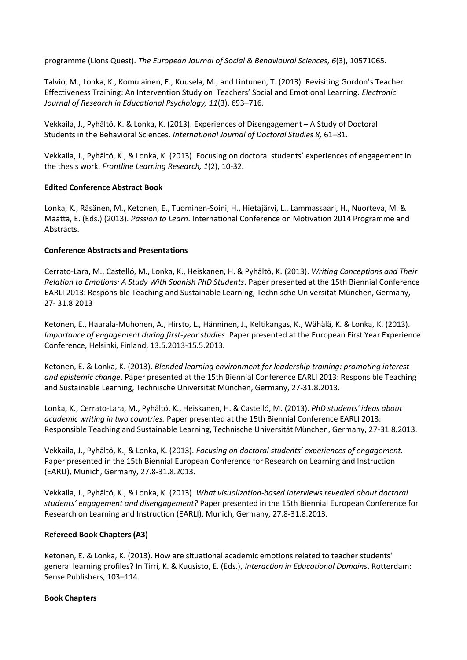programme (Lions Quest). *The European Journal of Social & Behavioural Sciences, 6*(3), 10571065.

Talvio, M., Lonka, K., Komulainen, E., Kuusela, M., and Lintunen, T. (2013). Revisiting Gordon's Teacher Effectiveness Training: An Intervention Study on Teachers' Social and Emotional Learning. *Electronic Journal of Research in Educational Psychology, 11*(3), 693–716.

Vekkaila, J., Pyhältö, K. & Lonka, K. (2013). Experiences of Disengagement – A Study of Doctoral Students in the Behavioral Sciences. *International Journal of Doctoral Studies 8,* 61–81.

Vekkaila, J., Pyhältö, K., & Lonka, K. (2013). Focusing on doctoral students' experiences of engagement in the thesis work. *Frontline Learning Research, 1*(2), 10-32.

### **Edited Conference Abstract Book**

Lonka, K., Räsänen, M., Ketonen, E., Tuominen-Soini, H., Hietajärvi, L., Lammassaari, H., Nuorteva, M. & Määttä, E. (Eds.) (2013). *Passion to Learn*. International Conference on Motivation 2014 Programme and Abstracts.

### **Conference Abstracts and Presentations**

Cerrato-Lara, M., Castelló, M., Lonka, K., Heiskanen, H. & Pyhältö, K. (2013). *Writing Conceptions and Their Relation to Emotions: A Study With Spanish PhD Students*. Paper presented at the 15th Biennial Conference EARLI 2013: Responsible Teaching and Sustainable Learning, Technische Universität München, Germany, 27- 31.8.2013

Ketonen, E., Haarala-Muhonen, A., Hirsto, L., Hänninen, J., Keltikangas, K., Wähälä, K. & Lonka, K. (2013). *Importance of engagement during first-year studies*. Paper presented at the European First Year Experience Conference, Helsinki, Finland, 13.5.2013-15.5.2013.

Ketonen, E. & Lonka, K. (2013). *Blended learning environment for leadership training: promoting interest and epistemic change*. Paper presented at the 15th Biennial Conference EARLI 2013: Responsible Teaching and Sustainable Learning, Technische Universität München, Germany, 27-31.8.2013.

Lonka, K., Cerrato-Lara, M., Pyhältö, K., Heiskanen, H. & Castelló, M. (2013). *PhD students' ideas about academic writing in two countries.* Paper presented at the 15th Biennial Conference EARLI 2013: Responsible Teaching and Sustainable Learning, Technische Universität München, Germany, 27-31.8.2013.

Vekkaila, J., Pyhältö, K., & Lonka, K. (2013). *Focusing on doctoral students' experiences of engagement.*  Paper presented in the 15th Biennial European Conference for Research on Learning and Instruction (EARLI), Munich, Germany, 27.8-31.8.2013.

Vekkaila, J., Pyhältö, K., & Lonka, K. (2013). *What visualization-based interviews revealed about doctoral students' engagement and disengagement?* Paper presented in the 15th Biennial European Conference for Research on Learning and Instruction (EARLI), Munich, Germany, 27.8-31.8.2013.

### **Refereed Book Chapters (A3)**

Ketonen, E. & Lonka, K. (2013). How are situational academic emotions related to teacher students' general learning profiles? In Tirri, K. & Kuusisto, E. (Eds.), *Interaction in Educational Domains*. Rotterdam: Sense Publishers, 103–114.

### **Book Chapters**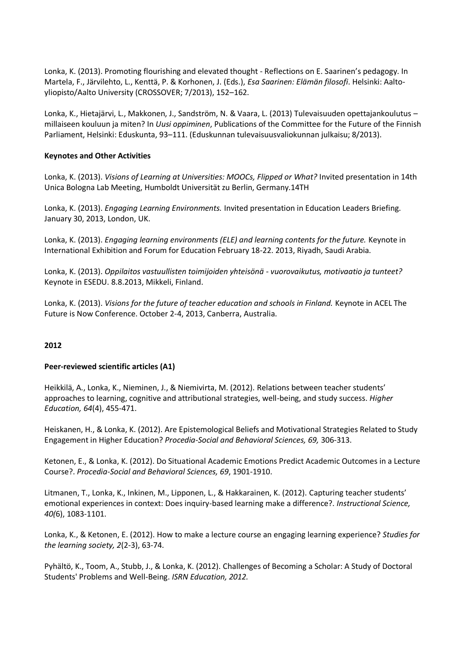Lonka, K. (2013). Promoting flourishing and elevated thought - Reflections on E. Saarinen's pedagogy. In Martela, F., Järvilehto, L., Kenttä, P. & Korhonen, J. (Eds.), *Esa Saarinen: Elämän filosofi*. Helsinki: Aaltoyliopisto/Aalto University (CROSSOVER; 7/2013), 152–162.

Lonka, K., Hietajärvi, L., Makkonen, J., Sandström, N. & Vaara, L. (2013) Tulevaisuuden opettajankoulutus – millaiseen kouluun ja miten? In *Uusi oppiminen*, Publications of the Committee for the Future of the Finnish Parliament, Helsinki: Eduskunta, 93–111. (Eduskunnan tulevaisuusvaliokunnan julkaisu; 8/2013).

### **Keynotes and Other Activities**

Lonka, K. (2013). *Visions of Learning at Universities: MOOCs, Flipped or What?* Invited presentation in 14th Unica Bologna Lab Meeting, Humboldt Universität zu Berlin, Germany.14TH

Lonka, K. (2013). *Engaging Learning Environments.* Invited presentation in Education Leaders Briefing. January 30, 2013, London, UK.

Lonka, K. (2013). *Engaging learning environments (ELE) and learning contents for the future.* Keynote in International Exhibition and Forum for Education February 18-22. 2013, Riyadh, Saudi Arabia.

Lonka, K. (2013). *Oppilaitos vastuullisten toimijoiden yhteisönä - vuorovaikutus, motivaatio ja tunteet?* Keynote in ESEDU. 8.8.2013, Mikkeli, Finland.

Lonka, K. (2013). *Visions for the future of teacher education and schools in Finland.* Keynote in ACEL The Future is Now Conference. October 2-4, 2013, Canberra, Australia.

# **2012**

### **Peer-reviewed scientific articles (A1)**

Heikkilä, A., Lonka, K., Nieminen, J., & Niemivirta, M. (2012). Relations between teacher students' approaches to learning, cognitive and attributional strategies, well-being, and study success. *Higher Education, 64*(4), 455-471.

Heiskanen, H., & Lonka, K. (2012). Are Epistemological Beliefs and Motivational Strategies Related to Study Engagement in Higher Education? *Procedia-Social and Behavioral Sciences, 69,* 306-313.

Ketonen, E., & Lonka, K. (2012). Do Situational Academic Emotions Predict Academic Outcomes in a Lecture Course?. *Procedia-Social and Behavioral Sciences, 69*, 1901-1910.

Litmanen, T., Lonka, K., Inkinen, M., Lipponen, L., & Hakkarainen, K. (2012). Capturing teacher students' emotional experiences in context: Does inquiry-based learning make a difference?. *Instructional Science, 40(*6), 1083-1101.

Lonka, K., & Ketonen, E. (2012). How to make a lecture course an engaging learning experience? *Studies for the learning society, 2*(2-3), 63-74.

Pyhältö, K., Toom, A., Stubb, J., & Lonka, K. (2012). Challenges of Becoming a Scholar: A Study of Doctoral Students' Problems and Well-Being. *ISRN Education, 2012.*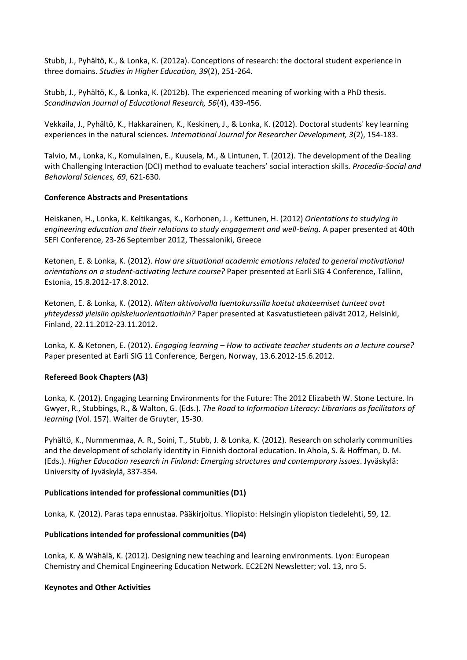Stubb, J., Pyhältö, K., & Lonka, K. (2012a). Conceptions of research: the doctoral student experience in three domains. *Studies in Higher Education, 39*(2), 251-264.

Stubb, J., Pyhältö, K., & Lonka, K. (2012b). The experienced meaning of working with a PhD thesis. *Scandinavian Journal of Educational Research, 56*(4), 439-456.

Vekkaila, J., Pyhältö, K., Hakkarainen, K., Keskinen, J., & Lonka, K. (2012). Doctoral students' key learning experiences in the natural sciences. *International Journal for Researcher Development, 3*(2), 154-183.

Talvio, M., Lonka, K., Komulainen, E., Kuusela, M., & Lintunen, T. (2012). The development of the Dealing with Challenging Interaction (DCI) method to evaluate teachers' social interaction skills. *Procedia-Social and Behavioral Sciences, 69*, 621-630.

### **Conference Abstracts and Presentations**

Heiskanen, H., Lonka, K. Keltikangas, K., Korhonen, J. , Kettunen, H. (2012) *Orientations to studying in engineering education and their relations to study engagement and well-being.* A paper presented at 40th SEFI Conference, 23-26 September 2012, Thessaloniki, Greece

Ketonen, E. & Lonka, K. (2012). *How are situational academic emotions related to general motivational orientations on a student-activating lecture course?* Paper presented at Earli SIG 4 Conference, Tallinn, Estonia, 15.8.2012-17.8.2012.

Ketonen, E. & Lonka, K. (2012). *Miten aktivoivalla luentokurssilla koetut akateemiset tunteet ovat yhteydessä yleisiin opiskeluorientaatioihin?* Paper presented at Kasvatustieteen päivät 2012, Helsinki, Finland, 22.11.2012-23.11.2012.

Lonka, K. & Ketonen, E. (2012). *Engaging learning – How to activate teacher students on a lecture course?* Paper presented at Earli SIG 11 Conference, Bergen, Norway, 13.6.2012-15.6.2012.

### **Refereed Book Chapters (A3)**

Lonka, K. (2012). Engaging Learning Environments for the Future: The 2012 Elizabeth W. Stone Lecture. In Gwyer, R., Stubbings, R., & Walton, G. (Eds.). *The Road to Information Literacy: Librarians as facilitators of learning* (Vol. 157). Walter de Gruyter, 15-30.

Pyhältö, K., Nummenmaa, A. R., Soini, T., Stubb, J. & Lonka, K. (2012). Research on scholarly communities and the development of scholarly identity in Finnish doctoral education. In Ahola, S. & Hoffman, D. M. (Eds.). *Higher Education research in Finland: Emerging structures and contemporary issues*. Jyväskylä: University of Jyväskylä, 337-354.

### **Publications intended for professional communities (D1)**

Lonka, K. (2012). Paras tapa ennustaa. Pääkirjoitus. Yliopisto: Helsingin yliopiston tiedelehti, 59, 12.

### **Publications intended for professional communities (D4)**

Lonka, K. & Wähälä, K. (2012). Designing new teaching and learning environments. Lyon: European Chemistry and Chemical Engineering Education Network. EC2E2N Newsletter; vol. 13, nro 5.

### **Keynotes and Other Activities**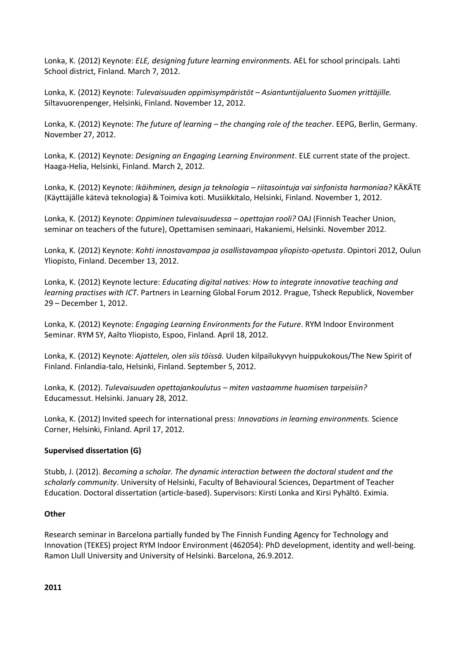Lonka, K. (2012) Keynote: *ELE, designing future learning environments.* AEL for school principals. Lahti School district, Finland. March 7, 2012.

Lonka, K. (2012) Keynote: *Tulevaisuuden oppimisympäristöt – Asiantuntijaluento Suomen yrittäjille.* Siltavuorenpenger, Helsinki, Finland. November 12, 2012.

Lonka, K. (2012) Keynote: *The future of learning – the changing role of the teacher*. EEPG, Berlin, Germany. November 27, 2012.

Lonka, K. (2012) Keynote: *Designing an Engaging Learning Environment*. ELE current state of the project. Haaga-Helia, Helsinki, Finland. March 2, 2012.

Lonka, K. (2012) Keynote: *Ikäihminen, design ja teknologia – riitasointuja vai sinfonista harmoniaa?* KÄKÄTE (Käyttäjälle kätevä teknologia) & Toimiva koti. Musiikkitalo, Helsinki, Finland. November 1, 2012.

Lonka, K. (2012) Keynote: *Oppiminen tulevaisuudessa – opettajan rooli?* OAJ (Finnish Teacher Union, seminar on teachers of the future), Opettamisen seminaari, Hakaniemi, Helsinki. November 2012.

Lonka, K. (2012) Keynote: *Kohti innostavampaa ja osallistavampaa yliopisto-opetusta*. Opintori 2012, Oulun Yliopisto, Finland. December 13, 2012.

Lonka, K. (2012) Keynote lecture: *Educating digital natives: How to integrate innovative teaching and learning practises with ICT*. Partners in Learning Global Forum 2012. Prague, Tsheck Republick, November 29 – December 1, 2012.

Lonka, K. (2012) Keynote: *Engaging Learning Environments for the Future*. RYM Indoor Environment Seminar. RYM SY, Aalto Yliopisto, Espoo, Finland. April 18, 2012.

Lonka, K. (2012) Keynote: *Ajattelen, olen siis töissä.* Uuden kilpailukyvyn huippukokous/The New Spirit of Finland. Finlandia-talo, Helsinki, Finland. September 5, 2012.

Lonka, K. (2012). *Tulevaisuuden opettajankoulutus – miten vastaamme huomisen tarpeisiin?*  Educamessut. Helsinki. January 28, 2012.

Lonka, K. (2012) Invited speech for international press: *Innovations in learning environments.* Science Corner, Helsinki, Finland. April 17, 2012.

### **Supervised dissertation (G)**

Stubb, J. (2012). *Becoming a scholar. The dynamic interaction between the doctoral student and the scholarly community*. University of Helsinki, Faculty of Behavioural Sciences, Department of Teacher Education. Doctoral dissertation (article-based). Supervisors: Kirsti Lonka and Kirsi Pyhältö. Eximia.

### **Other**

Research seminar in Barcelona partially funded by The Finnish Funding Agency for Technology and Innovation (TEKES) project RYM Indoor Environment (462054): PhD development, identity and well-being. Ramon Llull University and University of Helsinki. Barcelona, 26.9.2012.

**2011**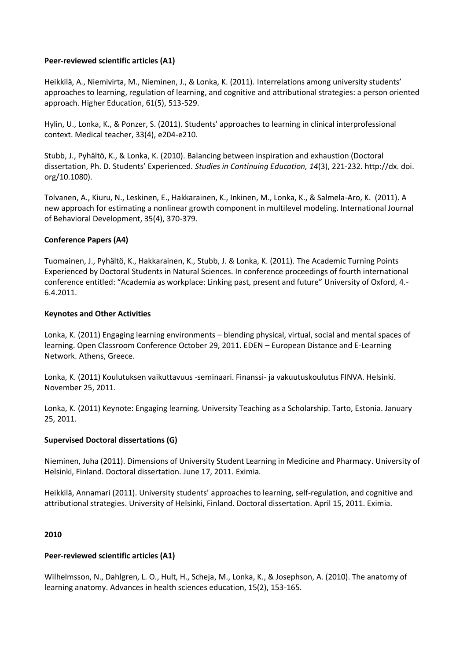### **Peer-reviewed scientific articles (A1)**

Heikkilä, A., Niemivirta, M., Nieminen, J., & Lonka, K. (2011). Interrelations among university students' approaches to learning, regulation of learning, and cognitive and attributional strategies: a person oriented approach. Higher Education, 61(5), 513-529.

Hylin, U., Lonka, K., & Ponzer, S. (2011). Students' approaches to learning in clinical interprofessional context. Medical teacher, 33(4), e204-e210.

Stubb, J., Pyhältö, K., & Lonka, K. (2010). Balancing between inspiration and exhaustion (Doctoral dissertation, Ph. D. Students' Experienced*. Studies in Continuing Education, 14*(3), 221-232. http://dx. doi. org/10.1080).

Tolvanen, A., Kiuru, N., Leskinen, E., Hakkarainen, K., Inkinen, M., Lonka, K., & Salmela-Aro, K. (2011). A new approach for estimating a nonlinear growth component in multilevel modeling. International Journal of Behavioral Development, 35(4), 370-379.

### **Conference Papers (A4)**

Tuomainen, J., Pyhältö, K., Hakkarainen, K., Stubb, J. & Lonka, K. (2011). The Academic Turning Points Experienced by Doctoral Students in Natural Sciences. In conference proceedings of fourth international conference entitled: "Academia as workplace: Linking past, present and future" University of Oxford, 4.- 6.4.2011.

### **Keynotes and Other Activities**

Lonka, K. (2011) Engaging learning environments – blending physical, virtual, social and mental spaces of learning. Open Classroom Conference October 29, 2011. EDEN – European Distance and E-Learning Network. Athens, Greece.

Lonka, K. (2011) Koulutuksen vaikuttavuus -seminaari. Finanssi- ja vakuutuskoulutus FINVA. Helsinki. November 25, 2011.

Lonka, K. (2011) Keynote: Engaging learning. University Teaching as a Scholarship. Tarto, Estonia. January 25, 2011.

### **Supervised Doctoral dissertations (G)**

Nieminen, Juha (2011). Dimensions of University Student Learning in Medicine and Pharmacy. University of Helsinki, Finland. Doctoral dissertation. June 17, 2011. Eximia.

Heikkilä, Annamari (2011). University students' approaches to learning, self-regulation, and cognitive and attributional strategies. University of Helsinki, Finland. Doctoral dissertation. April 15, 2011. Eximia.

### **2010**

### **Peer-reviewed scientific articles (A1)**

Wilhelmsson, N., Dahlgren, L. O., Hult, H., Scheja, M., Lonka, K., & Josephson, A. (2010). The anatomy of learning anatomy. Advances in health sciences education, 15(2), 153-165.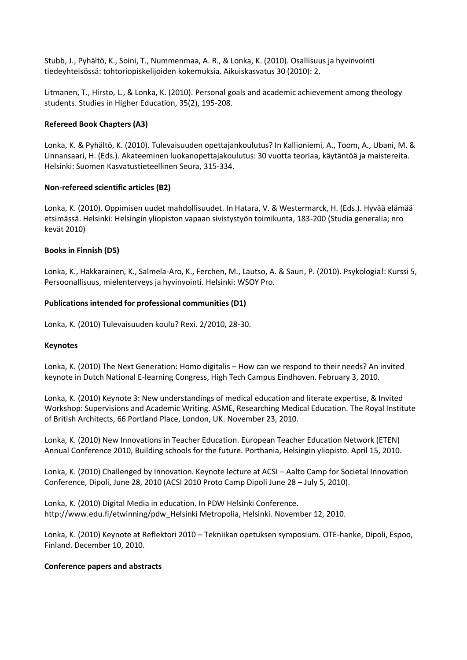Stubb, J., Pyhältö, K., Soini, T., Nummenmaa, A. R., & Lonka, K. (2010). Osallisuus ja hyvinvointi tiedeyhteisössä: tohtoriopiskelijoiden kokemuksia. Aikuiskasvatus 30 (2010): 2.

Litmanen, T., Hirsto, L., & Lonka, K. (2010). Personal goals and academic achievement among theology students. Studies in Higher Education, 35(2), 195-208.

### **Refereed Book Chapters (A3)**

Lonka, K. & Pyhältö, K. (2010). Tulevaisuuden opettajankoulutus? In Kallioniemi, A., Toom, A., Ubani, M. & Linnansaari, H. (Eds.). Akateeminen luokanopettajakoulutus: 30 vuotta teoriaa, käytäntöä ja maistereita. Helsinki: Suomen Kasvatustieteellinen Seura, 315-334.

### **Non-refereed scientific articles (B2)**

Lonka, K. (2010). Oppimisen uudet mahdollisuudet. In Hatara, V. & Westermarck, H. (Eds.). Hyvää elämää etsimässä. Helsinki: Helsingin yliopiston vapaan sivistystyön toimikunta, 183-200 (Studia generalia; nro kevät 2010)

### **Books in Finnish (D5)**

Lonka, K., Hakkarainen, K., Salmela-Aro, K., Ferchen, M., Lautso, A. & Sauri, P. (2010). Psykologia!: Kurssi 5, Persoonallisuus, mielenterveys ja hyvinvointi. Helsinki: WSOY Pro.

### **Publications intended for professional communities (D1)**

Lonka, K. (2010) Tulevaisuuden koulu? Rexi. 2/2010, 28-30.

### **Keynotes**

Lonka, K. (2010) The Next Generation: Homo digitalis – How can we respond to their needs? An invited keynote in Dutch National E-learning Congress, High Tech Campus Eindhoven. February 3, 2010.

Lonka, K. (2010) Keynote 3: New understandings of medical education and literate expertise, & Invited Workshop: Supervisions and Academic Writing. ASME, Researching Medical Education. The Royal Institute of British Architects, 66 Portland Place, London, UK. November 23, 2010.

Lonka, K. (2010) New Innovations in Teacher Education. European Teacher Education Network (ETEN) Annual Conference 2010, Building schools for the future. Porthania, Helsingin yliopisto. April 15, 2010.

Lonka, K. (2010) Challenged by Innovation. Keynote lecture at ACSI – Aalto Camp for Societal Innovation Conference, Dipoli, June 28, 2010 (ACSI 2010 Proto Camp Dipoli June 28 – July 5, 2010).

Lonka, K. (2010) Digital Media in education. In PDW Helsinki Conference. http://www.edu.fi/etwinning/pdw\_Helsinki Metropolia, Helsinki. November 12, 2010.

Lonka, K. (2010) Keynote at Reflektori 2010 – Tekniikan opetuksen symposium. OTE-hanke, Dipoli, Espoo, Finland. December 10, 2010.

### **Conference papers and abstracts**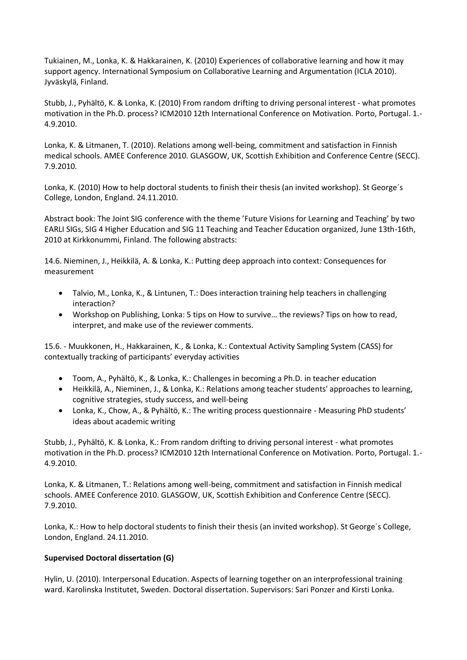Tukiainen, M., Lonka, K. & Hakkarainen, K. (2010) Experiences of collaborative learning and how it may support agency. International Symposium on Collaborative Learning and Argumentation (ICLA 2010). Jyväskylä, Finland.

Stubb, J., Pyhältö, K. & Lonka, K. (2010) From random drifting to driving personal interest - what promotes motivation in the Ph.D. process? ICM2010 12th International Conference on Motivation. Porto, Portugal. 1.- 4.9.2010.

Lonka, K. & Litmanen, T. (2010). Relations among well-being, commitment and satisfaction in Finnish medical schools. AMEE Conference 2010. GLASGOW, UK, Scottish Exhibition and Conference Centre (SECC). 7.9.2010.

Lonka, K. (2010) How to help doctoral students to finish their thesis (an invited workshop). St George´s College, London, England. 24.11.2010.

Abstract book: The Joint SIG conference with the theme 'Future Visions for Learning and Teaching' by two EARLI SIGs, SIG 4 Higher Education and SIG 11 Teaching and Teacher Education organized, June 13th-16th, 2010 at Kirkkonummi, Finland. The following abstracts:

14.6. Nieminen, J., Heikkilä, A. & Lonka, K.: Putting deep approach into context: Consequences for measurement

- Talvio, M., Lonka, K., & Lintunen, T.: Does interaction training help teachers in challenging interaction?
- Workshop on Publishing, Lonka: 5 tips on How to survive… the reviews? Tips on how to read, interpret, and make use of the reviewer comments.

15.6. - Muukkonen, H., Hakkarainen, K., & Lonka, K.: Contextual Activity Sampling System (CASS) for contextually tracking of participants' everyday activities

- Toom, A., Pyhältö, K., & Lonka, K.: Challenges in becoming a Ph.D. in teacher education
- Heikkilä, A., Nieminen, J., & Lonka, K.: Relations among teacher students' approaches to learning, cognitive strategies, study success, and well-being
- Lonka, K., Chow, A., & Pyhältö, K.: The writing process questionnaire Measuring PhD students' ideas about academic writing

Stubb, J., Pyhältö, K. & Lonka, K.: From random drifting to driving personal interest - what promotes motivation in the Ph.D. process? ICM2010 12th International Conference on Motivation. Porto, Portugal. 1.- 4.9.2010.

Lonka, K. & Litmanen, T.: Relations among well-being, commitment and satisfaction in Finnish medical schools. AMEE Conference 2010. GLASGOW, UK, Scottish Exhibition and Conference Centre (SECC). 7.9.2010.

Lonka, K.: How to help doctoral students to finish their thesis (an invited workshop). St George´s College, London, England. 24.11.2010.

### **Supervised Doctoral dissertation (G)**

Hylin, U. (2010). Interpersonal Education. Aspects of learning together on an interprofessional training ward. Karolinska Institutet, Sweden. Doctoral dissertation. Supervisors: Sari Ponzer and Kirsti Lonka.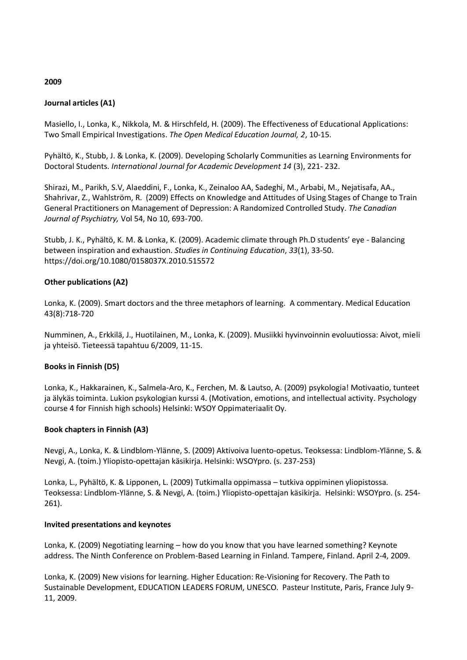### **2009**

### **Journal articles (A1)**

Masiello, I., Lonka, K., Nikkola, M. & Hirschfeld, H. (2009). The Effectiveness of Educational Applications: Two Small Empirical Investigations. *The Open Medical Education Journal, 2*, 10-15.

Pyhältö, K., Stubb, J. & Lonka, K. (2009). Developing Scholarly Communities as Learning Environments for Doctoral Students. *International Journal for Academic Development 14* (3), 221- 232.

Shirazi, M., Parikh, S.V, Alaeddini, F., Lonka, K., Zeinaloo AA, Sadeghi, M., Arbabi, M., Nejatisafa, AA., Shahrivar, Z., Wahlström, R. (2009) Effects on Knowledge and Attitudes of Using Stages of Change to Train General Practitioners on Management of Depression: A Randomized Controlled Study. *The Canadian Journal of Psychiatry,* Vol 54, No 10, 693-700.

Stubb, J. K., Pyhältö, K. M. & Lonka, K. (2009). Academic climate through Ph.D students' eye - Balancing between inspiration and exhaustion. *Studies in Continuing Education*, *33*(1), 33-50. https://doi.org/10.1080/0158037X.2010.515572

### **Other publications (A2)**

Lonka, K. (2009). Smart doctors and the three metaphors of learning. A commentary. Medical Education 43(8):718-720

Numminen, A., Erkkilä, J., Huotilainen, M., Lonka, K. (2009). Musiikki hyvinvoinnin evoluutiossa: Aivot, mieli ja yhteisö. Tieteessä tapahtuu 6/2009, 11-15.

### **Books in Finnish (D5)**

Lonka, K., Hakkarainen, K., Salmela-Aro, K., Ferchen, M. & Lautso, A. (2009) psykologia! Motivaatio, tunteet ja älykäs toiminta. Lukion psykologian kurssi 4. (Motivation, emotions, and intellectual activity. Psychology course 4 for Finnish high schools) Helsinki: WSOY Oppimateriaalit Oy.

### **Book chapters in Finnish (A3)**

Nevgi, A., Lonka, K. & Lindblom-Ylänne, S. (2009) Aktivoiva luento-opetus. Teoksessa: Lindblom-Ylänne, S. & Nevgi, A. (toim.) Yliopisto-opettajan käsikirja. Helsinki: WSOYpro. (s. 237-253)

Lonka, L., Pyhältö, K. & Lipponen, L. (2009) Tutkimalla oppimassa – tutkiva oppiminen yliopistossa. Teoksessa: Lindblom-Ylänne, S. & Nevgi, A. (toim.) Yliopisto-opettajan käsikirja. Helsinki: WSOYpro. (s. 254- 261).

### **Invited presentations and keynotes**

Lonka, K. (2009) Negotiating learning – how do you know that you have learned something? Keynote address. The Ninth Conference on Problem-Based Learning in Finland. Tampere, Finland. April 2-4, 2009.

Lonka, K. (2009) New visions for learning. Higher Education: Re-Visioning for Recovery. The Path to Sustainable Development, EDUCATION LEADERS FORUM, UNESCO. Pasteur Institute, Paris, France July 9- 11, 2009.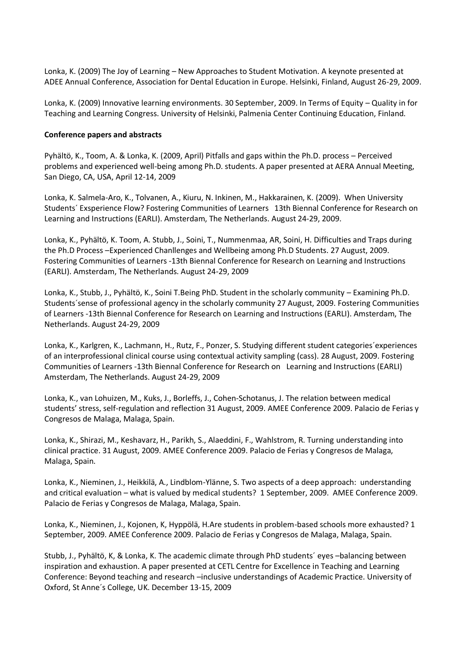Lonka, K. (2009) The Joy of Learning – New Approaches to Student Motivation. A keynote presented at ADEE Annual Conference, Association for Dental Education in Europe. Helsinki, Finland, August 26-29, 2009.

Lonka, K. (2009) Innovative learning environments. 30 September, 2009. In Terms of Equity – Quality in for Teaching and Learning Congress. University of Helsinki, Palmenia Center Continuing Education, Finland.

### **Conference papers and abstracts**

Pyhältö, K., Toom, A. & Lonka, K. (2009, April) Pitfalls and gaps within the Ph.D. process – Perceived problems and experienced well-being among Ph.D. students. A paper presented at AERA Annual Meeting, San Diego, CA, USA, April 12-14, 2009

Lonka, K. Salmela-Aro, K., Tolvanen, A., Kiuru, N. Inkinen, M., Hakkarainen, K. (2009). When University Students´ Exsperience Flow? Fostering Communities of Learners 13th Biennal Conference for Research on Learning and Instructions (EARLI). Amsterdam, The Netherlands. August 24-29, 2009.

Lonka, K., Pyhältö, K. Toom, A. Stubb, J., Soini, T., Nummenmaa, AR, Soini, H. Difficulties and Traps during the Ph.D Process –Experienced Chanllenges and Wellbeing among Ph.D Students. 27 August, 2009. Fostering Communities of Learners -13th Biennal Conference for Research on Learning and Instructions (EARLI). Amsterdam, The Netherlands. August 24-29, 2009

Lonka, K., Stubb, J., Pyhältö, K., Soini T.Being PhD. Student in the scholarly community – Examining Ph.D. Students´sense of professional agency in the scholarly community 27 August, 2009. Fostering Communities of Learners -13th Biennal Conference for Research on Learning and Instructions (EARLI). Amsterdam, The Netherlands. August 24-29, 2009

Lonka, K., Karlgren, K., Lachmann, H., Rutz, F., Ponzer, S. Studying different student categories´experiences of an interprofessional clinical course using contextual activity sampling (cass). 28 August, 2009. Fostering Communities of Learners -13th Biennal Conference for Research on Learning and Instructions (EARLI) Amsterdam, The Netherlands. August 24-29, 2009

Lonka, K., van Lohuizen, M., Kuks, J., Borleffs, J., Cohen-Schotanus, J. The relation between medical students' stress, self-regulation and reflection 31 August, 2009. AMEE Conference 2009. Palacio de Ferias y Congresos de Malaga, Malaga, Spain.

Lonka, K., Shirazi, M., Keshavarz, H., Parikh, S., Alaeddini, F., Wahlstrom, R. Turning understanding into clinical practice. 31 August, 2009. AMEE Conference 2009. Palacio de Ferias y Congresos de Malaga, Malaga, Spain.

Lonka, K., Nieminen, J., Heikkilä, A., Lindblom-Ylänne, S. Two aspects of a deep approach: understanding and critical evaluation – what is valued by medical students? 1 September, 2009. AMEE Conference 2009. Palacio de Ferias y Congresos de Malaga, Malaga, Spain.

Lonka, K., Nieminen, J., Kojonen, K, Hyppölä, H.Are students in problem-based schools more exhausted? 1 September, 2009. AMEE Conference 2009. Palacio de Ferias y Congresos de Malaga, Malaga, Spain.

Stubb, J., Pyhältö, K, & Lonka, K. The academic climate through PhD students´ eyes –balancing between inspiration and exhaustion. A paper presented at CETL Centre for Excellence in Teaching and Learning Conference: Beyond teaching and research –inclusive understandings of Academic Practice. University of Oxford, St Anne´s College, UK. December 13-15, 2009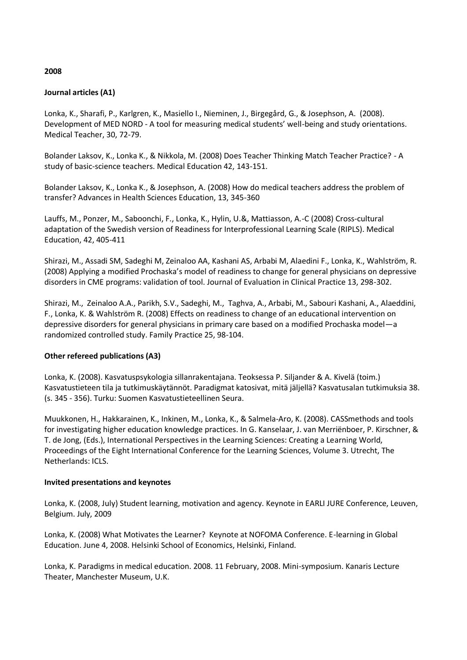# **2008**

#### **Journal articles (A1)**

Lonka, K., Sharafi, P., Karlgren, K., Masiello I., Nieminen, J., Birgegård, G., & Josephson, A. (2008). Development of MED NORD - A tool for measuring medical students' well-being and study orientations. Medical Teacher, 30, 72-79.

Bolander Laksov, K., Lonka K., & Nikkola, M. (2008) Does Teacher Thinking Match Teacher Practice? - A study of basic-science teachers. Medical Education 42, 143-151.

Bolander Laksov, K., Lonka K., & Josephson, A. (2008) How do medical teachers address the problem of transfer? Advances in Health Sciences Education, 13, 345-360

Lauffs, M., Ponzer, M., Saboonchi, F., Lonka, K., Hylin, U.&, Mattiasson, A.-C (2008) Cross-cultural adaptation of the Swedish version of Readiness for Interprofessional Learning Scale (RIPLS). Medical Education, 42, 405-411

Shirazi, M., Assadi SM, Sadeghi M, Zeinaloo AA, Kashani AS, Arbabi M, Alaedini F., Lonka, K., Wahlström, R. (2008) Applying a modified Prochaska's model of readiness to change for general physicians on depressive disorders in CME programs: validation of tool. Journal of Evaluation in Clinical Practice 13, 298-302.

Shirazi, M., Zeinaloo A.A., Parikh, S.V., Sadeghi, M., Taghva, A., Arbabi, M., Sabouri Kashani, A., Alaeddini, F., Lonka, K. & Wahlström R. (2008) Effects on readiness to change of an educational intervention on depressive disorders for general physicians in primary care based on a modified Prochaska model—a randomized controlled study. Family Practice 25, 98-104.

### **Other refereed publications (A3)**

Lonka, K. (2008). Kasvatuspsykologia sillanrakentajana. Teoksessa P. Siljander & A. Kivelä (toim.) Kasvatustieteen tila ja tutkimuskäytännöt. Paradigmat katosivat, mitä jäljellä? Kasvatusalan tutkimuksia 38. (s. 345 - 356). Turku: Suomen Kasvatustieteellinen Seura.

Muukkonen, H., Hakkarainen, K., Inkinen, M., Lonka, K., & Salmela-Aro, K. (2008). CASSmethods and tools for investigating higher education knowledge practices. In G. Kanselaar, J. van Merriënboer, P. Kirschner, & T. de Jong, (Eds.), International Perspectives in the Learning Sciences: Creating a Learning World, Proceedings of the Eight International Conference for the Learning Sciences, Volume 3. Utrecht, The Netherlands: ICLS.

#### **Invited presentations and keynotes**

Lonka, K. (2008, July) Student learning, motivation and agency. Keynote in EARLI JURE Conference, Leuven, Belgium. July, 2009

Lonka, K. (2008) What Motivates the Learner? Keynote at NOFOMA Conference. E-learning in Global Education. June 4, 2008. Helsinki School of Economics, Helsinki, Finland.

Lonka, K. Paradigms in medical education. 2008. 11 February, 2008. Mini-symposium. Kanaris Lecture Theater, Manchester Museum, U.K.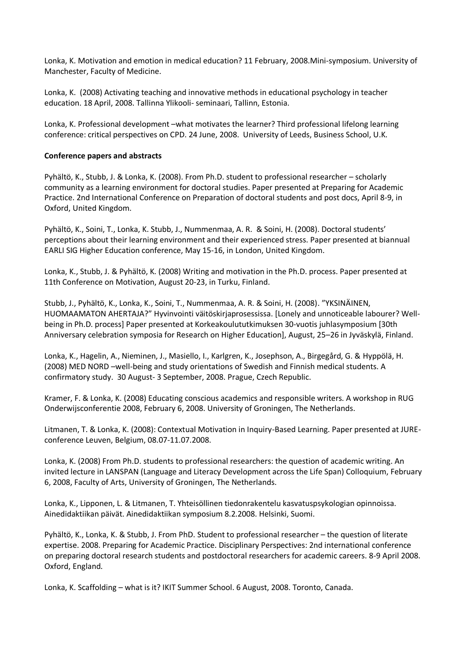Lonka, K. Motivation and emotion in medical education? 11 February, 2008.Mini-symposium. University of Manchester, Faculty of Medicine.

Lonka, K. (2008) Activating teaching and innovative methods in educational psychology in teacher education. 18 April, 2008. Tallinna Ylikooli- seminaari, Tallinn, Estonia.

Lonka, K. Professional development –what motivates the learner? Third professional lifelong learning conference: critical perspectives on CPD. 24 June, 2008. University of Leeds, Business School, U.K.

### **Conference papers and abstracts**

Pyhältö, K., Stubb, J. & Lonka, K. (2008). From Ph.D. student to professional researcher – scholarly community as a learning environment for doctoral studies. Paper presented at Preparing for Academic Practice. 2nd International Conference on Preparation of doctoral students and post docs, April 8-9, in Oxford, United Kingdom.

Pyhältö, K., Soini, T., Lonka, K. Stubb, J., Nummenmaa, A. R. & Soini, H. (2008). Doctoral students' perceptions about their learning environment and their experienced stress. Paper presented at biannual EARLI SIG Higher Education conference, May 15-16, in London, United Kingdom.

Lonka, K., Stubb, J. & Pyhältö, K. (2008) Writing and motivation in the Ph.D. process. Paper presented at 11th Conference on Motivation, August 20-23, in Turku, Finland.

Stubb, J., Pyhältö, K., Lonka, K., Soini, T., Nummenmaa, A. R. & Soini, H. (2008). "YKSINÄINEN, HUOMAAMATON AHERTAJA?" Hyvinvointi väitöskirjaprosessissa. [Lonely and unnoticeable labourer? Wellbeing in Ph.D. process] Paper presented at Korkeakoulututkimuksen 30-vuotis juhlasymposium [30th Anniversary celebration symposia for Research on Higher Education], August, 25–26 in Jyväskylä, Finland.

Lonka, K., Hagelin, A., Nieminen, J., Masiello, I., Karlgren, K., Josephson, A., Birgegård, G. & Hyppölä, H. (2008) MED NORD –well-being and study orientations of Swedish and Finnish medical students. A confirmatory study. 30 August- 3 September, 2008. Prague, Czech Republic.

Kramer, F. & Lonka, K. (2008) Educating conscious academics and responsible writers. A workshop in RUG Onderwijsconferentie 2008, February 6, 2008. University of Groningen, The Netherlands.

Litmanen, T. & Lonka, K. (2008): Contextual Motivation in Inquiry-Based Learning. Paper presented at JUREconference Leuven, Belgium, 08.07-11.07.2008.

Lonka, K. (2008) From Ph.D. students to professional researchers: the question of academic writing. An invited lecture in LANSPAN (Language and Literacy Development across the Life Span) Colloquium, February 6, 2008, Faculty of Arts, University of Groningen, The Netherlands.

Lonka, K., Lipponen, L. & Litmanen, T. Yhteisöllinen tiedonrakentelu kasvatuspsykologian opinnoissa. Ainedidaktiikan päivät. Ainedidaktiikan symposium 8.2.2008. Helsinki, Suomi.

Pyhältö, K., Lonka, K. & Stubb, J. From PhD. Student to professional researcher – the question of literate expertise. 2008. Preparing for Academic Practice. Disciplinary Perspectives: 2nd international conference on preparing doctoral research students and postdoctoral researchers for academic careers. 8-9 April 2008. Oxford, England.

Lonka, K. Scaffolding – what is it? IKIT Summer School. 6 August, 2008. Toronto, Canada.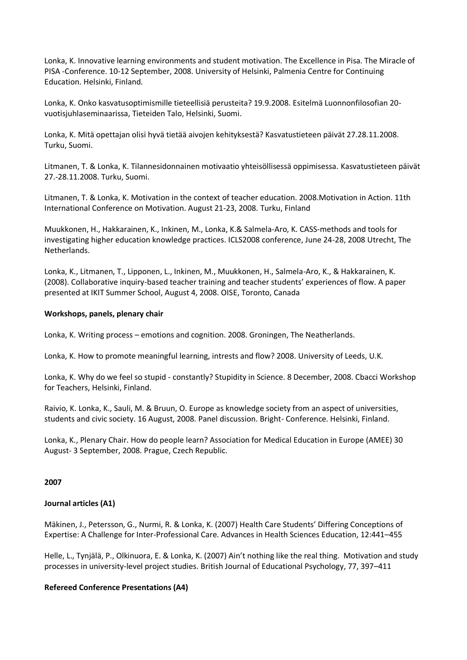Lonka, K. Innovative learning environments and student motivation. The Excellence in Pisa. The Miracle of PISA -Conference. 10-12 September, 2008. University of Helsinki, Palmenia Centre for Continuing Education. Helsinki, Finland.

Lonka, K. Onko kasvatusoptimismille tieteellisiä perusteita? 19.9.2008. Esitelmä Luonnonfilosofian 20 vuotisjuhlaseminaarissa, Tieteiden Talo, Helsinki, Suomi.

Lonka, K. Mitä opettajan olisi hyvä tietää aivojen kehityksestä? Kasvatustieteen päivät 27.28.11.2008. Turku, Suomi.

Litmanen, T. & Lonka, K. Tilannesidonnainen motivaatio yhteisöllisessä oppimisessa. Kasvatustieteen päivät 27.-28.11.2008. Turku, Suomi.

Litmanen, T. & Lonka, K. Motivation in the context of teacher education. 2008.Motivation in Action. 11th International Conference on Motivation. August 21-23, 2008. Turku, Finland

Muukkonen, H., Hakkarainen, K., Inkinen, M., Lonka, K.& Salmela-Aro, K. CASS-methods and tools for investigating higher education knowledge practices. ICLS2008 conference, June 24-28, 2008 Utrecht, The Netherlands.

Lonka, K., Litmanen, T., Lipponen, L., Inkinen, M., Muukkonen, H., Salmela-Aro, K., & Hakkarainen, K. (2008). Collaborative inquiry-based teacher training and teacher students' experiences of flow. A paper presented at IKIT Summer School, August 4, 2008. OISE, Toronto, Canada

### **Workshops, panels, plenary chair**

Lonka, K. Writing process – emotions and cognition. 2008. Groningen, The Neatherlands.

Lonka, K. How to promote meaningful learning, intrests and flow? 2008. University of Leeds, U.K.

Lonka, K. Why do we feel so stupid - constantly? Stupidity in Science. 8 December, 2008. Cbacci Workshop for Teachers, Helsinki, Finland.

Raivio, K. Lonka, K., Sauli, M. & Bruun, O. Europe as knowledge society from an aspect of universities, students and civic society. 16 August, 2008. Panel discussion. Bright- Conference. Helsinki, Finland.

Lonka, K., Plenary Chair. How do people learn? Association for Medical Education in Europe (AMEE) 30 August- 3 September, 2008. Prague, Czech Republic.

#### **2007**

### **Journal articles (A1)**

Mäkinen, J., Petersson, G., Nurmi, R. & Lonka, K. (2007) Health Care Students' Differing Conceptions of Expertise: A Challenge for Inter-Professional Care. Advances in Health Sciences Education, 12:441–455

Helle, L., Tynjälä, P., Olkinuora, E. & Lonka, K. (2007) Ain't nothing like the real thing. Motivation and study processes in university-level project studies. British Journal of Educational Psychology, 77, 397–411

### **Refereed Conference Presentations (A4)**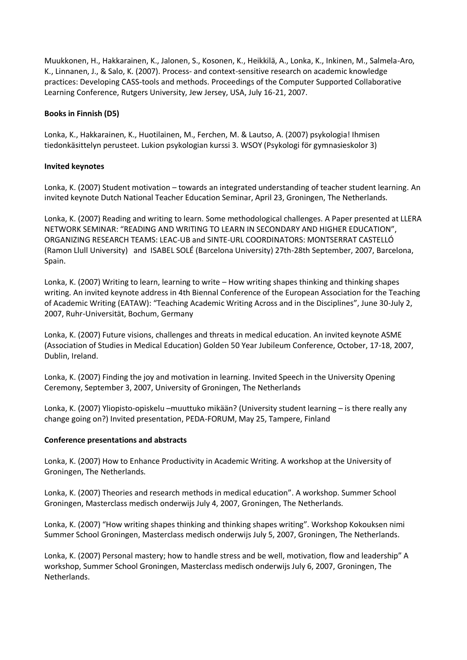Muukkonen, H., Hakkarainen, K., Jalonen, S., Kosonen, K., Heikkilä, A., Lonka, K., Inkinen, M., Salmela-Aro, K., Linnanen, J., & Salo, K. (2007). Process- and context-sensitive research on academic knowledge practices: Developing CASS-tools and methods. Proceedings of the Computer Supported Collaborative Learning Conference, Rutgers University, Jew Jersey, USA, July 16-21, 2007.

### **Books in Finnish (D5)**

Lonka, K., Hakkarainen, K., Huotilainen, M., Ferchen, M. & Lautso, A. (2007) psykologia! Ihmisen tiedonkäsittelyn perusteet. Lukion psykologian kurssi 3. WSOY (Psykologi för gymnasieskolor 3)

### **Invited keynotes**

Lonka, K. (2007) Student motivation – towards an integrated understanding of teacher student learning. An invited keynote Dutch National Teacher Education Seminar, April 23, Groningen, The Netherlands.

Lonka, K. (2007) Reading and writing to learn. Some methodological challenges. A Paper presented at LLERA NETWORK SEMINAR: "READING AND WRITING TO LEARN IN SECONDARY AND HIGHER EDUCATION", ORGANIZING RESEARCH TEAMS: LEAC-UB and SINTE-URL COORDINATORS: MONTSERRAT CASTELLÓ (Ramon Llull University) and ISABEL SOLÉ (Barcelona University) 27th-28th September, 2007, Barcelona, Spain.

Lonka, K. (2007) Writing to learn, learning to write – How writing shapes thinking and thinking shapes writing. An invited keynote address in 4th Biennal Conference of the European Association for the Teaching of Academic Writing (EATAW): "Teaching Academic Writing Across and in the Disciplines", June 30-July 2, 2007, Ruhr-Universität, Bochum, Germany

Lonka, K. (2007) Future visions, challenges and threats in medical education. An invited keynote ASME (Association of Studies in Medical Education) Golden 50 Year Jubileum Conference, October, 17-18, 2007, Dublin, Ireland.

Lonka, K. (2007) Finding the joy and motivation in learning. Invited Speech in the University Opening Ceremony, September 3, 2007, University of Groningen, The Netherlands

Lonka, K. (2007) Yliopisto-opiskelu –muuttuko mikään? (University student learning – is there really any change going on?) Invited presentation, PEDA-FORUM, May 25, Tampere, Finland

### **Conference presentations and abstracts**

Lonka, K. (2007) How to Enhance Productivity in Academic Writing. A workshop at the University of Groningen, The Netherlands.

Lonka, K. (2007) Theories and research methods in medical education". A workshop. Summer School Groningen, Masterclass medisch onderwijs July 4, 2007, Groningen, The Netherlands.

Lonka, K. (2007) "How writing shapes thinking and thinking shapes writing". Workshop Kokouksen nimi Summer School Groningen, Masterclass medisch onderwijs July 5, 2007, Groningen, The Netherlands.

Lonka, K. (2007) Personal mastery; how to handle stress and be well, motivation, flow and leadership" A workshop, Summer School Groningen, Masterclass medisch onderwijs July 6, 2007, Groningen, The Netherlands.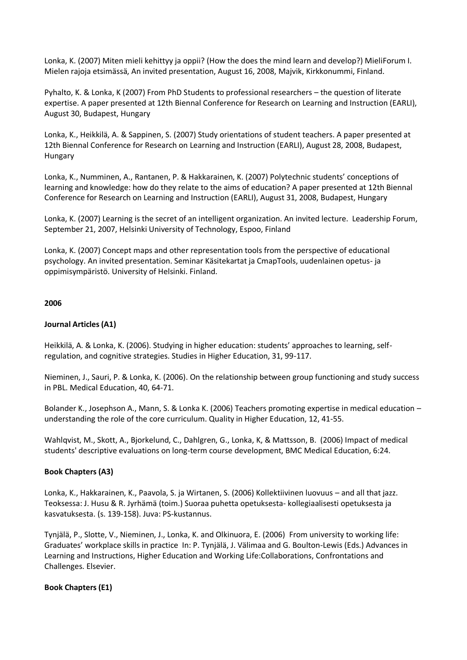Lonka, K. (2007) Miten mieli kehittyy ja oppii? (How the does the mind learn and develop?) MieliForum I. Mielen rajoja etsimässä, An invited presentation, August 16, 2008, Majvik, Kirkkonummi, Finland.

Pyhalto, K. & Lonka, K (2007) From PhD Students to professional researchers – the question of literate expertise. A paper presented at 12th Biennal Conference for Research on Learning and Instruction (EARLI), August 30, Budapest, Hungary

Lonka, K., Heikkilä, A. & Sappinen, S. (2007) Study orientations of student teachers. A paper presented at 12th Biennal Conference for Research on Learning and Instruction (EARLI), August 28, 2008, Budapest, Hungary

Lonka, K., Numminen, A., Rantanen, P. & Hakkarainen, K. (2007) Polytechnic students' conceptions of learning and knowledge: how do they relate to the aims of education? A paper presented at 12th Biennal Conference for Research on Learning and Instruction (EARLI), August 31, 2008, Budapest, Hungary

Lonka, K. (2007) Learning is the secret of an intelligent organization. An invited lecture. Leadership Forum, September 21, 2007, Helsinki University of Technology, Espoo, Finland

Lonka, K. (2007) Concept maps and other representation tools from the perspective of educational psychology. An invited presentation. Seminar Käsitekartat ja CmapTools, uudenlainen opetus- ja oppimisympäristö. University of Helsinki. Finland.

### **2006**

### **Journal Articles (A1)**

Heikkilä, A. & Lonka, K. (2006). Studying in higher education: students' approaches to learning, selfregulation, and cognitive strategies. Studies in Higher Education, 31, 99-117.

Nieminen, J., Sauri, P. & Lonka, K. (2006). On the relationship between group functioning and study success in PBL. Medical Education, 40, 64-71.

Bolander K., Josephson A., Mann, S. & Lonka K. (2006) Teachers promoting expertise in medical education – understanding the role of the core curriculum. Quality in Higher Education, 12, 41-55.

Wahlqvist, M., Skott, A., Bjorkelund, C., Dahlgren, G., Lonka, K, & Mattsson, B. (2006) Impact of medical students' descriptive evaluations on long-term course development, BMC Medical Education, 6:24.

### **Book Chapters (A3)**

Lonka, K., Hakkarainen, K., Paavola, S. ja Wirtanen, S. (2006) Kollektiivinen luovuus – and all that jazz. Teoksessa: J. Husu & R. Jyrhämä (toim.) Suoraa puhetta opetuksesta- kollegiaalisesti opetuksesta ja kasvatuksesta. (s. 139-158). Juva: PS-kustannus.

Tynjälä, P., Slotte, V., Nieminen, J., Lonka, K. and Olkinuora, E. (2006) From university to working life: Graduates' workplace skills in practice In: P. Tynjälä, J. Välimaa and G. Boulton-Lewis (Eds.) Advances in Learning and Instructions, Higher Education and Working Life:Collaborations, Confrontations and Challenges. Elsevier.

### **Book Chapters (E1)**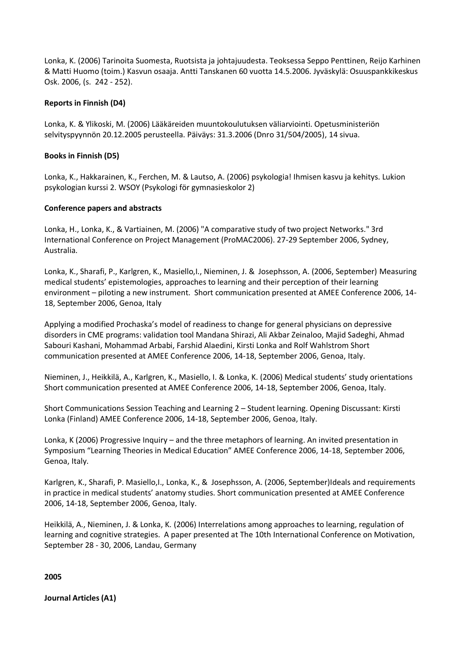Lonka, K. (2006) Tarinoita Suomesta, Ruotsista ja johtajuudesta. Teoksessa Seppo Penttinen, Reijo Karhinen & Matti Huomo (toim.) Kasvun osaaja. Antti Tanskanen 60 vuotta 14.5.2006. Jyväskylä: Osuuspankkikeskus Osk. 2006, (s. 242 - 252).

### **Reports in Finnish (D4)**

Lonka, K. & Ylikoski, M. (2006) Lääkäreiden muuntokoulutuksen väliarviointi. Opetusministeriön selvityspyynnön 20.12.2005 perusteella. Päiväys: 31.3.2006 (Dnro 31/504/2005), 14 sivua.

### **Books in Finnish (D5)**

Lonka, K., Hakkarainen, K., Ferchen, M. & Lautso, A. (2006) psykologia! Ihmisen kasvu ja kehitys. Lukion psykologian kurssi 2. WSOY (Psykologi för gymnasieskolor 2)

### **Conference papers and abstracts**

Lonka, H., Lonka, K., & Vartiainen, M. (2006) "A comparative study of two project Networks." 3rd International Conference on Project Management (ProMAC2006). 27-29 September 2006, Sydney, Australia.

Lonka, K., Sharafi, P., Karlgren, K., Masiello,I., Nieminen, J. & Josephsson, A. (2006, September) Measuring medical students' epistemologies, approaches to learning and their perception of their learning environment – piloting a new instrument. Short communication presented at AMEE Conference 2006, 14- 18, September 2006, Genoa, Italy

Applying a modified Prochaska's model of readiness to change for general physicians on depressive disorders in CME programs: validation tool Mandana Shirazi, Ali Akbar Zeinaloo, Majid Sadeghi, Ahmad Sabouri Kashani, Mohammad Arbabi, Farshid Alaedini, Kirsti Lonka and Rolf Wahlstrom Short communication presented at AMEE Conference 2006, 14-18, September 2006, Genoa, Italy.

Nieminen, J., Heikkilä, A., Karlgren, K., Masiello, I. & Lonka, K. (2006) Medical students' study orientations Short communication presented at AMEE Conference 2006, 14-18, September 2006, Genoa, Italy.

Short Communications Session Teaching and Learning 2 – Student learning. Opening Discussant: Kirsti Lonka (Finland) AMEE Conference 2006, 14-18, September 2006, Genoa, Italy.

Lonka, K (2006) Progressive Inquiry – and the three metaphors of learning. An invited presentation in Symposium "Learning Theories in Medical Education" AMEE Conference 2006, 14-18, September 2006, Genoa, Italy.

Karlgren, K., Sharafi, P. Masiello,I., Lonka, K., & Josephsson, A. (2006, September)Ideals and requirements in practice in medical students' anatomy studies. Short communication presented at AMEE Conference 2006, 14-18, September 2006, Genoa, Italy.

Heikkilä, A., Nieminen, J. & Lonka, K. (2006) Interrelations among approaches to learning, regulation of learning and cognitive strategies. A paper presented at The 10th International Conference on Motivation, September 28 - 30, 2006, Landau, Germany

**2005** 

**Journal Articles (A1)**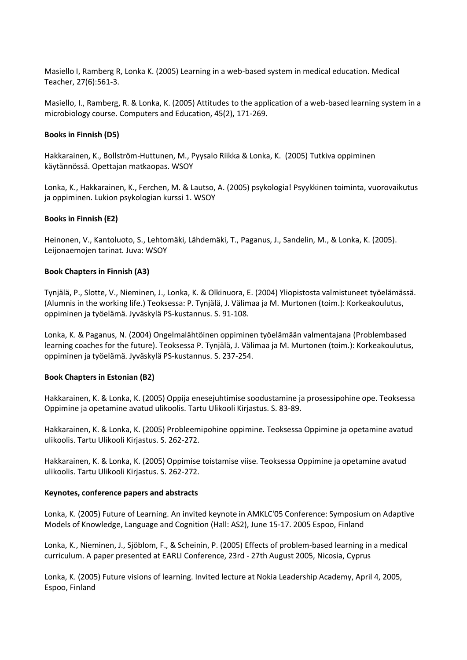Masiello I, Ramberg R, Lonka K. (2005) Learning in a web-based system in medical education. Medical Teacher, 27(6):561-3.

Masiello, I., Ramberg, R. & Lonka, K. (2005) Attitudes to the application of a web-based learning system in a microbiology course. Computers and Education, 45(2), 171-269.

### **Books in Finnish (D5)**

Hakkarainen, K., Bollström-Huttunen, M., Pyysalo Riikka & Lonka, K. (2005) Tutkiva oppiminen käytännössä. Opettajan matkaopas. WSOY

Lonka, K., Hakkarainen, K., Ferchen, M. & Lautso, A. (2005) psykologia! Psyykkinen toiminta, vuorovaikutus ja oppiminen. Lukion psykologian kurssi 1. WSOY

### **Books in Finnish (E2)**

Heinonen, V., Kantoluoto, S., Lehtomäki, Lähdemäki, T., Paganus, J., Sandelin, M., & Lonka, K. (2005). Leijonaemojen tarinat. Juva: WSOY

### **Book Chapters in Finnish (A3)**

Tynjälä, P., Slotte, V., Nieminen, J., Lonka, K. & Olkinuora, E. (2004) Yliopistosta valmistuneet työelämässä. (Alumnis in the working life.) Teoksessa: P. Tynjälä, J. Välimaa ja M. Murtonen (toim.): Korkeakoulutus, oppiminen ja työelämä. Jyväskylä PS-kustannus. S. 91-108.

Lonka, K. & Paganus, N. (2004) Ongelmalähtöinen oppiminen työelämään valmentajana (Problembased learning coaches for the future). Teoksessa P. Tynjälä, J. Välimaa ja M. Murtonen (toim.): Korkeakoulutus, oppiminen ja työelämä. Jyväskylä PS-kustannus. S. 237-254.

### **Book Chapters in Estonian (B2)**

Hakkarainen, K. & Lonka, K. (2005) Oppija enesejuhtimise soodustamine ja prosessipohine ope. Teoksessa Oppimine ja opetamine avatud ulikoolis. Tartu Ulikooli Kirjastus. S. 83-89.

Hakkarainen, K. & Lonka, K. (2005) Probleemipohine oppimine. Teoksessa Oppimine ja opetamine avatud ulikoolis. Tartu Ulikooli Kirjastus. S. 262-272.

Hakkarainen, K. & Lonka, K. (2005) Oppimise toistamise viise. Teoksessa Oppimine ja opetamine avatud ulikoolis. Tartu Ulikooli Kirjastus. S. 262-272.

### **Keynotes, conference papers and abstracts**

Lonka, K. (2005) Future of Learning. An invited keynote in AMKLC'05 Conference: Symposium on Adaptive Models of Knowledge, Language and Cognition (Hall: AS2), June 15-17. 2005 Espoo, Finland

Lonka, K., Nieminen, J., Sjöblom, F., & Scheinin, P. (2005) Effects of problem-based learning in a medical curriculum. A paper presented at EARLI Conference, 23rd - 27th August 2005, Nicosia, Cyprus

Lonka, K. (2005) Future visions of learning. Invited lecture at Nokia Leadership Academy, April 4, 2005, Espoo, Finland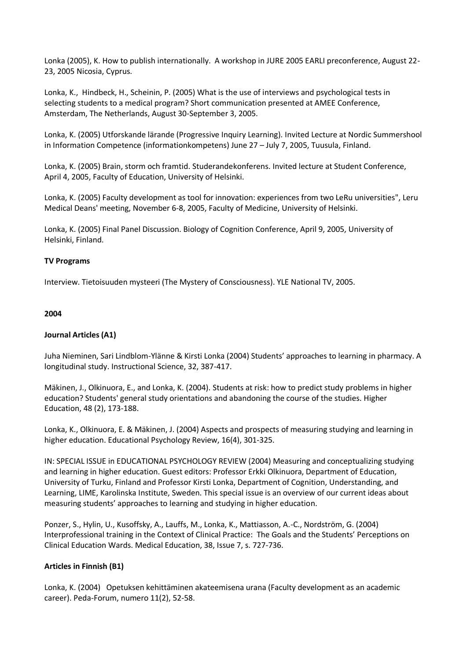Lonka (2005), K. How to publish internationally. A workshop in JURE 2005 EARLI preconference, August 22- 23, 2005 Nicosia, Cyprus.

Lonka, K., Hindbeck, H., Scheinin, P. (2005) What is the use of interviews and psychological tests in selecting students to a medical program? Short communication presented at AMEE Conference, Amsterdam, The Netherlands, August 30-September 3, 2005.

Lonka, K. (2005) Utforskande lärande (Progressive Inquiry Learning). Invited Lecture at Nordic Summershool in Information Competence (informationkompetens) June 27 – July 7, 2005, Tuusula, Finland.

Lonka, K. (2005) Brain, storm och framtid. Studerandekonferens. Invited lecture at Student Conference, April 4, 2005, Faculty of Education, University of Helsinki.

Lonka, K. (2005) Faculty development as tool for innovation: experiences from two LeRu universities", Leru Medical Deans' meeting, November 6-8, 2005, Faculty of Medicine, University of Helsinki.

Lonka, K. (2005) Final Panel Discussion. Biology of Cognition Conference, April 9, 2005, University of Helsinki, Finland.

### **TV Programs**

Interview. Tietoisuuden mysteeri (The Mystery of Consciousness). YLE National TV, 2005.

#### **2004**

### **Journal Articles (A1)**

Juha Nieminen, Sari Lindblom-Ylänne & Kirsti Lonka (2004) Students' approaches to learning in pharmacy. A longitudinal study. Instructional Science, 32, 387-417.

Mäkinen, J., Olkinuora, E., and Lonka, K. (2004). Students at risk: how to predict study problems in higher education? Students' general study orientations and abandoning the course of the studies. Higher Education, 48 (2), 173-188.

Lonka, K., Olkinuora, E. & Mäkinen, J. (2004) Aspects and prospects of measuring studying and learning in higher education. Educational Psychology Review, 16(4), 301-325.

IN: SPECIAL ISSUE in EDUCATIONAL PSYCHOLOGY REVIEW (2004) Measuring and conceptualizing studying and learning in higher education. Guest editors: Professor Erkki Olkinuora, Department of Education, University of Turku, Finland and Professor Kirsti Lonka, Department of Cognition, Understanding, and Learning, LIME, Karolinska Institute, Sweden. This special issue is an overview of our current ideas about measuring students' approaches to learning and studying in higher education.

Ponzer, S., Hylin, U., Kusoffsky, A., Lauffs, M., Lonka, K., Mattiasson, A.-C., Nordström, G. (2004) Interprofessional training in the Context of Clinical Practice: The Goals and the Students' Perceptions on Clinical Education Wards. Medical Education, 38, Issue 7, s. 727-736.

### **Articles in Finnish (B1)**

Lonka, K. (2004) Opetuksen kehittäminen akateemisena urana (Faculty development as an academic career). Peda-Forum, numero 11(2), 52-58.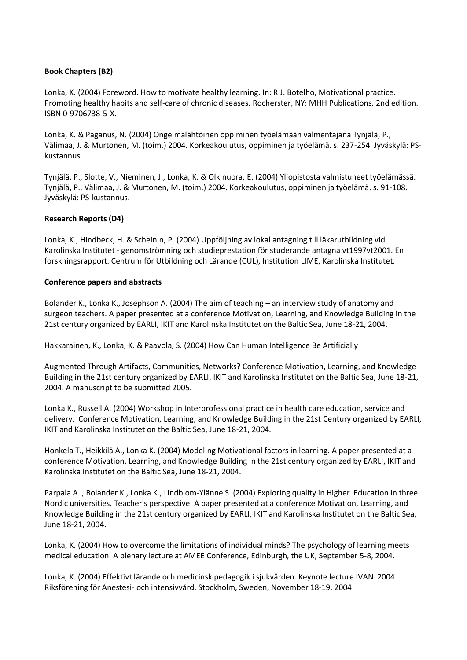### **Book Chapters (B2)**

Lonka, K. (2004) Foreword. How to motivate healthy learning. In: R.J. Botelho, Motivational practice. Promoting healthy habits and self-care of chronic diseases. Rocherster, NY: MHH Publications. 2nd edition. ISBN 0-9706738-5-X.

Lonka, K. & Paganus, N. (2004) Ongelmalähtöinen oppiminen työelämään valmentajana Tynjälä, P., Välimaa, J. & Murtonen, M. (toim.) 2004. Korkeakoulutus, oppiminen ja työelämä. s. 237-254. Jyväskylä: PSkustannus.

Tynjälä, P., Slotte, V., Nieminen, J., Lonka, K. & Olkinuora, E. (2004) Yliopistosta valmistuneet työelämässä. Tynjälä, P., Välimaa, J. & Murtonen, M. (toim.) 2004. Korkeakoulutus, oppiminen ja työelämä. s. 91-108. Jyväskylä: PS-kustannus.

### **Research Reports (D4)**

Lonka, K., Hindbeck, H. & Scheinin, P. (2004) Uppföljning av lokal antagning till läkarutbildning vid Karolinska Institutet - genomströmning och studieprestation för studerande antagna vt1997vt2001. En forskningsrapport. Centrum för Utbildning och Lärande (CUL), Institution LIME, Karolinska Institutet.

### **Conference papers and abstracts**

Bolander K., Lonka K., Josephson A. (2004) The aim of teaching – an interview study of anatomy and surgeon teachers. A paper presented at a conference Motivation, Learning, and Knowledge Building in the 21st century organized by EARLI, IKIT and Karolinska Institutet on the Baltic Sea, June 18-21, 2004.

Hakkarainen, K., Lonka, K. & Paavola, S. (2004) How Can Human Intelligence Be Artificially

Augmented Through Artifacts, Communities, Networks? Conference Motivation, Learning, and Knowledge Building in the 21st century organized by EARLI, IKIT and Karolinska Institutet on the Baltic Sea, June 18-21, 2004. A manuscript to be submitted 2005.

Lonka K., Russell A. (2004) Workshop in Interprofessional practice in health care education, service and delivery. Conference Motivation, Learning, and Knowledge Building in the 21st Century organized by EARLI, IKIT and Karolinska Institutet on the Baltic Sea, June 18-21, 2004.

Honkela T., Heikkilä A., Lonka K. (2004) Modeling Motivational factors in learning. A paper presented at a conference Motivation, Learning, and Knowledge Building in the 21st century organized by EARLI, IKIT and Karolinska Institutet on the Baltic Sea, June 18-21, 2004.

Parpala A. , Bolander K., Lonka K., Lindblom-Ylänne S. (2004) Exploring quality in Higher Education in three Nordic universities. Teacher's perspective. A paper presented at a conference Motivation, Learning, and Knowledge Building in the 21st century organized by EARLI, IKIT and Karolinska Institutet on the Baltic Sea, June 18-21, 2004.

Lonka, K. (2004) How to overcome the limitations of individual minds? The psychology of learning meets medical education. A plenary lecture at AMEE Conference, Edinburgh, the UK, September 5-8, 2004.

Lonka, K. (2004) Effektivt lärande och medicinsk pedagogik i sjukvården. Keynote lecture IVAN 2004 Riksförening för Anestesi- och intensivvård. Stockholm, Sweden, November 18-19, 2004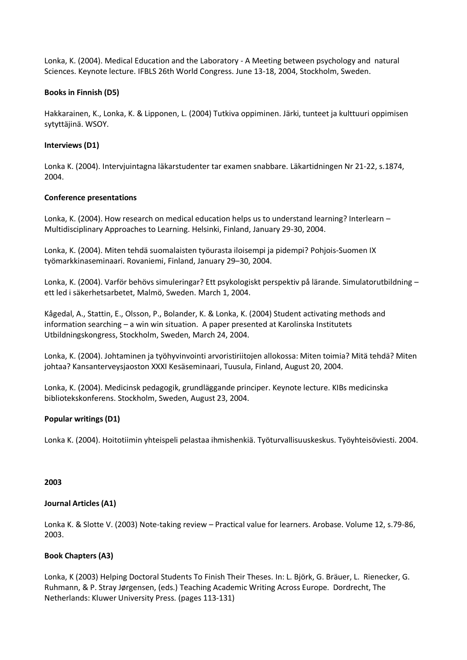Lonka, K. (2004). Medical Education and the Laboratory - A Meeting between psychology and natural Sciences. Keynote lecture. IFBLS 26th World Congress. June 13-18, 2004, Stockholm, Sweden.

### **Books in Finnish (D5)**

Hakkarainen, K., Lonka, K. & Lipponen, L. (2004) Tutkiva oppiminen. Järki, tunteet ja kulttuuri oppimisen sytyttäjinä. WSOY.

### **Interviews (D1)**

Lonka K. (2004). Intervjuintagna läkarstudenter tar examen snabbare. Läkartidningen Nr 21-22, s.1874, 2004.

### **Conference presentations**

Lonka, K. (2004). How research on medical education helps us to understand learning? Interlearn – Multidisciplinary Approaches to Learning. Helsinki, Finland, January 29-30, 2004.

Lonka, K. (2004). Miten tehdä suomalaisten työurasta iloisempi ja pidempi? Pohjois-Suomen IX työmarkkinaseminaari. Rovaniemi, Finland, January 29–30, 2004.

Lonka, K. (2004). Varför behövs simuleringar? Ett psykologiskt perspektiv på lärande. Simulatorutbildning – ett led i säkerhetsarbetet, Malmö, Sweden. March 1, 2004.

Kågedal, A., Stattin, E., Olsson, P., Bolander, K. & Lonka, K. (2004) Student activating methods and information searching – a win win situation. A paper presented at Karolinska Institutets Utbildningskongress, Stockholm, Sweden, March 24, 2004.

Lonka, K. (2004). Johtaminen ja työhyvinvointi arvoristiriitojen allokossa: Miten toimia? Mitä tehdä? Miten johtaa? Kansanterveysjaoston XXXI Kesäseminaari, Tuusula, Finland, August 20, 2004.

Lonka, K. (2004). Medicinsk pedagogik, grundläggande principer. Keynote lecture. KIBs medicinska bibliotekskonferens. Stockholm, Sweden, August 23, 2004.

### **Popular writings (D1)**

Lonka K. (2004). Hoitotiimin yhteispeli pelastaa ihmishenkiä. Työturvallisuuskeskus. Työyhteisöviesti. 2004.

### **2003**

### **Journal Articles (A1)**

Lonka K. & Slotte V. (2003) Note-taking review – Practical value for learners. Arobase. Volume 12, s.79-86, 2003.

# **Book Chapters (A3)**

Lonka, K (2003) Helping Doctoral Students To Finish Their Theses. In: L. Björk, G. Bräuer, L. Rienecker, G. Ruhmann, & P. Stray Jørgensen, (eds.) Teaching Academic Writing Across Europe. Dordrecht, The Netherlands: Kluwer University Press. (pages 113-131)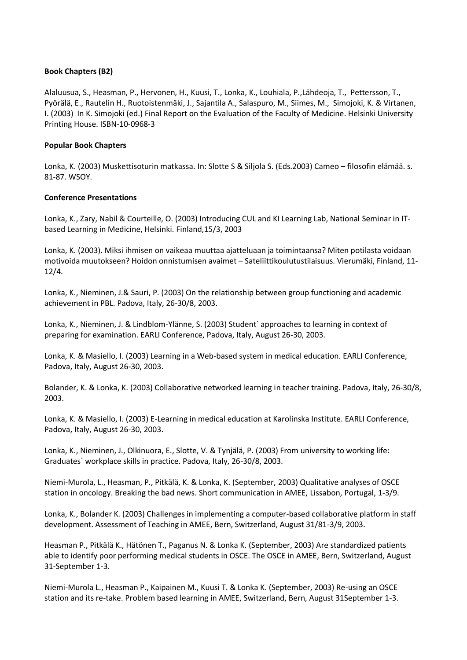### **Book Chapters (B2)**

Alaluusua, S., Heasman, P., Hervonen, H., Kuusi, T., Lonka, K., Louhiala, P.,Lähdeoja, T., Pettersson, T., Pyörälä, E., Rautelin H., Ruotoistenmäki, J., Sajantila A., Salaspuro, M., Siimes, M., Simojoki, K. & Virtanen, I. (2003) In K. Simojoki (ed.) Final Report on the Evaluation of the Faculty of Medicine. Helsinki University Printing House. ISBN-10-0968-3

### **Popular Book Chapters**

Lonka, K. (2003) Muskettisoturin matkassa. In: Slotte S & Siljola S. (Eds.2003) Cameo – filosofin elämää. s. 81-87. WSOY.

### **Conference Presentations**

Lonka, K., Zary, Nabil & Courteille, O. (2003) Introducing CUL and KI Learning Lab, National Seminar in ITbased Learning in Medicine, Helsinki. Finland,15/3, 2003

Lonka, K. (2003). Miksi ihmisen on vaikeaa muuttaa ajatteluaan ja toimintaansa? Miten potilasta voidaan motivoida muutokseen? Hoidon onnistumisen avaimet – Sateliittikoulutustilaisuus. Vierumäki, Finland, 11- 12/4.

Lonka, K., Nieminen, J.& Sauri, P. (2003) On the relationship between group functioning and academic achievement in PBL. Padova, Italy, 26-30/8, 2003.

Lonka, K., Nieminen, J. & Lindblom-Ylänne, S. (2003) Student` approaches to learning in context of preparing for examination. EARLI Conference, Padova, Italy, August 26-30, 2003.

Lonka, K. & Masiello, I. (2003) Learning in a Web-based system in medical education. EARLI Conference, Padova, Italy, August 26-30, 2003.

Bolander, K. & Lonka, K. (2003) Collaborative networked learning in teacher training. Padova, Italy, 26-30/8, 2003.

Lonka, K. & Masiello, I. (2003) E-Learning in medical education at Karolinska Institute. EARLI Conference, Padova, Italy, August 26-30, 2003.

Lonka, K., Nieminen, J., Olkinuora, E., Slotte, V. & Tynjälä, P. (2003) From university to working life: Graduates` workplace skills in practice. Padova, Italy, 26-30/8, 2003.

Niemi-Murola, L., Heasman, P., Pitkälä, K. & Lonka, K. (September, 2003) Qualitative analyses of OSCE station in oncology. Breaking the bad news. Short communication in AMEE, Lissabon, Portugal, 1-3/9.

Lonka, K., Bolander K. (2003) Challenges in implementing a computer-based collaborative platform in staff development. Assessment of Teaching in AMEE, Bern, Switzerland, August 31/81-3/9, 2003.

Heasman P., Pitkälä K., Hätönen T., Paganus N. & Lonka K. (September, 2003) Are standardized patients able to identify poor performing medical students in OSCE. The OSCE in AMEE, Bern, Switzerland, August 31-September 1-3.

Niemi-Murola L., Heasman P., Kaipainen M., Kuusi T. & Lonka K. (September, 2003) Re-using an OSCE station and its re-take. Problem based learning in AMEE, Switzerland, Bern, August 31September 1-3.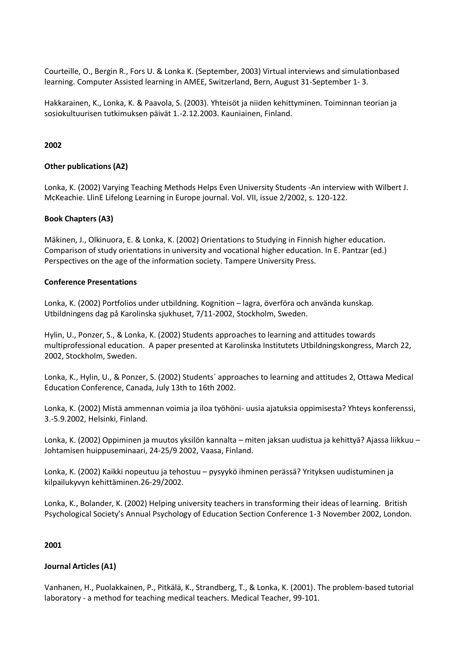Courteille, O., Bergin R., Fors U. & Lonka K. (September, 2003) Virtual interviews and simulationbased learning. Computer Assisted learning in AMEE, Switzerland, Bern, August 31-September 1- 3.

Hakkarainen, K., Lonka, K. & Paavola, S. (2003). Yhteisöt ja niiden kehittyminen. Toiminnan teorian ja sosiokultuurisen tutkimuksen päivät 1.-2.12.2003. Kauniainen, Finland.

### **2002**

### **Other publications (A2)**

Lonka, K. (2002) Varying Teaching Methods Helps Even University Students -An interview with Wilbert J. McKeachie. LlinE Lifelong Learning in Europe journal. Vol. VII, issue 2/2002, s. 120-122.

### **Book Chapters (A3)**

Mäkinen, J., Olkinuora, E. & Lonka, K. (2002) Orientations to Studying in Finnish higher education. Comparison of study orientations in university and vocational higher education. In E. Pantzar (ed.) Perspectives on the age of the information society. Tampere University Press.

### **Conference Presentations**

Lonka, K. (2002) Portfolios under utbildning. Kognition – lagra, överföra och använda kunskap. Utbildningens dag på Karolinska sjukhuset, 7/11-2002, Stockholm, Sweden.

Hylin, U., Ponzer, S., & Lonka, K. (2002) Students approaches to learning and attitudes towards multiprofessional education. A paper presented at Karolinska Institutets Utbildningskongress, March 22, 2002, Stockholm, Sweden.

Lonka, K., Hylin, U., & Ponzer, S. (2002) Students´ approaches to learning and attitudes 2, Ottawa Medical Education Conference, Canada, July 13th to 16th 2002.

Lonka, K. (2002) Mistä ammennan voimia ja iloa työhöni- uusia ajatuksia oppimisesta? Yhteys konferenssi, 3.-5.9.2002, Helsinki, Finland.

Lonka, K. (2002) Oppiminen ja muutos yksilön kannalta – miten jaksan uudistua ja kehittyä? Ajassa liikkuu – Johtamisen huippuseminaari, 24-25/9 2002, Vaasa, Finland.

Lonka, K. (2002) Kaikki nopeutuu ja tehostuu – pysyykö ihminen perässä? Yrityksen uudistuminen ja kilpailukyvyn kehittäminen.26-29/2002.

Lonka, K., Bolander, K. (2002) Helping university teachers in transforming their ideas of learning. British Psychological Society's Annual Psychology of Education Section Conference 1-3 November 2002, London.

### **2001**

### **Journal Articles (A1)**

Vanhanen, H., Puolakkainen, P., Pitkälä, K., Strandberg, T., & Lonka, K. (2001). The problem-based tutorial laboratory - a method for teaching medical teachers. Medical Teacher, 99-101.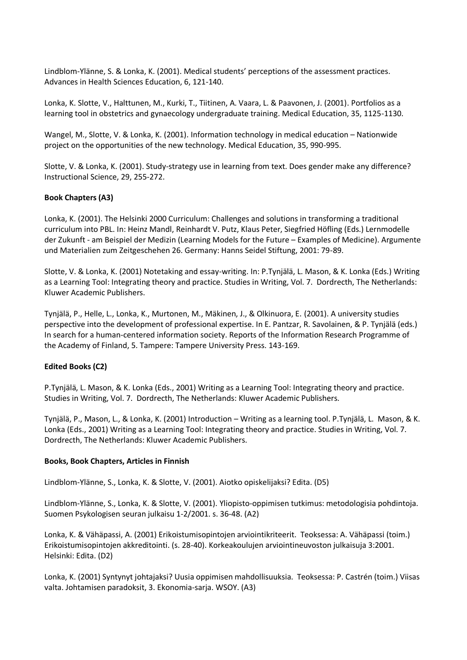Lindblom-Ylänne, S. & Lonka, K. (2001). Medical students' perceptions of the assessment practices. Advances in Health Sciences Education, 6, 121-140.

Lonka, K. Slotte, V., Halttunen, M., Kurki, T., Tiitinen, A. Vaara, L. & Paavonen, J. (2001). Portfolios as a learning tool in obstetrics and gynaecology undergraduate training. Medical Education, 35, 1125-1130.

Wangel, M., Slotte, V. & Lonka, K. (2001). Information technology in medical education – Nationwide project on the opportunities of the new technology. Medical Education, 35, 990-995.

Slotte, V. & Lonka, K. (2001). Study-strategy use in learning from text. Does gender make any difference? Instructional Science, 29, 255-272.

### **Book Chapters (A3)**

Lonka, K. (2001). The Helsinki 2000 Curriculum: Challenges and solutions in transforming a traditional curriculum into PBL. In: Heinz Mandl, Reinhardt V. Putz, Klaus Peter, Siegfried Höfling (Eds.) Lernmodelle der Zukunft - am Beispiel der Medizin (Learning Models for the Future – Examples of Medicine). Argumente und Materialien zum Zeitgeschehen 26. Germany: Hanns Seidel Stiftung, 2001: 79-89.

Slotte, V. & Lonka, K. (2001) Notetaking and essay-writing. In: P.Tynjälä, L. Mason, & K. Lonka (Eds.) Writing as a Learning Tool: Integrating theory and practice. Studies in Writing, Vol. 7. Dordrecth, The Netherlands: Kluwer Academic Publishers.

Tynjälä, P., Helle, L., Lonka, K., Murtonen, M., Mäkinen, J., & Olkinuora, E. (2001). A university studies perspective into the development of professional expertise. In E. Pantzar, R. Savolainen, & P. Tynjälä (eds.) In search for a human-centered information society. Reports of the Information Research Programme of the Academy of Finland, 5. Tampere: Tampere University Press. 143-169.

### **Edited Books (C2)**

P.Tynjälä, L. Mason, & K. Lonka (Eds., 2001) Writing as a Learning Tool: Integrating theory and practice. Studies in Writing, Vol. 7. Dordrecth, The Netherlands: Kluwer Academic Publishers.

Tynjälä, P., Mason, L., & Lonka, K. (2001) Introduction – Writing as a learning tool. P.Tynjälä, L. Mason, & K. Lonka (Eds., 2001) Writing as a Learning Tool: Integrating theory and practice. Studies in Writing, Vol. 7. Dordrecth, The Netherlands: Kluwer Academic Publishers.

### **Books, Book Chapters, Articles in Finnish**

Lindblom-Ylänne, S., Lonka, K. & Slotte, V. (2001). Aiotko opiskelijaksi? Edita. (D5)

Lindblom-Ylänne, S., Lonka, K. & Slotte, V. (2001). Yliopisto-oppimisen tutkimus: metodologisia pohdintoja. Suomen Psykologisen seuran julkaisu 1-2/2001. s. 36-48. (A2)

Lonka, K. & Vähäpassi, A. (2001) Erikoistumisopintojen arviointikriteerit. Teoksessa: A. Vähäpassi (toim.) Erikoistumisopintojen akkreditointi. (s. 28-40). Korkeakoulujen arviointineuvoston julkaisuja 3:2001. Helsinki: Edita. (D2)

Lonka, K. (2001) Syntynyt johtajaksi? Uusia oppimisen mahdollisuuksia. Teoksessa: P. Castrén (toim.) Viisas valta. Johtamisen paradoksit, 3. Ekonomia-sarja. WSOY. (A3)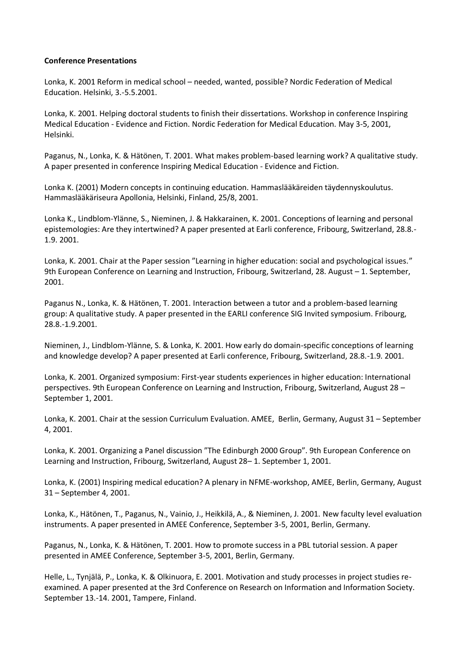### **Conference Presentations**

Lonka, K. 2001 Reform in medical school – needed, wanted, possible? Nordic Federation of Medical Education. Helsinki, 3.-5.5.2001.

Lonka, K. 2001. Helping doctoral students to finish their dissertations. Workshop in conference Inspiring Medical Education - Evidence and Fiction. Nordic Federation for Medical Education. May 3-5, 2001, Helsinki.

Paganus, N., Lonka, K. & Hätönen, T. 2001. What makes problem-based learning work? A qualitative study. A paper presented in conference Inspiring Medical Education - Evidence and Fiction.

Lonka K. (2001) Modern concepts in continuing education. Hammaslääkäreiden täydennyskoulutus. Hammaslääkäriseura Apollonia, Helsinki, Finland, 25/8, 2001.

Lonka K., Lindblom-Ylänne, S., Nieminen, J. & Hakkarainen, K. 2001. Conceptions of learning and personal epistemologies: Are they intertwined? A paper presented at Earli conference, Fribourg, Switzerland, 28.8.- 1.9. 2001.

Lonka, K. 2001. Chair at the Paper session "Learning in higher education: social and psychological issues." 9th European Conference on Learning and Instruction, Fribourg, Switzerland, 28. August – 1. September, 2001.

Paganus N., Lonka, K. & Hätönen, T. 2001. Interaction between a tutor and a problem-based learning group: A qualitative study. A paper presented in the EARLI conference SIG Invited symposium. Fribourg, 28.8.-1.9.2001.

Nieminen, J., Lindblom-Ylänne, S. & Lonka, K. 2001. How early do domain-specific conceptions of learning and knowledge develop? A paper presented at Earli conference, Fribourg, Switzerland, 28.8.-1.9. 2001.

Lonka, K. 2001. Organized symposium: First-year students experiences in higher education: International perspectives. 9th European Conference on Learning and Instruction, Fribourg, Switzerland, August 28 – September 1, 2001.

Lonka, K. 2001. Chair at the session Curriculum Evaluation. AMEE, Berlin, Germany, August 31 – September 4, 2001.

Lonka, K. 2001. Organizing a Panel discussion "The Edinburgh 2000 Group". 9th European Conference on Learning and Instruction, Fribourg, Switzerland, August 28– 1. September 1, 2001.

Lonka, K. (2001) Inspiring medical education? A plenary in NFME-workshop, AMEE, Berlin, Germany, August 31 – September 4, 2001.

Lonka, K., Hätönen, T., Paganus, N., Vainio, J., Heikkilä, A., & Nieminen, J. 2001. New faculty level evaluation instruments. A paper presented in AMEE Conference, September 3-5, 2001, Berlin, Germany.

Paganus, N., Lonka, K. & Hätönen, T. 2001. How to promote success in a PBL tutorial session. A paper presented in AMEE Conference, September 3-5, 2001, Berlin, Germany.

Helle, L., Tynjälä, P., Lonka, K. & Olkinuora, E. 2001. Motivation and study processes in project studies reexamined. A paper presented at the 3rd Conference on Research on Information and Information Society. September 13.-14. 2001, Tampere, Finland.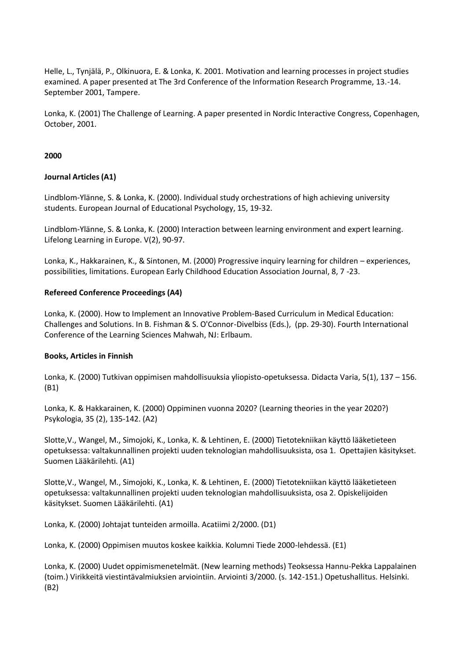Helle, L., Tynjälä, P., Olkinuora, E. & Lonka, K. 2001. Motivation and learning processes in project studies examined. A paper presented at The 3rd Conference of the Information Research Programme, 13.-14. September 2001, Tampere.

Lonka, K. (2001) The Challenge of Learning. A paper presented in Nordic Interactive Congress, Copenhagen, October, 2001.

### **2000**

### **Journal Articles (A1)**

Lindblom-Ylänne, S. & Lonka, K. (2000). Individual study orchestrations of high achieving university students. European Journal of Educational Psychology, 15, 19-32.

Lindblom-Ylänne, S. & Lonka, K. (2000) Interaction between learning environment and expert learning. Lifelong Learning in Europe. V(2), 90-97.

Lonka, K., Hakkarainen, K., & Sintonen, M. (2000) Progressive inquiry learning for children – experiences, possibilities, limitations. European Early Childhood Education Association Journal, 8, 7 -23.

### **Refereed Conference Proceedings (A4)**

Lonka, K. (2000). How to Implement an Innovative Problem-Based Curriculum in Medical Education: Challenges and Solutions. In B. Fishman & S. O'Connor-Divelbiss (Eds.), (pp. 29-30). Fourth International Conference of the Learning Sciences Mahwah, NJ: Erlbaum.

### **Books, Articles in Finnish**

Lonka, K. (2000) Tutkivan oppimisen mahdollisuuksia yliopisto-opetuksessa. Didacta Varia, 5(1), 137 – 156. (B1)

Lonka, K. & Hakkarainen, K. (2000) Oppiminen vuonna 2020? (Learning theories in the year 2020?) Psykologia, 35 (2), 135-142. (A2)

Slotte,V., Wangel, M., Simojoki, K., Lonka, K. & Lehtinen, E. (2000) Tietotekniikan käyttö lääketieteen opetuksessa: valtakunnallinen projekti uuden teknologian mahdollisuuksista, osa 1. Opettajien käsitykset. Suomen Lääkärilehti. (A1)

Slotte,V., Wangel, M., Simojoki, K., Lonka, K. & Lehtinen, E. (2000) Tietotekniikan käyttö lääketieteen opetuksessa: valtakunnallinen projekti uuden teknologian mahdollisuuksista, osa 2. Opiskelijoiden käsitykset. Suomen Lääkärilehti. (A1)

Lonka, K. (2000) Johtajat tunteiden armoilla. Acatiimi 2/2000. (D1)

Lonka, K. (2000) Oppimisen muutos koskee kaikkia. Kolumni Tiede 2000-lehdessä. (E1)

Lonka, K. (2000) Uudet oppimismenetelmät. (New learning methods) Teoksessa Hannu-Pekka Lappalainen (toim.) Virikkeitä viestintävalmiuksien arviointiin. Arviointi 3/2000. (s. 142-151.) Opetushallitus. Helsinki. (B2)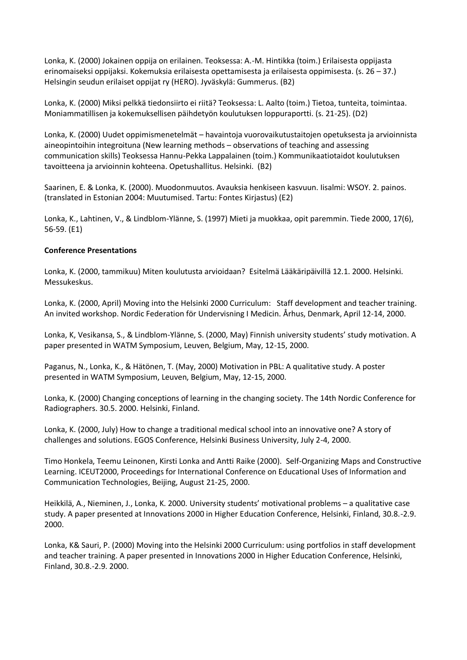Lonka, K. (2000) Jokainen oppija on erilainen. Teoksessa: A.-M. Hintikka (toim.) Erilaisesta oppijasta erinomaiseksi oppijaksi. Kokemuksia erilaisesta opettamisesta ja erilaisesta oppimisesta. (s. 26 – 37.) Helsingin seudun erilaiset oppijat ry (HERO). Jyväskylä: Gummerus. (B2)

Lonka, K. (2000) Miksi pelkkä tiedonsiirto ei riitä? Teoksessa: L. Aalto (toim.) Tietoa, tunteita, toimintaa. Moniammatillisen ja kokemuksellisen päihdetyön koulutuksen loppuraportti. (s. 21-25). (D2)

Lonka, K. (2000) Uudet oppimismenetelmät – havaintoja vuorovaikutustaitojen opetuksesta ja arvioinnista aineopintoihin integroituna (New learning methods – observations of teaching and assessing communication skills) Teoksessa Hannu-Pekka Lappalainen (toim.) Kommunikaatiotaidot koulutuksen tavoitteena ja arvioinnin kohteena. Opetushallitus. Helsinki. (B2)

Saarinen, E. & Lonka, K. (2000). Muodonmuutos. Avauksia henkiseen kasvuun. Iisalmi: WSOY. 2. painos. (translated in Estonian 2004: Muutumised. Tartu: Fontes Kirjastus) (E2)

Lonka, K., Lahtinen, V., & Lindblom-Ylänne, S. (1997) Mieti ja muokkaa, opit paremmin. Tiede 2000, 17(6), 56-59. (E1)

### **Conference Presentations**

Lonka, K. (2000, tammikuu) Miten koulutusta arvioidaan? Esitelmä Lääkäripäivillä 12.1. 2000. Helsinki. Messukeskus.

Lonka, K. (2000, April) Moving into the Helsinki 2000 Curriculum: Staff development and teacher training. An invited workshop. Nordic Federation för Undervisning I Medicin. Århus, Denmark, April 12-14, 2000.

Lonka, K, Vesikansa, S., & Lindblom-Ylänne, S. (2000, May) Finnish university students' study motivation. A paper presented in WATM Symposium, Leuven, Belgium, May, 12-15, 2000.

Paganus, N., Lonka, K., & Hätönen, T. (May, 2000) Motivation in PBL: A qualitative study. A poster presented in WATM Symposium, Leuven, Belgium, May, 12-15, 2000.

Lonka, K. (2000) Changing conceptions of learning in the changing society. The 14th Nordic Conference for Radiographers. 30.5. 2000. Helsinki, Finland.

Lonka, K. (2000, July) How to change a traditional medical school into an innovative one? A story of challenges and solutions. EGOS Conference, Helsinki Business University, July 2-4, 2000.

Timo Honkela, Teemu Leinonen, Kirsti Lonka and Antti Raike (2000). Self-Organizing Maps and Constructive Learning. ICEUT2000, Proceedings for International Conference on Educational Uses of Information and Communication Technologies, Beijing, August 21-25, 2000.

Heikkilä, A., Nieminen, J., Lonka, K. 2000. University students' motivational problems – a qualitative case study. A paper presented at Innovations 2000 in Higher Education Conference, Helsinki, Finland, 30.8.-2.9. 2000.

Lonka, K& Sauri, P. (2000) Moving into the Helsinki 2000 Curriculum: using portfolios in staff development and teacher training. A paper presented in Innovations 2000 in Higher Education Conference, Helsinki, Finland, 30.8.-2.9. 2000.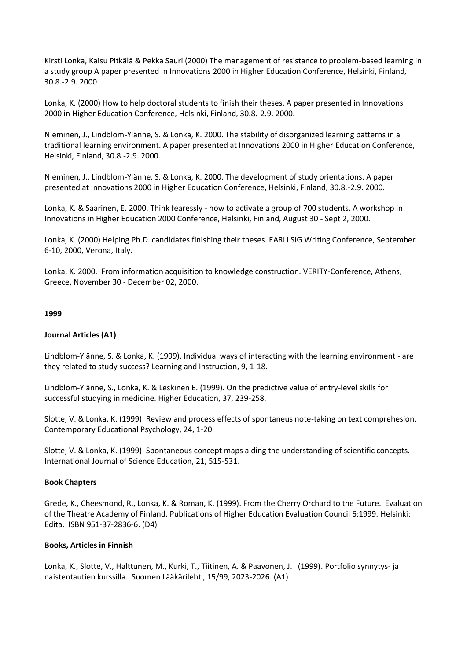Kirsti Lonka, Kaisu Pitkälä & Pekka Sauri (2000) The management of resistance to problem-based learning in a study group A paper presented in Innovations 2000 in Higher Education Conference, Helsinki, Finland, 30.8.-2.9. 2000.

Lonka, K. (2000) How to help doctoral students to finish their theses. A paper presented in Innovations 2000 in Higher Education Conference, Helsinki, Finland, 30.8.-2.9. 2000.

Nieminen, J., Lindblom-Ylänne, S. & Lonka, K. 2000. The stability of disorganized learning patterns in a traditional learning environment. A paper presented at Innovations 2000 in Higher Education Conference, Helsinki, Finland, 30.8.-2.9. 2000.

Nieminen, J., Lindblom-Ylänne, S. & Lonka, K. 2000. The development of study orientations. A paper presented at Innovations 2000 in Higher Education Conference, Helsinki, Finland, 30.8.-2.9. 2000.

Lonka, K. & Saarinen, E. 2000. Think fearessly - how to activate a group of 700 students. A workshop in Innovations in Higher Education 2000 Conference, Helsinki, Finland, August 30 - Sept 2, 2000.

Lonka, K. (2000) Helping Ph.D. candidates finishing their theses. EARLI SIG Writing Conference, September 6-10, 2000, Verona, Italy.

Lonka, K. 2000. From information acquisition to knowledge construction. VERITY-Conference, Athens, Greece, November 30 - December 02, 2000.

### **1999**

### **Journal Articles (A1)**

Lindblom-Ylänne, S. & Lonka, K. (1999). Individual ways of interacting with the learning environment - are they related to study success? Learning and Instruction, 9, 1-18.

Lindblom-Ylänne, S., Lonka, K. & Leskinen E. (1999). On the predictive value of entry-level skills for successful studying in medicine. Higher Education, 37, 239-258.

Slotte, V. & Lonka, K. (1999). Review and process effects of spontaneus note-taking on text comprehesion. Contemporary Educational Psychology, 24, 1-20.

Slotte, V. & Lonka, K. (1999). Spontaneous concept maps aiding the understanding of scientific concepts. International Journal of Science Education, 21, 515-531.

### **Book Chapters**

Grede, K., Cheesmond, R., Lonka, K. & Roman, K. (1999). From the Cherry Orchard to the Future. Evaluation of the Theatre Academy of Finland. Publications of Higher Education Evaluation Council 6:1999. Helsinki: Edita. ISBN 951-37-2836-6. (D4)

### **Books, Articles in Finnish**

Lonka, K., Slotte, V., Halttunen, M., Kurki, T., Tiitinen, A. & Paavonen, J. (1999). Portfolio synnytys- ja naistentautien kurssilla. Suomen Lääkärilehti, 15/99, 2023-2026. (A1)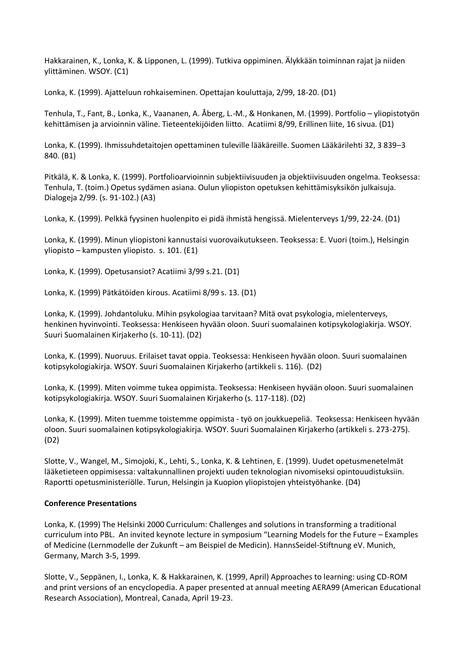Hakkarainen, K., Lonka, K. & Lipponen, L. (1999). Tutkiva oppiminen. Älykkään toiminnan rajat ja niiden ylittäminen. WSOY. (C1)

Lonka, K. (1999). Ajatteluun rohkaiseminen. Opettajan kouluttaja, 2/99, 18-20. (D1)

Tenhula, T., Fant, B., Lonka, K., Vaananen, A. Åberg, L.-M., & Honkanen, M. (1999). Portfolio – yliopistotyön kehittämisen ja arvioinnin väline. Tieteentekijöiden liitto. Acatiimi 8/99, Erillinen liite, 16 sivua. (D1)

Lonka, K. (1999). Ihmissuhdetaitojen opettaminen tuleville lääkäreille. Suomen Lääkärilehti 32, 3 839–3 840. (B1)

Pitkälä, K. & Lonka, K. (1999). Portfolioarvioinnin subjektiivisuuden ja objektiivisuuden ongelma. Teoksessa: Tenhula, T. (toim.) Opetus sydämen asiana. Oulun yliopiston opetuksen kehittämisyksikön julkaisuja. Dialogeja 2/99. (s. 91-102.) (A3)

Lonka, K. (1999). Pelkkä fyysinen huolenpito ei pidä ihmistä hengissä. Mielenterveys 1/99, 22-24. (D1)

Lonka, K. (1999). Minun yliopistoni kannustaisi vuorovaikutukseen. Teoksessa: E. Vuori (toim.), Helsingin yliopisto – kampusten yliopisto. s. 101. (E1)

Lonka, K. (1999). Opetusansiot? Acatiimi 3/99 s.21. (D1)

Lonka, K. (1999) Pätkätöiden kirous. Acatiimi 8/99 s. 13. (D1)

Lonka, K. (1999). Johdantoluku. Mihin psykologiaa tarvitaan? Mitä ovat psykologia, mielenterveys, henkinen hyvinvointi. Teoksessa: Henkiseen hyvään oloon. Suuri suomalainen kotipsykologiakirja. WSOY. Suuri Suomalainen Kirjakerho (s. 10-11). (D2)

Lonka, K. (1999). Nuoruus. Erilaiset tavat oppia. Teoksessa: Henkiseen hyvään oloon. Suuri suomalainen kotipsykologiakirja. WSOY. Suuri Suomalainen Kirjakerho (artikkeli s. 116). (D2)

Lonka, K. (1999). Miten voimme tukea oppimista. Teoksessa: Henkiseen hyvään oloon. Suuri suomalainen kotipsykologiakirja. WSOY. Suuri Suomalainen Kirjakerho (s. 117-118). (D2)

Lonka, K. (1999). Miten tuemme toistemme oppimista - työ on joukkuepeliä. Teoksessa: Henkiseen hyvään oloon. Suuri suomalainen kotipsykologiakirja. WSOY. Suuri Suomalainen Kirjakerho (artikkeli s. 273-275). (D2)

Slotte, V., Wangel, M., Simojoki, K., Lehti, S., Lonka, K. & Lehtinen, E. (1999). Uudet opetusmenetelmät lääketieteen oppimisessa: valtakunnallinen projekti uuden teknologian nivomiseksi opintouudistuksiin. Raportti opetusministeriölle. Turun, Helsingin ja Kuopion yliopistojen yhteistyöhanke. (D4)

#### **Conference Presentations**

Lonka, K. (1999) The Helsinki 2000 Curriculum: Challenges and solutions in transforming a traditional curriculum into PBL. An invited keynote lecture in symposium "Learning Models for the Future – Examples of Medicine (Lernmodelle der Zukunft – am Beispiel de Medicin). HannsSeidel-Stiftnung eV. Munich, Germany, March 3-5, 1999.

Slotte, V., Seppänen, I., Lonka, K. & Hakkarainen, K. (1999, April) Approaches to learning: using CD-ROM and print versions of an encyclopedia. A paper presented at annual meeting AERA99 (American Educational Research Association), Montreal, Canada, April 19-23.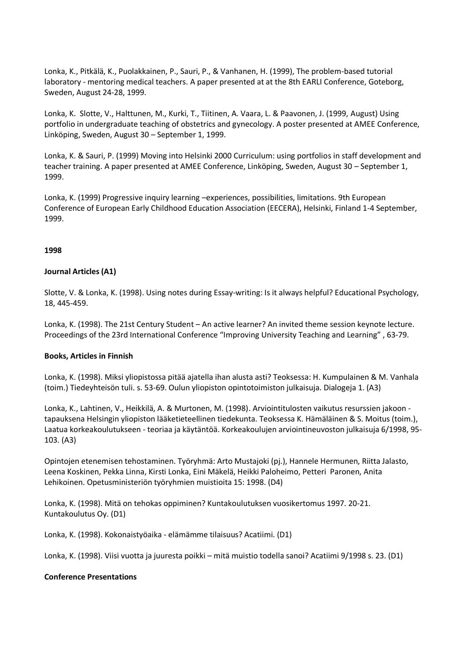Lonka, K., Pitkälä, K., Puolakkainen, P., Sauri, P., & Vanhanen, H. (1999), The problem-based tutorial laboratory - mentoring medical teachers. A paper presented at at the 8th EARLI Conference, Goteborg, Sweden, August 24-28, 1999.

Lonka, K. Slotte, V., Halttunen, M., Kurki, T., Tiitinen, A. Vaara, L. & Paavonen, J. (1999, August) Using portfolio in undergraduate teaching of obstetrics and gynecology. A poster presented at AMEE Conference, Linköping, Sweden, August 30 – September 1, 1999.

Lonka, K. & Sauri, P. (1999) Moving into Helsinki 2000 Curriculum: using portfolios in staff development and teacher training. A paper presented at AMEE Conference, Linköping, Sweden, August 30 – September 1, 1999.

Lonka, K. (1999) Progressive inquiry learning –experiences, possibilities, limitations. 9th European Conference of European Early Childhood Education Association (EECERA), Helsinki, Finland 1-4 September, 1999.

### **1998**

### **Journal Articles (A1)**

Slotte, V. & Lonka, K. (1998). Using notes during Essay-writing: Is it always helpful? Educational Psychology, 18, 445-459.

Lonka, K. (1998). The 21st Century Student – An active learner? An invited theme session keynote lecture. Proceedings of the 23rd International Conference "Improving University Teaching and Learning" , 63-79.

### **Books, Articles in Finnish**

Lonka, K. (1998). Miksi yliopistossa pitää ajatella ihan alusta asti? Teoksessa: H. Kumpulainen & M. Vanhala (toim.) Tiedeyhteisön tuli. s. 53-69. Oulun yliopiston opintotoimiston julkaisuja. Dialogeja 1. (A3)

Lonka, K., Lahtinen, V., Heikkilä, A. & Murtonen, M. (1998). Arviointitulosten vaikutus resurssien jakoon tapauksena Helsingin yliopiston lääketieteellinen tiedekunta. Teoksessa K. Hämäläinen & S. Moitus (toim.), Laatua korkeakoulutukseen - teoriaa ja käytäntöä. Korkeakoulujen arviointineuvoston julkaisuja 6/1998, 95- 103. (A3)

Opintojen etenemisen tehostaminen. Työryhmä: Arto Mustajoki (pj.), Hannele Hermunen, Riitta Jalasto, Leena Koskinen, Pekka Linna, Kirsti Lonka, Eini Mäkelä, Heikki Paloheimo, Petteri Paronen, Anita Lehikoinen. Opetusministeriön työryhmien muistioita 15: 1998. (D4)

Lonka, K. (1998). Mitä on tehokas oppiminen? Kuntakoulutuksen vuosikertomus 1997. 20-21. Kuntakoulutus Oy. (D1)

Lonka, K. (1998). Kokonaistyöaika - elämämme tilaisuus? Acatiimi. (D1)

Lonka, K. (1998). Viisi vuotta ja juuresta poikki – mitä muistio todella sanoi? Acatiimi 9/1998 s. 23. (D1)

### **Conference Presentations**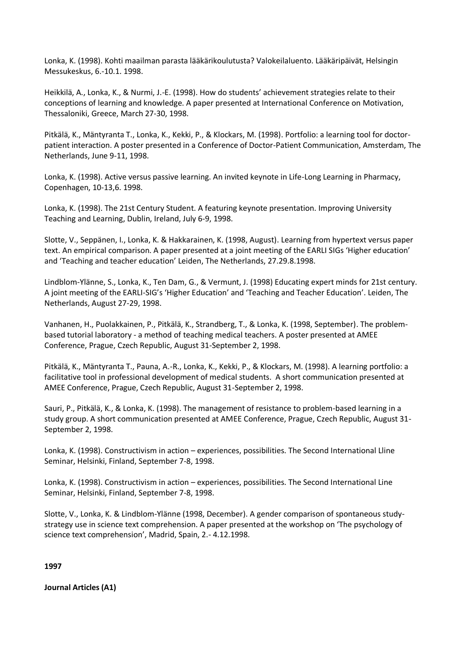Lonka, K. (1998). Kohti maailman parasta lääkärikoulutusta? Valokeilaluento. Lääkäripäivät, Helsingin Messukeskus, 6.-10.1. 1998.

Heikkilä, A., Lonka, K., & Nurmi, J.-E. (1998). How do students' achievement strategies relate to their conceptions of learning and knowledge. A paper presented at International Conference on Motivation, Thessaloniki, Greece, March 27-30, 1998.

Pitkälä, K., Mäntyranta T., Lonka, K., Kekki, P., & Klockars, M. (1998). Portfolio: a learning tool for doctorpatient interaction. A poster presented in a Conference of Doctor-Patient Communication, Amsterdam, The Netherlands, June 9-11, 1998.

Lonka, K. (1998). Active versus passive learning. An invited keynote in Life-Long Learning in Pharmacy, Copenhagen, 10-13,6. 1998.

Lonka, K. (1998). The 21st Century Student. A featuring keynote presentation. Improving University Teaching and Learning, Dublin, Ireland, July 6-9, 1998.

Slotte, V., Seppänen, I., Lonka, K. & Hakkarainen, K. (1998, August). Learning from hypertext versus paper text. An empirical comparison. A paper presented at a joint meeting of the EARLI SIGs 'Higher education' and 'Teaching and teacher education' Leiden, The Netherlands, 27.29.8.1998.

Lindblom-Ylänne, S., Lonka, K., Ten Dam, G., & Vermunt, J. (1998) Educating expert minds for 21st century. A joint meeting of the EARLI-SIG's 'Higher Education' and 'Teaching and Teacher Education'. Leiden, The Netherlands, August 27-29, 1998.

Vanhanen, H., Puolakkainen, P., Pitkälä, K., Strandberg, T., & Lonka, K. (1998, September). The problembased tutorial laboratory - a method of teaching medical teachers. A poster presented at AMEE Conference, Prague, Czech Republic, August 31-September 2, 1998.

Pitkälä, K., Mäntyranta T., Pauna, A.-R., Lonka, K., Kekki, P., & Klockars, M. (1998). A learning portfolio: a facilitative tool in professional development of medical students. A short communication presented at AMEE Conference, Prague, Czech Republic, August 31-September 2, 1998.

Sauri, P., Pitkälä, K., & Lonka, K. (1998). The management of resistance to problem-based learning in a study group. A short communication presented at AMEE Conference, Prague, Czech Republic, August 31- September 2, 1998.

Lonka, K. (1998). Constructivism in action – experiences, possibilities. The Second International Lline Seminar, Helsinki, Finland, September 7-8, 1998.

Lonka, K. (1998). Constructivism in action – experiences, possibilities. The Second International Line Seminar, Helsinki, Finland, September 7-8, 1998.

Slotte, V., Lonka, K. & Lindblom-Ylänne (1998, December). A gender comparison of spontaneous studystrategy use in science text comprehension. A paper presented at the workshop on 'The psychology of science text comprehension', Madrid, Spain, 2.- 4.12.1998.

**1997** 

**Journal Articles (A1)**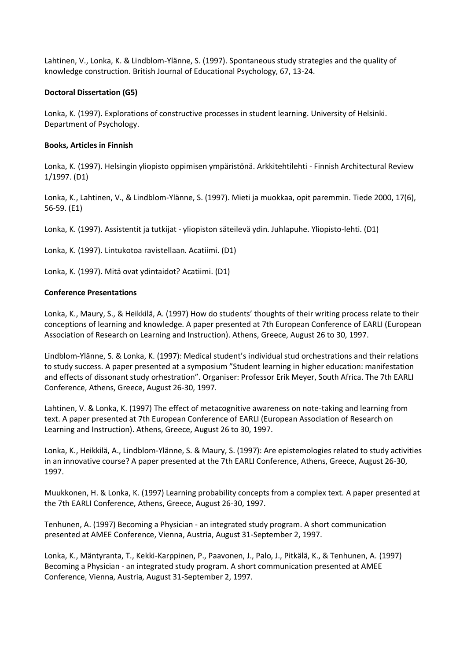Lahtinen, V., Lonka, K. & Lindblom-Ylänne, S. (1997). Spontaneous study strategies and the quality of knowledge construction. British Journal of Educational Psychology, 67, 13-24.

### **Doctoral Dissertation (G5)**

Lonka, K. (1997). Explorations of constructive processes in student learning. University of Helsinki. Department of Psychology.

### **Books, Articles in Finnish**

Lonka, K. (1997). Helsingin yliopisto oppimisen ympäristönä. Arkkitehtilehti - Finnish Architectural Review 1/1997. (D1)

Lonka, K., Lahtinen, V., & Lindblom-Ylänne, S. (1997). Mieti ja muokkaa, opit paremmin. Tiede 2000, 17(6), 56-59. (E1)

Lonka, K. (1997). Assistentit ja tutkijat - yliopiston säteilevä ydin. Juhlapuhe. Yliopisto-lehti. (D1)

Lonka, K. (1997). Lintukotoa ravistellaan. Acatiimi. (D1)

Lonka, K. (1997). Mitä ovat ydintaidot? Acatiimi. (D1)

### **Conference Presentations**

Lonka, K., Maury, S., & Heikkilä, A. (1997) How do students' thoughts of their writing process relate to their conceptions of learning and knowledge. A paper presented at 7th European Conference of EARLI (European Association of Research on Learning and Instruction). Athens, Greece, August 26 to 30, 1997.

Lindblom-Ylänne, S. & Lonka, K. (1997): Medical student's individual stud orchestrations and their relations to study success. A paper presented at a symposium "Student learning in higher education: manifestation and effects of dissonant study orhestration". Organiser: Professor Erik Meyer, South Africa. The 7th EARLI Conference, Athens, Greece, August 26-30, 1997.

Lahtinen, V. & Lonka, K. (1997) The effect of metacognitive awareness on note-taking and learning from text. A paper presented at 7th European Conference of EARLI (European Association of Research on Learning and Instruction). Athens, Greece, August 26 to 30, 1997.

Lonka, K., Heikkilä, A., Lindblom-Ylänne, S. & Maury, S. (1997): Are epistemologies related to study activities in an innovative course? A paper presented at the 7th EARLI Conference, Athens, Greece, August 26-30, 1997.

Muukkonen, H. & Lonka, K. (1997) Learning probability concepts from a complex text. A paper presented at the 7th EARLI Conference, Athens, Greece, August 26-30, 1997.

Tenhunen, A. (1997) Becoming a Physician - an integrated study program. A short communication presented at AMEE Conference, Vienna, Austria, August 31-September 2, 1997.

Lonka, K., Mäntyranta, T., Kekki-Karppinen, P., Paavonen, J., Palo, J., Pitkälä, K., & Tenhunen, A. (1997) Becoming a Physician - an integrated study program. A short communication presented at AMEE Conference, Vienna, Austria, August 31-September 2, 1997.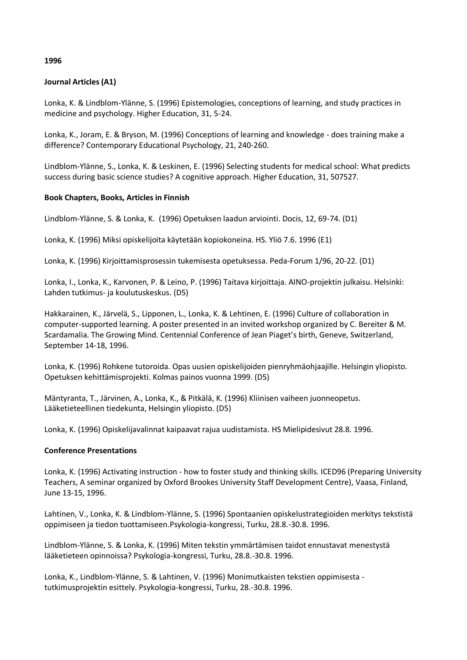### **1996**

### **Journal Articles (A1)**

Lonka, K. & Lindblom-Ylänne, S. (1996) Epistemologies, conceptions of learning, and study practices in medicine and psychology. Higher Education, 31, 5-24.

Lonka, K., Joram, E. & Bryson, M. (1996) Conceptions of learning and knowledge - does training make a difference? Contemporary Educational Psychology, 21, 240-260.

Lindblom-Ylänne, S., Lonka, K. & Leskinen, E. (1996) Selecting students for medical school: What predicts success during basic science studies? A cognitive approach. Higher Education, 31, 507527.

### **Book Chapters, Books, Articles in Finnish**

Lindblom-Ylänne, S. & Lonka, K. (1996) Opetuksen laadun arviointi. Docis, 12, 69-74. (D1)

Lonka, K. (1996) Miksi opiskelijoita käytetään kopiokoneina. HS. Yliö 7.6. 1996 (E1)

Lonka, K. (1996) Kirjoittamisprosessin tukemisesta opetuksessa. Peda-Forum 1/96, 20-22. (D1)

Lonka, I., Lonka, K., Karvonen, P. & Leino, P. (1996) Taitava kirjoittaja. AINO-projektin julkaisu. Helsinki: Lahden tutkimus- ja koulutuskeskus. (D5)

Hakkarainen, K., Järvelä, S., Lipponen, L., Lonka, K. & Lehtinen, E. (1996) Culture of collaboration in computer-supported learning. A poster presented in an invited workshop organized by C. Bereiter & M. Scardamalia. The Growing Mind. Centennial Conference of Jean Piaget's birth, Geneve, Switzerland, September 14-18, 1996.

Lonka, K. (1996) Rohkene tutoroida. Opas uusien opiskelijoiden pienryhmäohjaajille. Helsingin yliopisto. Opetuksen kehittämisprojekti. Kolmas painos vuonna 1999. (D5)

Mäntyranta, T., Järvinen, A., Lonka, K., & Pitkälä, K. (1996) Kliinisen vaiheen juonneopetus. Lääketieteellinen tiedekunta, Helsingin yliopisto. (D5)

Lonka, K. (1996) Opiskelijavalinnat kaipaavat rajua uudistamista. HS Mielipidesivut 28.8. 1996.

### **Conference Presentations**

Lonka, K. (1996) Activating instruction - how to foster study and thinking skills. ICED96 (Preparing University Teachers, A seminar organized by Oxford Brookes University Staff Development Centre), Vaasa, Finland, June 13-15, 1996.

Lahtinen, V., Lonka, K. & Lindblom-Ylänne, S. (1996) Spontaanien opiskelustrategioiden merkitys tekstistä oppimiseen ja tiedon tuottamiseen.Psykologia-kongressi, Turku, 28.8.-30.8. 1996.

Lindblom-Ylänne, S. & Lonka, K. (1996) Miten tekstin ymmärtämisen taidot ennustavat menestystä lääketieteen opinnoissa? Psykologia-kongressi, Turku, 28.8.-30.8. 1996.

Lonka, K., Lindblom-Ylänne, S. & Lahtinen, V. (1996) Monimutkaisten tekstien oppimisesta tutkimusprojektin esittely. Psykologia-kongressi, Turku, 28.-30.8. 1996.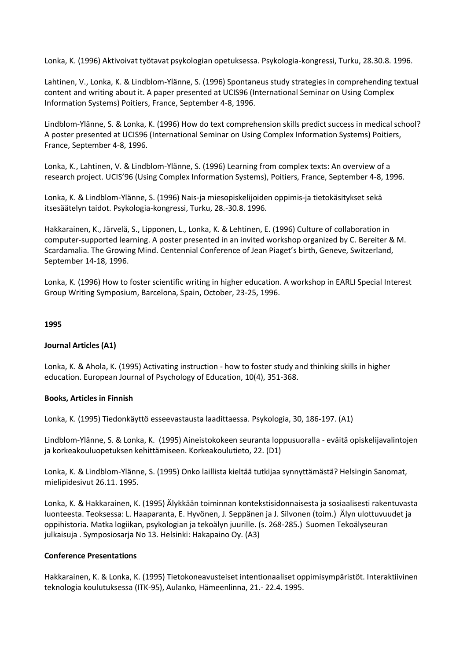Lonka, K. (1996) Aktivoivat työtavat psykologian opetuksessa. Psykologia-kongressi, Turku, 28.30.8. 1996.

Lahtinen, V., Lonka, K. & Lindblom-Ylänne, S. (1996) Spontaneus study strategies in comprehending textual content and writing about it. A paper presented at UCIS96 (International Seminar on Using Complex Information Systems) Poitiers, France, September 4-8, 1996.

Lindblom-Ylänne, S. & Lonka, K. (1996) How do text comprehension skills predict success in medical school? A poster presented at UCIS96 (International Seminar on Using Complex Information Systems) Poitiers, France, September 4-8, 1996.

Lonka, K., Lahtinen, V. & Lindblom-Ylänne, S. (1996) Learning from complex texts: An overview of a research project. UCIS'96 (Using Complex Information Systems), Poitiers, France, September 4-8, 1996.

Lonka, K. & Lindblom-Ylänne, S. (1996) Nais-ja miesopiskelijoiden oppimis-ja tietokäsitykset sekä itsesäätelyn taidot. Psykologia-kongressi, Turku, 28.-30.8. 1996.

Hakkarainen, K., Järvelä, S., Lipponen, L., Lonka, K. & Lehtinen, E. (1996) Culture of collaboration in computer-supported learning. A poster presented in an invited workshop organized by C. Bereiter & M. Scardamalia. The Growing Mind. Centennial Conference of Jean Piaget's birth, Geneve, Switzerland, September 14-18, 1996.

Lonka, K. (1996) How to foster scientific writing in higher education. A workshop in EARLI Special Interest Group Writing Symposium, Barcelona, Spain, October, 23-25, 1996.

### **1995**

### **Journal Articles (A1)**

Lonka, K. & Ahola, K. (1995) Activating instruction - how to foster study and thinking skills in higher education. European Journal of Psychology of Education, 10(4), 351-368.

### **Books, Articles in Finnish**

Lonka, K. (1995) Tiedonkäyttö esseevastausta laadittaessa. Psykologia, 30, 186-197. (A1)

Lindblom-Ylänne, S. & Lonka, K. (1995) Aineistokokeen seuranta loppusuoralla - eväitä opiskelijavalintojen ja korkeakouluopetuksen kehittämiseen. Korkeakoulutieto, 22. (D1)

Lonka, K. & Lindblom-Ylänne, S. (1995) Onko laillista kieltää tutkijaa synnyttämästä? Helsingin Sanomat, mielipidesivut 26.11. 1995.

Lonka, K. & Hakkarainen, K. (1995) Älykkään toiminnan kontekstisidonnaisesta ja sosiaalisesti rakentuvasta luonteesta. Teoksessa: L. Haaparanta, E. Hyvönen, J. Seppänen ja J. Silvonen (toim.) Älyn ulottuvuudet ja oppihistoria. Matka logiikan, psykologian ja tekoälyn juurille. (s. 268-285.) Suomen Tekoälyseuran julkaisuja . Symposiosarja No 13. Helsinki: Hakapaino Oy. (A3)

### **Conference Presentations**

Hakkarainen, K. & Lonka, K. (1995) Tietokoneavusteiset intentionaaliset oppimisympäristöt. Interaktiivinen teknologia koulutuksessa (ITK-95), Aulanko, Hämeenlinna, 21.- 22.4. 1995.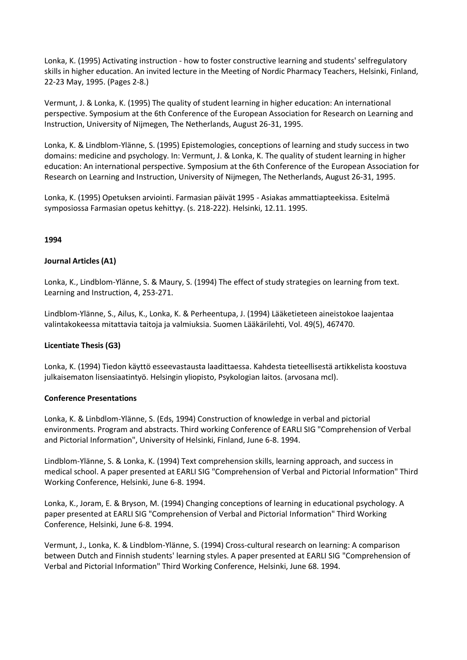Lonka, K. (1995) Activating instruction - how to foster constructive learning and students' selfregulatory skills in higher education. An invited lecture in the Meeting of Nordic Pharmacy Teachers, Helsinki, Finland, 22-23 May, 1995. (Pages 2-8.)

Vermunt, J. & Lonka, K. (1995) The quality of student learning in higher education: An international perspective. Symposium at the 6th Conference of the European Association for Research on Learning and Instruction, University of Nijmegen, The Netherlands, August 26-31, 1995.

Lonka, K. & Lindblom-Ylänne, S. (1995) Epistemologies, conceptions of learning and study success in two domains: medicine and psychology. In: Vermunt, J. & Lonka, K. The quality of student learning in higher education: An international perspective. Symposium at the 6th Conference of the European Association for Research on Learning and Instruction, University of Nijmegen, The Netherlands, August 26-31, 1995.

Lonka, K. (1995) Opetuksen arviointi. Farmasian päivät 1995 - Asiakas ammattiapteekissa. Esitelmä symposiossa Farmasian opetus kehittyy. (s. 218-222). Helsinki, 12.11. 1995.

### **1994**

### **Journal Articles (A1)**

Lonka, K., Lindblom-Ylänne, S. & Maury, S. (1994) The effect of study strategies on learning from text. Learning and Instruction, 4, 253-271.

Lindblom-Ylänne, S., Ailus, K., Lonka, K. & Perheentupa, J. (1994) Lääketieteen aineistokoe laajentaa valintakokeessa mitattavia taitoja ja valmiuksia. Suomen Lääkärilehti, Vol. 49(5), 467470.

### **Licentiate Thesis (G3)**

Lonka, K. (1994) Tiedon käyttö esseevastausta laadittaessa. Kahdesta tieteellisestä artikkelista koostuva julkaisematon lisensiaatintyö. Helsingin yliopisto, Psykologian laitos. (arvosana mcl).

### **Conference Presentations**

Lonka, K. & Linbdlom-Ylänne, S. (Eds, 1994) Construction of knowledge in verbal and pictorial environments. Program and abstracts. Third working Conference of EARLI SIG "Comprehension of Verbal and Pictorial Information", University of Helsinki, Finland, June 6-8. 1994.

Lindblom-Ylänne, S. & Lonka, K. (1994) Text comprehension skills, learning approach, and success in medical school. A paper presented at EARLI SIG "Comprehension of Verbal and Pictorial Information" Third Working Conference, Helsinki, June 6-8. 1994.

Lonka, K., Joram, E. & Bryson, M. (1994) Changing conceptions of learning in educational psychology. A paper presented at EARLI SIG "Comprehension of Verbal and Pictorial Information" Third Working Conference, Helsinki, June 6-8. 1994.

Vermunt, J., Lonka, K. & Lindblom-Ylänne, S. (1994) Cross-cultural research on learning: A comparison between Dutch and Finnish students' learning styles. A paper presented at EARLI SIG "Comprehension of Verbal and Pictorial Information" Third Working Conference, Helsinki, June 68. 1994.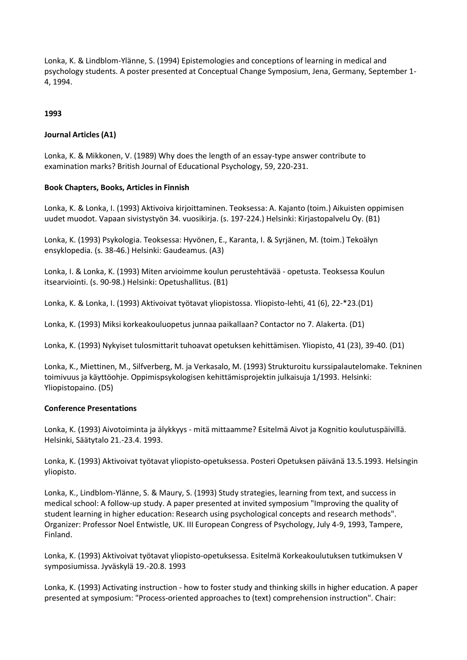Lonka, K. & Lindblom-Ylänne, S. (1994) Epistemologies and conceptions of learning in medical and psychology students. A poster presented at Conceptual Change Symposium, Jena, Germany, September 1- 4, 1994.

### **1993**

### **Journal Articles (A1)**

Lonka, K. & Mikkonen, V. (1989) Why does the length of an essay-type answer contribute to examination marks? British Journal of Educational Psychology, 59, 220-231.

### **Book Chapters, Books, Articles in Finnish**

Lonka, K. & Lonka, I. (1993) Aktivoiva kirjoittaminen. Teoksessa: A. Kajanto (toim.) Aikuisten oppimisen uudet muodot. Vapaan sivistystyön 34. vuosikirja. (s. 197-224.) Helsinki: Kirjastopalvelu Oy. (B1)

Lonka, K. (1993) Psykologia. Teoksessa: Hyvönen, E., Karanta, I. & Syrjänen, M. (toim.) Tekoälyn ensyklopedia. (s. 38-46.) Helsinki: Gaudeamus. (A3)

Lonka, I. & Lonka, K. (1993) Miten arvioimme koulun perustehtävää - opetusta. Teoksessa Koulun itsearviointi. (s. 90-98.) Helsinki: Opetushallitus. (B1)

Lonka, K. & Lonka, I. (1993) Aktivoivat työtavat yliopistossa. Yliopisto-lehti, 41 (6), 22-\*23.(D1)

Lonka, K. (1993) Miksi korkeakouluopetus junnaa paikallaan? Contactor no 7. Alakerta. (D1)

Lonka, K. (1993) Nykyiset tulosmittarit tuhoavat opetuksen kehittämisen. Yliopisto, 41 (23), 39-40. (D1)

Lonka, K., Miettinen, M., Silfverberg, M. ja Verkasalo, M. (1993) Strukturoitu kurssipalautelomake. Tekninen toimivuus ja käyttöohje. Oppimispsykologisen kehittämisprojektin julkaisuja 1/1993. Helsinki: Yliopistopaino. (D5)

### **Conference Presentations**

Lonka, K. (1993) Aivotoiminta ja älykkyys - mitä mittaamme? Esitelmä Aivot ja Kognitio koulutuspäivillä. Helsinki, Säätytalo 21.-23.4. 1993.

Lonka, K. (1993) Aktivoivat työtavat yliopisto-opetuksessa. Posteri Opetuksen päivänä 13.5.1993. Helsingin yliopisto.

Lonka, K., Lindblom-Ylänne, S. & Maury, S. (1993) Study strategies, learning from text, and success in medical school: A follow-up study. A paper presented at invited symposium "Improving the quality of student learning in higher education: Research using psychological concepts and research methods". Organizer: Professor Noel Entwistle, UK. III European Congress of Psychology, July 4-9, 1993, Tampere, Finland.

Lonka, K. (1993) Aktivoivat työtavat yliopisto-opetuksessa. Esitelmä Korkeakoulutuksen tutkimuksen V symposiumissa. Jyväskylä 19.-20.8. 1993

Lonka, K. (1993) Activating instruction - how to foster study and thinking skills in higher education. A paper presented at symposium: "Process-oriented approaches to (text) comprehension instruction". Chair: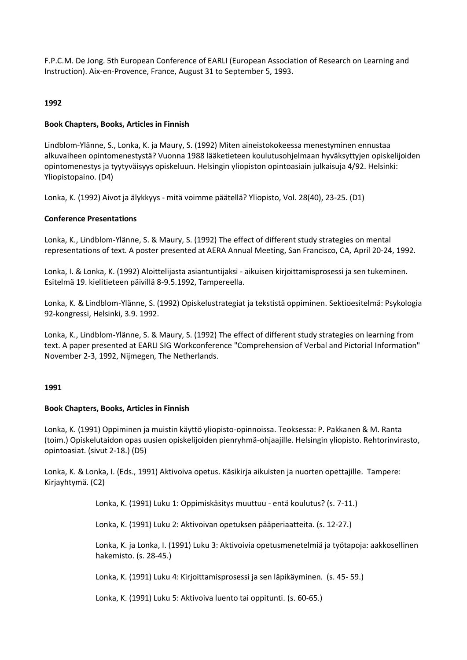F.P.C.M. De Jong. 5th European Conference of EARLI (European Association of Research on Learning and Instruction). Aix-en-Provence, France, August 31 to September 5, 1993.

### **1992**

### **Book Chapters, Books, Articles in Finnish**

Lindblom-Ylänne, S., Lonka, K. ja Maury, S. (1992) Miten aineistokokeessa menestyminen ennustaa alkuvaiheen opintomenestystä? Vuonna 1988 lääketieteen koulutusohjelmaan hyväksyttyjen opiskelijoiden opintomenestys ja tyytyväisyys opiskeluun. Helsingin yliopiston opintoasiain julkaisuja 4/92. Helsinki: Yliopistopaino. (D4)

Lonka, K. (1992) Aivot ja älykkyys - mitä voimme päätellä? Yliopisto, Vol. 28(40), 23-25. (D1)

### **Conference Presentations**

Lonka, K., Lindblom-Ylänne, S. & Maury, S. (1992) The effect of different study strategies on mental representations of text. A poster presented at AERA Annual Meeting, San Francisco, CA, April 20-24, 1992.

Lonka, I. & Lonka, K. (1992) Aloittelijasta asiantuntijaksi - aikuisen kirjoittamisprosessi ja sen tukeminen. Esitelmä 19. kielitieteen päivillä 8-9.5.1992, Tampereella.

Lonka, K. & Lindblom-Ylänne, S. (1992) Opiskelustrategiat ja tekstistä oppiminen. Sektioesitelmä: Psykologia 92-kongressi, Helsinki, 3.9. 1992.

Lonka, K., Lindblom-Ylänne, S. & Maury, S. (1992) The effect of different study strategies on learning from text. A paper presented at EARLI SIG Workconference "Comprehension of Verbal and Pictorial Information" November 2-3, 1992, Nijmegen, The Netherlands.

### **1991**

### **Book Chapters, Books, Articles in Finnish**

Lonka, K. (1991) Oppiminen ja muistin käyttö yliopisto-opinnoissa. Teoksessa: P. Pakkanen & M. Ranta (toim.) Opiskelutaidon opas uusien opiskelijoiden pienryhmä-ohjaajille. Helsingin yliopisto. Rehtorinvirasto, opintoasiat. (sivut 2-18.) (D5)

Lonka, K. & Lonka, I. (Eds., 1991) Aktivoiva opetus. Käsikirja aikuisten ja nuorten opettajille. Tampere: Kirjayhtymä. (C2)

Lonka, K. (1991) Luku 1: Oppimiskäsitys muuttuu - entä koulutus? (s. 7-11.)

Lonka, K. (1991) Luku 2: Aktivoivan opetuksen pääperiaatteita. (s. 12-27.)

Lonka, K. ja Lonka, I. (1991) Luku 3: Aktivoivia opetusmenetelmiä ja työtapoja: aakkosellinen hakemisto. (s. 28-45.)

Lonka, K. (1991) Luku 4: Kirjoittamisprosessi ja sen läpikäyminen. (s. 45- 59.)

Lonka, K. (1991) Luku 5: Aktivoiva luento tai oppitunti. (s. 60-65.)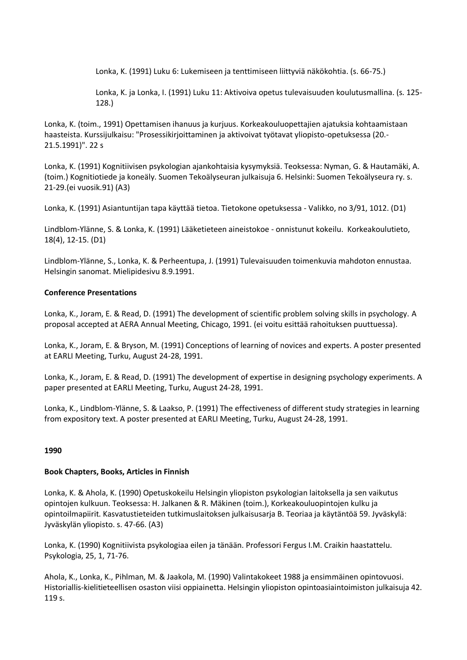Lonka, K. (1991) Luku 6: Lukemiseen ja tenttimiseen liittyviä näkökohtia. (s. 66-75.)

Lonka, K. ja Lonka, I. (1991) Luku 11: Aktivoiva opetus tulevaisuuden koulutusmallina. (s. 125- 128.)

Lonka, K. (toim., 1991) Opettamisen ihanuus ja kurjuus. Korkeakouluopettajien ajatuksia kohtaamistaan haasteista. Kurssijulkaisu: "Prosessikirjoittaminen ja aktivoivat työtavat yliopisto-opetuksessa (20.- 21.5.1991)". 22 s

Lonka, K. (1991) Kognitiivisen psykologian ajankohtaisia kysymyksiä. Teoksessa: Nyman, G. & Hautamäki, A. (toim.) Kognitiotiede ja koneäly. Suomen Tekoälyseuran julkaisuja 6. Helsinki: Suomen Tekoälyseura ry. s. 21-29.(ei vuosik.91) (A3)

Lonka, K. (1991) Asiantuntijan tapa käyttää tietoa. Tietokone opetuksessa - Valikko, no 3/91, 1012. (D1)

Lindblom-Ylänne, S. & Lonka, K. (1991) Lääketieteen aineistokoe - onnistunut kokeilu. Korkeakoulutieto, 18(4), 12-15. (D1)

Lindblom-Ylänne, S., Lonka, K. & Perheentupa, J. (1991) Tulevaisuuden toimenkuvia mahdoton ennustaa. Helsingin sanomat. Mielipidesivu 8.9.1991.

### **Conference Presentations**

Lonka, K., Joram, E. & Read, D. (1991) The development of scientific problem solving skills in psychology. A proposal accepted at AERA Annual Meeting, Chicago, 1991. (ei voitu esittää rahoituksen puuttuessa).

Lonka, K., Joram, E. & Bryson, M. (1991) Conceptions of learning of novices and experts. A poster presented at EARLI Meeting, Turku, August 24-28, 1991.

Lonka, K., Joram, E. & Read, D. (1991) The development of expertise in designing psychology experiments. A paper presented at EARLI Meeting, Turku, August 24-28, 1991.

Lonka, K., Lindblom-Ylänne, S. & Laakso, P. (1991) The effectiveness of different study strategies in learning from expository text. A poster presented at EARLI Meeting, Turku, August 24-28, 1991.

### **1990**

### **Book Chapters, Books, Articles in Finnish**

Lonka, K. & Ahola, K. (1990) Opetuskokeilu Helsingin yliopiston psykologian laitoksella ja sen vaikutus opintojen kulkuun. Teoksessa: H. Jalkanen & R. Mäkinen (toim.), Korkeakouluopintojen kulku ja opintoilmapiirit. Kasvatustieteiden tutkimuslaitoksen julkaisusarja B. Teoriaa ja käytäntöä 59. Jyväskylä: Jyväskylän yliopisto. s. 47-66. (A3)

Lonka, K. (1990) Kognitiivista psykologiaa eilen ja tänään. Professori Fergus I.M. Craikin haastattelu. Psykologia, 25, 1, 71-76.

Ahola, K., Lonka, K., Pihlman, M. & Jaakola, M. (1990) Valintakokeet 1988 ja ensimmäinen opintovuosi. Historiallis-kielitieteellisen osaston viisi oppiainetta. Helsingin yliopiston opintoasiaintoimiston julkaisuja 42. 119 s.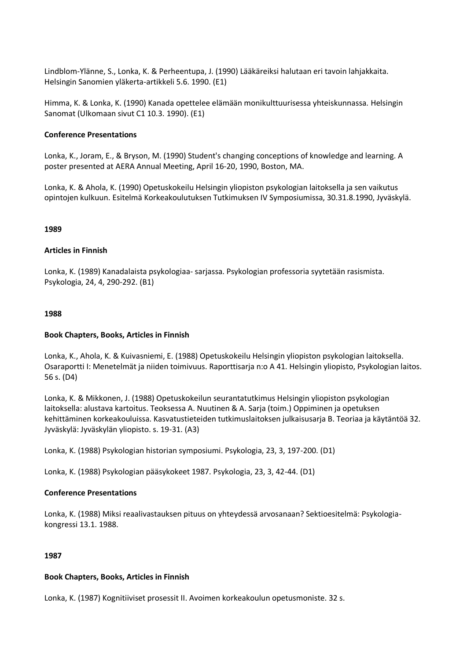Lindblom-Ylänne, S., Lonka, K. & Perheentupa, J. (1990) Lääkäreiksi halutaan eri tavoin lahjakkaita. Helsingin Sanomien yläkerta-artikkeli 5.6. 1990. (E1)

Himma, K. & Lonka, K. (1990) Kanada opettelee elämään monikulttuurisessa yhteiskunnassa. Helsingin Sanomat (Ulkomaan sivut C1 10.3. 1990). (E1)

### **Conference Presentations**

Lonka, K., Joram, E., & Bryson, M. (1990) Student's changing conceptions of knowledge and learning. A poster presented at AERA Annual Meeting, April 16-20, 1990, Boston, MA.

Lonka, K. & Ahola, K. (1990) Opetuskokeilu Helsingin yliopiston psykologian laitoksella ja sen vaikutus opintojen kulkuun. Esitelmä Korkeakoulutuksen Tutkimuksen IV Symposiumissa, 30.31.8.1990, Jyväskylä.

#### **1989**

#### **Articles in Finnish**

Lonka, K. (1989) Kanadalaista psykologiaa- sarjassa. Psykologian professoria syytetään rasismista. Psykologia, 24, 4, 290-292. (B1)

#### **1988**

#### **Book Chapters, Books, Articles in Finnish**

Lonka, K., Ahola, K. & Kuivasniemi, E. (1988) Opetuskokeilu Helsingin yliopiston psykologian laitoksella. Osaraportti I: Menetelmät ja niiden toimivuus. Raporttisarja n:o A 41. Helsingin yliopisto, Psykologian laitos. 56 s. (D4)

Lonka, K. & Mikkonen, J. (1988) Opetuskokeilun seurantatutkimus Helsingin yliopiston psykologian laitoksella: alustava kartoitus. Teoksessa A. Nuutinen & A. Sarja (toim.) Oppiminen ja opetuksen kehittäminen korkeakouluissa. Kasvatustieteiden tutkimuslaitoksen julkaisusarja B. Teoriaa ja käytäntöä 32. Jyväskylä: Jyväskylän yliopisto. s. 19-31. (A3)

Lonka, K. (1988) Psykologian historian symposiumi. Psykologia, 23, 3, 197-200. (D1)

Lonka, K. (1988) Psykologian pääsykokeet 1987. Psykologia, 23, 3, 42-44. (D1)

### **Conference Presentations**

Lonka, K. (1988) Miksi reaalivastauksen pituus on yhteydessä arvosanaan? Sektioesitelmä: Psykologiakongressi 13.1. 1988.

### **1987**

#### **Book Chapters, Books, Articles in Finnish**

Lonka, K. (1987) Kognitiiviset prosessit II. Avoimen korkeakoulun opetusmoniste. 32 s.